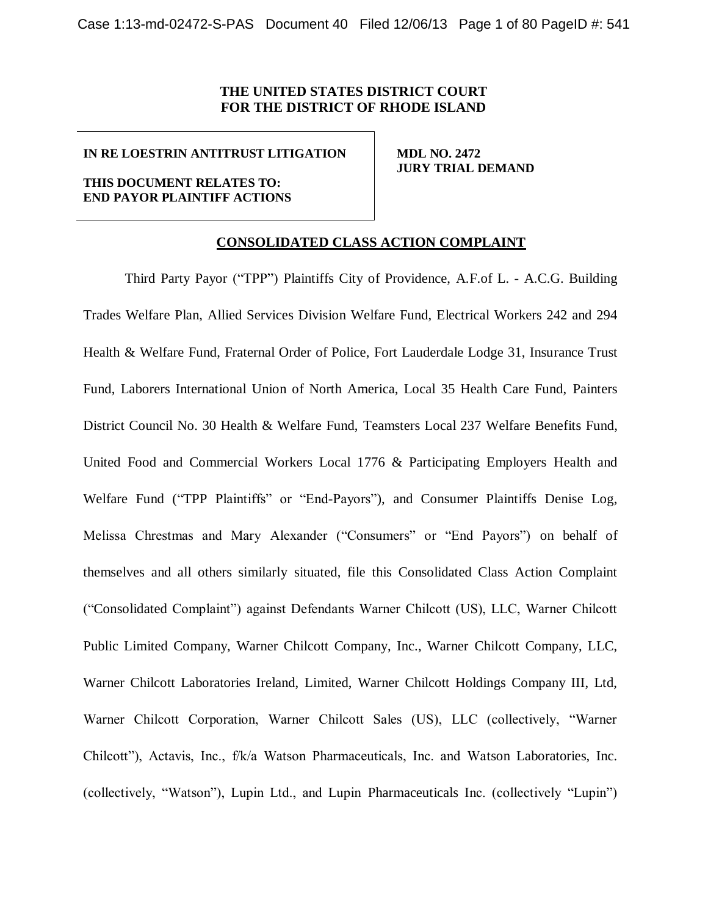# **THE UNITED STATES DISTRICT COURT FOR THE DISTRICT OF RHODE ISLAND**

### **IN RE LOESTRIN ANTITRUST LITIGATION**

### **THIS DOCUMENT RELATES TO: END PAYOR PLAINTIFF ACTIONS**

 **MDL NO. 2472 JURY TRIAL DEMAND**

## **CONSOLIDATED CLASS ACTION COMPLAINT**

Third Party Payor ("TPP") Plaintiffs City of Providence, A.F.of L. - A.C.G. Building Trades Welfare Plan, Allied Services Division Welfare Fund, Electrical Workers 242 and 294 Health & Welfare Fund, Fraternal Order of Police, Fort Lauderdale Lodge 31, Insurance Trust Fund, Laborers International Union of North America, Local 35 Health Care Fund, Painters District Council No. 30 Health & Welfare Fund, Teamsters Local 237 Welfare Benefits Fund, United Food and Commercial Workers Local 1776 & Participating Employers Health and Welfare Fund ("TPP Plaintiffs" or "End-Payors"), and Consumer Plaintiffs Denise Log, Melissa Chrestmas and Mary Alexander ("Consumers" or "End Payors") on behalf of themselves and all others similarly situated, file this Consolidated Class Action Complaint ("Consolidated Complaint") against Defendants Warner Chilcott (US), LLC, Warner Chilcott Public Limited Company, Warner Chilcott Company, Inc., Warner Chilcott Company, LLC, Warner Chilcott Laboratories Ireland, Limited, Warner Chilcott Holdings Company III, Ltd, Warner Chilcott Corporation, Warner Chilcott Sales (US), LLC (collectively, "Warner Chilcott"), Actavis, Inc., f/k/a Watson Pharmaceuticals, Inc. and Watson Laboratories, Inc. (collectively, "Watson"), Lupin Ltd., and Lupin Pharmaceuticals Inc. (collectively "Lupin")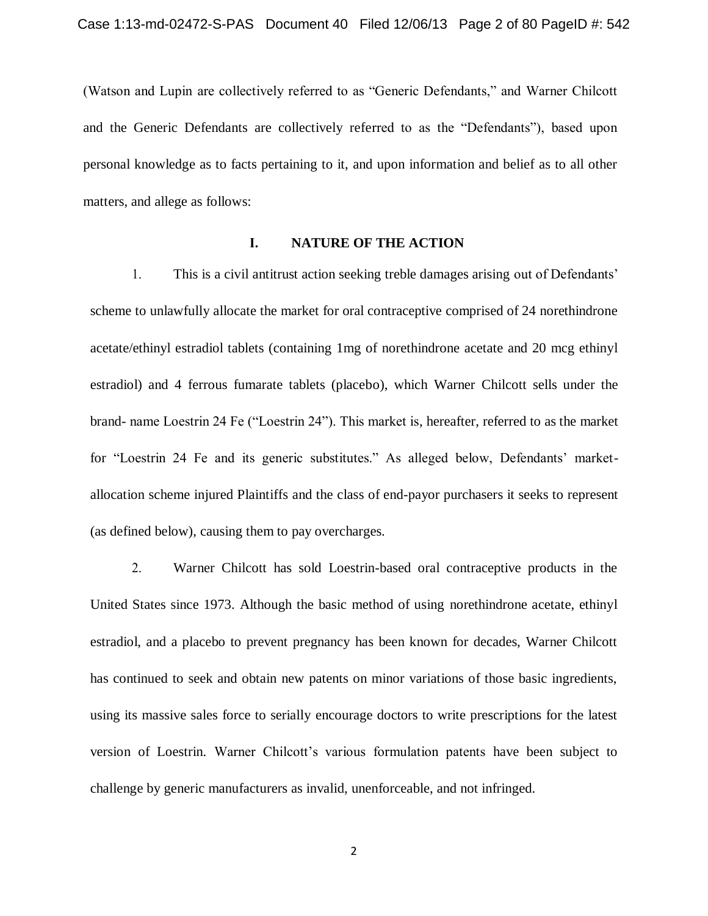(Watson and Lupin are collectively referred to as "Generic Defendants," and Warner Chilcott and the Generic Defendants are collectively referred to as the "Defendants"), based upon personal knowledge as to facts pertaining to it, and upon information and belief as to all other matters, and allege as follows:

# **I. NATURE OF THE ACTION**

1. This is a civil antitrust action seeking treble damages arising out of Defendants' scheme to unlawfully allocate the market for oral contraceptive comprised of 24 norethindrone acetate/ethinyl estradiol tablets (containing 1mg of norethindrone acetate and 20 mcg ethinyl estradiol) and 4 ferrous fumarate tablets (placebo), which Warner Chilcott sells under the brand- name Loestrin 24 Fe ("Loestrin 24"). This market is, hereafter, referred to as the market for "Loestrin 24 Fe and its generic substitutes." As alleged below, Defendants' marketallocation scheme injured Plaintiffs and the class of end-payor purchasers it seeks to represent (as defined below), causing them to pay overcharges.

2. Warner Chilcott has sold Loestrin-based oral contraceptive products in the United States since 1973. Although the basic method of using norethindrone acetate, ethinyl estradiol, and a placebo to prevent pregnancy has been known for decades, Warner Chilcott has continued to seek and obtain new patents on minor variations of those basic ingredients, using its massive sales force to serially encourage doctors to write prescriptions for the latest version of Loestrin. Warner Chilcott's various formulation patents have been subject to challenge by generic manufacturers as invalid, unenforceable, and not infringed.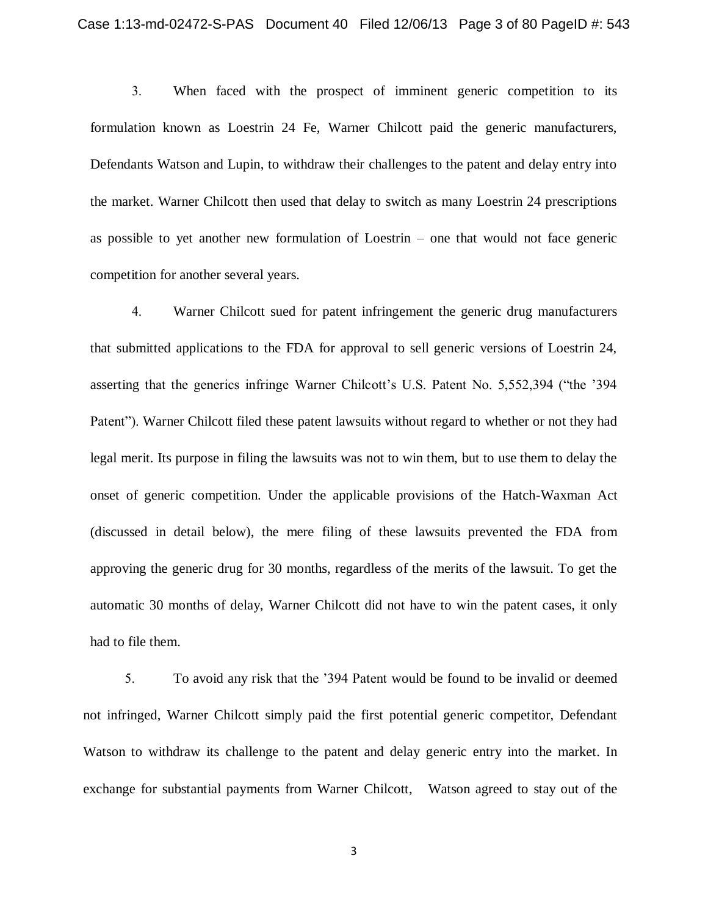3. When faced with the prospect of imminent generic competition to its formulation known as Loestrin 24 Fe, Warner Chilcott paid the generic manufacturers, Defendants Watson and Lupin, to withdraw their challenges to the patent and delay entry into the market. Warner Chilcott then used that delay to switch as many Loestrin 24 prescriptions as possible to yet another new formulation of Loestrin – one that would not face generic competition for another several years.

4. Warner Chilcott sued for patent infringement the generic drug manufacturers that submitted applications to the FDA for approval to sell generic versions of Loestrin 24, asserting that the generics infringe Warner Chilcott's U.S. Patent No. 5,552,394 ("the '394 Patent"). Warner Chilcott filed these patent lawsuits without regard to whether or not they had legal merit. Its purpose in filing the lawsuits was not to win them, but to use them to delay the onset of generic competition. Under the applicable provisions of the Hatch-Waxman Act (discussed in detail below), the mere filing of these lawsuits prevented the FDA from approving the generic drug for 30 months, regardless of the merits of the lawsuit. To get the automatic 30 months of delay, Warner Chilcott did not have to win the patent cases, it only had to file them.

5. To avoid any risk that the '394 Patent would be found to be invalid or deemed not infringed, Warner Chilcott simply paid the first potential generic competitor, Defendant Watson to withdraw its challenge to the patent and delay generic entry into the market. In exchange for substantial payments from Warner Chilcott, Watson agreed to stay out of the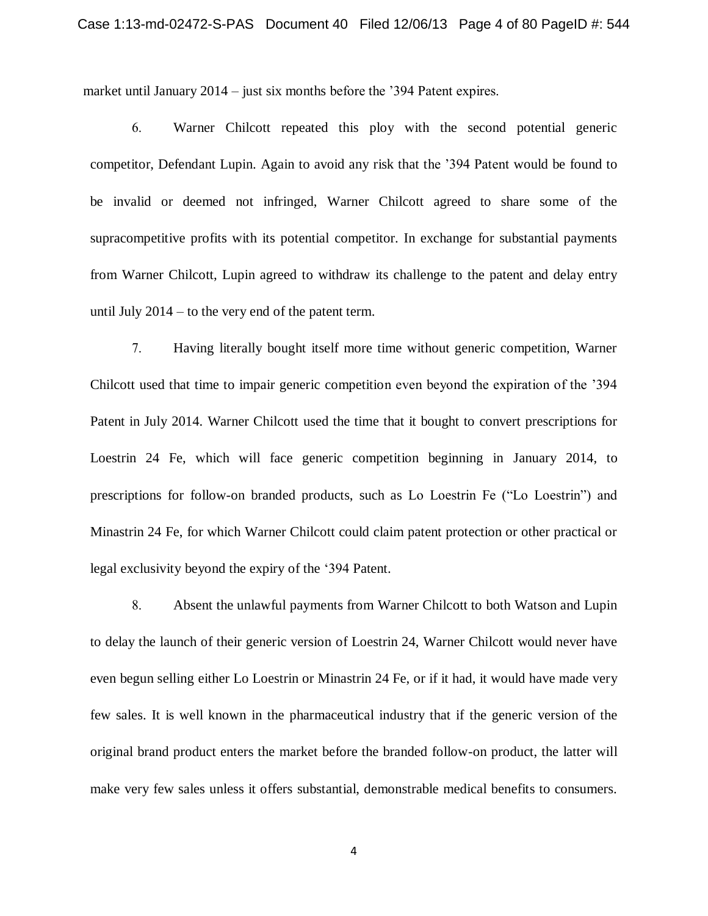market until January 2014 – just six months before the '394 Patent expires.

6. Warner Chilcott repeated this ploy with the second potential generic competitor, Defendant Lupin. Again to avoid any risk that the '394 Patent would be found to be invalid or deemed not infringed, Warner Chilcott agreed to share some of the supracompetitive profits with its potential competitor. In exchange for substantial payments from Warner Chilcott, Lupin agreed to withdraw its challenge to the patent and delay entry until July 2014 – to the very end of the patent term.

7. Having literally bought itself more time without generic competition, Warner Chilcott used that time to impair generic competition even beyond the expiration of the '394 Patent in July 2014. Warner Chilcott used the time that it bought to convert prescriptions for Loestrin 24 Fe, which will face generic competition beginning in January 2014, to prescriptions for follow-on branded products, such as Lo Loestrin Fe ("Lo Loestrin") and Minastrin 24 Fe, for which Warner Chilcott could claim patent protection or other practical or legal exclusivity beyond the expiry of the '394 Patent.

8. Absent the unlawful payments from Warner Chilcott to both Watson and Lupin to delay the launch of their generic version of Loestrin 24, Warner Chilcott would never have even begun selling either Lo Loestrin or Minastrin 24 Fe, or if it had, it would have made very few sales. It is well known in the pharmaceutical industry that if the generic version of the original brand product enters the market before the branded follow-on product, the latter will make very few sales unless it offers substantial, demonstrable medical benefits to consumers.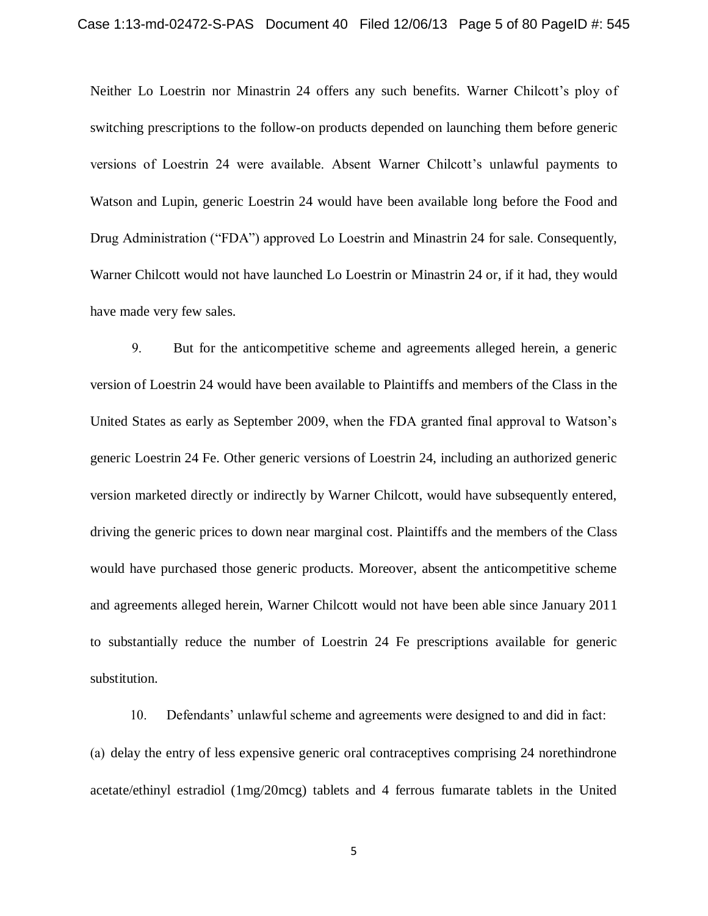Neither Lo Loestrin nor Minastrin 24 offers any such benefits. Warner Chilcott's ploy of switching prescriptions to the follow-on products depended on launching them before generic versions of Loestrin 24 were available. Absent Warner Chilcott's unlawful payments to Watson and Lupin, generic Loestrin 24 would have been available long before the Food and Drug Administration ("FDA") approved Lo Loestrin and Minastrin 24 for sale. Consequently, Warner Chilcott would not have launched Lo Loestrin or Minastrin 24 or, if it had, they would have made very few sales.

9. But for the anticompetitive scheme and agreements alleged herein, a generic version of Loestrin 24 would have been available to Plaintiffs and members of the Class in the United States as early as September 2009, when the FDA granted final approval to Watson's generic Loestrin 24 Fe. Other generic versions of Loestrin 24, including an authorized generic version marketed directly or indirectly by Warner Chilcott, would have subsequently entered, driving the generic prices to down near marginal cost. Plaintiffs and the members of the Class would have purchased those generic products. Moreover, absent the anticompetitive scheme and agreements alleged herein, Warner Chilcott would not have been able since January 2011 to substantially reduce the number of Loestrin 24 Fe prescriptions available for generic substitution.

10. Defendants' unlawful scheme and agreements were designed to and did in fact: (a) delay the entry of less expensive generic oral contraceptives comprising 24 norethindrone acetate/ethinyl estradiol (1mg/20mcg) tablets and 4 ferrous fumarate tablets in the United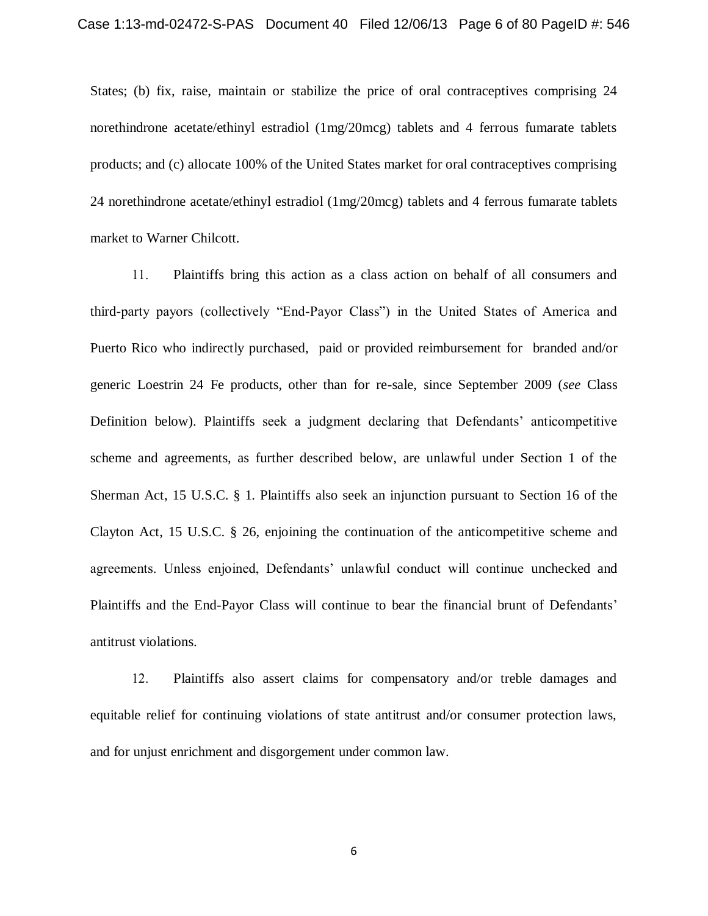States; (b) fix, raise, maintain or stabilize the price of oral contraceptives comprising 24 norethindrone acetate/ethinyl estradiol (1mg/20mcg) tablets and 4 ferrous fumarate tablets products; and (c) allocate 100% of the United States market for oral contraceptives comprising 24 norethindrone acetate/ethinyl estradiol (1mg/20mcg) tablets and 4 ferrous fumarate tablets market to Warner Chilcott.

11. Plaintiffs bring this action as a class action on behalf of all consumers and third-party payors (collectively "End-Payor Class") in the United States of America and Puerto Rico who indirectly purchased, paid or provided reimbursement for branded and/or generic Loestrin 24 Fe products, other than for re-sale, since September 2009 (*see* Class Definition below). Plaintiffs seek a judgment declaring that Defendants' anticompetitive scheme and agreements, as further described below, are unlawful under Section 1 of the Sherman Act, 15 U.S.C. § 1. Plaintiffs also seek an injunction pursuant to Section 16 of the Clayton Act, 15 U.S.C. § 26, enjoining the continuation of the anticompetitive scheme and agreements. Unless enjoined, Defendants' unlawful conduct will continue unchecked and Plaintiffs and the End-Payor Class will continue to bear the financial brunt of Defendants' antitrust violations.

12. Plaintiffs also assert claims for compensatory and/or treble damages and equitable relief for continuing violations of state antitrust and/or consumer protection laws, and for unjust enrichment and disgorgement under common law.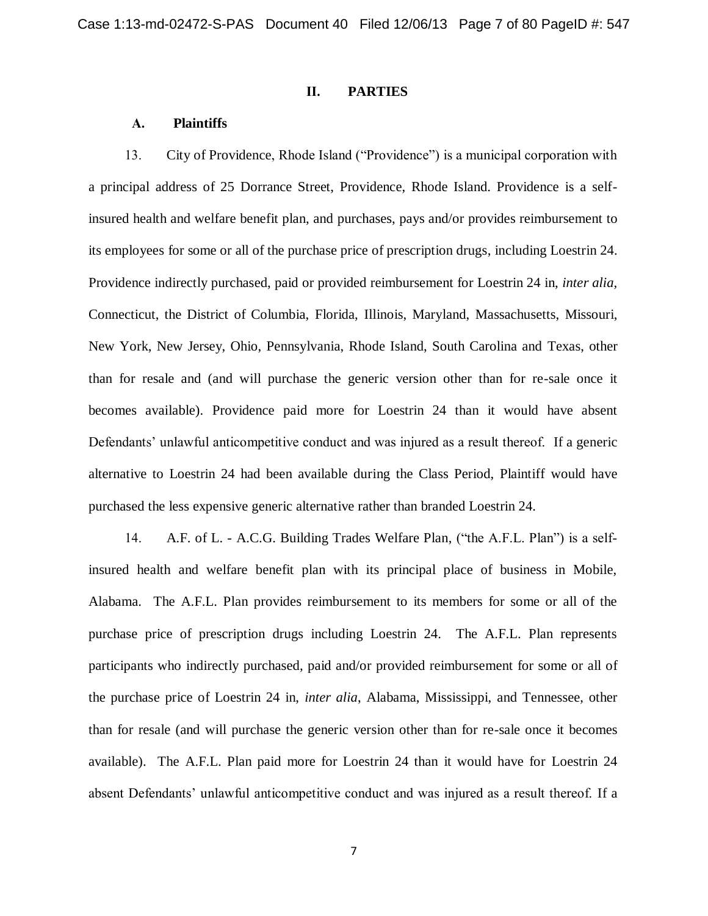### **II. PARTIES**

### **A. Plaintiffs**

13. City of Providence, Rhode Island ("Providence") is a municipal corporation with a principal address of 25 Dorrance Street, Providence, Rhode Island. Providence is a selfinsured health and welfare benefit plan, and purchases, pays and/or provides reimbursement to its employees for some or all of the purchase price of prescription drugs, including Loestrin 24. Providence indirectly purchased, paid or provided reimbursement for Loestrin 24 in, *inter alia,*  Connecticut, the District of Columbia, Florida, Illinois, Maryland, Massachusetts, Missouri, New York, New Jersey, Ohio, Pennsylvania, Rhode Island, South Carolina and Texas, other than for resale and (and will purchase the generic version other than for re-sale once it becomes available). Providence paid more for Loestrin 24 than it would have absent Defendants' unlawful anticompetitive conduct and was injured as a result thereof. If a generic alternative to Loestrin 24 had been available during the Class Period, Plaintiff would have purchased the less expensive generic alternative rather than branded Loestrin 24.

14. A.F. of L. - A.C.G. Building Trades Welfare Plan, ("the A.F.L. Plan") is a selfinsured health and welfare benefit plan with its principal place of business in Mobile, Alabama. The A.F.L. Plan provides reimbursement to its members for some or all of the purchase price of prescription drugs including Loestrin 24. The A.F.L. Plan represents participants who indirectly purchased, paid and/or provided reimbursement for some or all of the purchase price of Loestrin 24 in, *inter alia*, Alabama, Mississippi, and Tennessee, other than for resale (and will purchase the generic version other than for re-sale once it becomes available). The A.F.L. Plan paid more for Loestrin 24 than it would have for Loestrin 24 absent Defendants' unlawful anticompetitive conduct and was injured as a result thereof. If a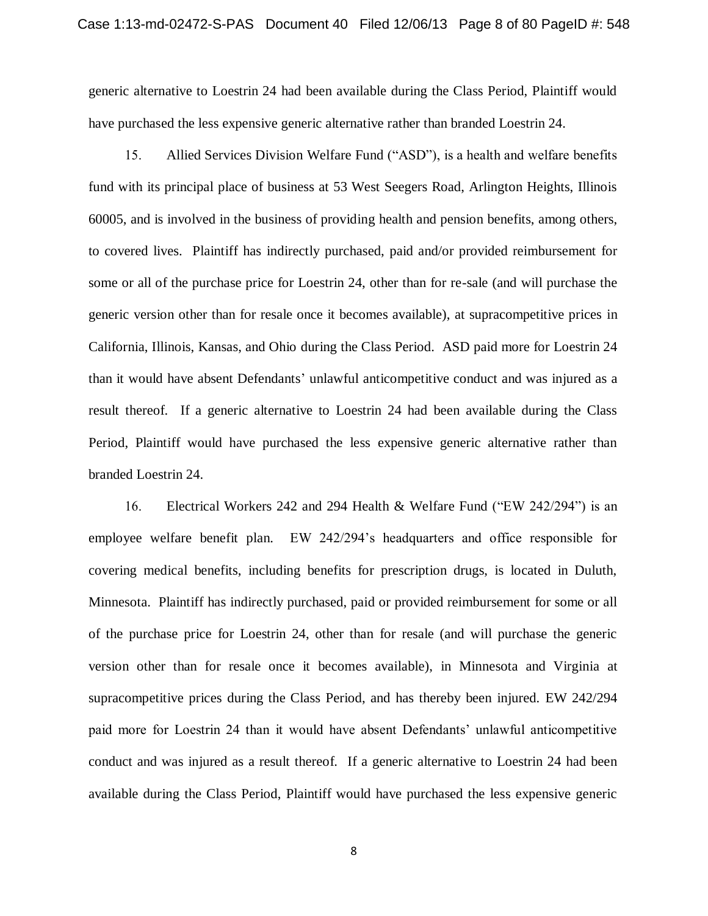generic alternative to Loestrin 24 had been available during the Class Period, Plaintiff would have purchased the less expensive generic alternative rather than branded Loestrin 24.

15. Allied Services Division Welfare Fund ("ASD"), is a health and welfare benefits fund with its principal place of business at 53 West Seegers Road, Arlington Heights, Illinois 60005, and is involved in the business of providing health and pension benefits, among others, to covered lives. Plaintiff has indirectly purchased, paid and/or provided reimbursement for some or all of the purchase price for Loestrin 24, other than for re-sale (and will purchase the generic version other than for resale once it becomes available), at supracompetitive prices in California, Illinois, Kansas, and Ohio during the Class Period. ASD paid more for Loestrin 24 than it would have absent Defendants' unlawful anticompetitive conduct and was injured as a result thereof. If a generic alternative to Loestrin 24 had been available during the Class Period, Plaintiff would have purchased the less expensive generic alternative rather than branded Loestrin 24.

16. Electrical Workers 242 and 294 Health & Welfare Fund ("EW 242/294") is an employee welfare benefit plan. EW 242/294's headquarters and office responsible for covering medical benefits, including benefits for prescription drugs, is located in Duluth, Minnesota. Plaintiff has indirectly purchased, paid or provided reimbursement for some or all of the purchase price for Loestrin 24, other than for resale (and will purchase the generic version other than for resale once it becomes available), in Minnesota and Virginia at supracompetitive prices during the Class Period, and has thereby been injured. EW 242/294 paid more for Loestrin 24 than it would have absent Defendants' unlawful anticompetitive conduct and was injured as a result thereof. If a generic alternative to Loestrin 24 had been available during the Class Period, Plaintiff would have purchased the less expensive generic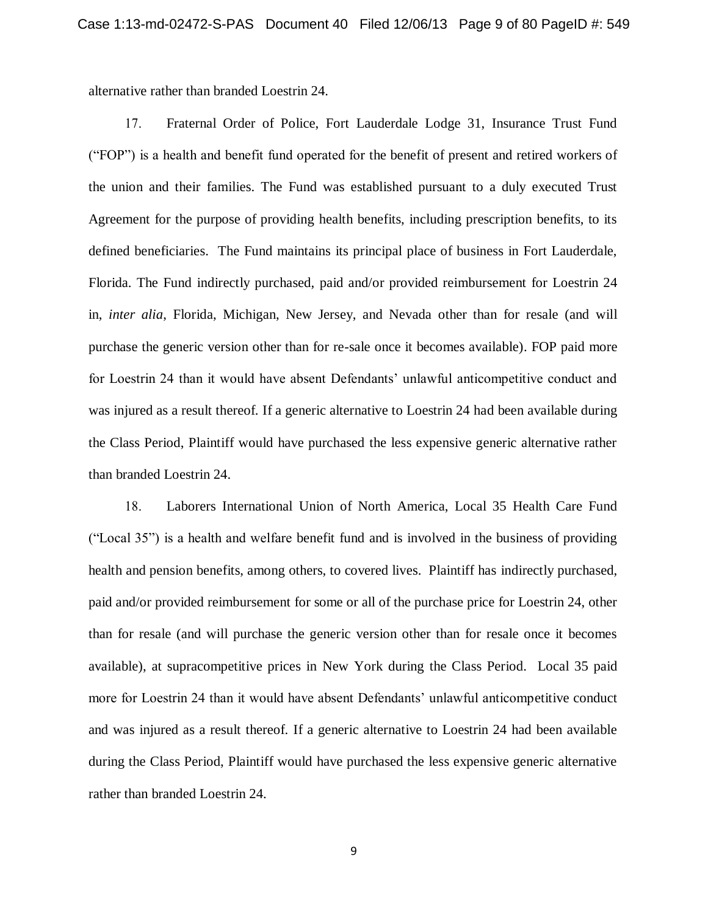alternative rather than branded Loestrin 24.

17. Fraternal Order of Police, Fort Lauderdale Lodge 31, Insurance Trust Fund ("FOP") is a health and benefit fund operated for the benefit of present and retired workers of the union and their families. The Fund was established pursuant to a duly executed Trust Agreement for the purpose of providing health benefits, including prescription benefits, to its defined beneficiaries. The Fund maintains its principal place of business in Fort Lauderdale, Florida. The Fund indirectly purchased, paid and/or provided reimbursement for Loestrin 24 in, *inter alia*, Florida, Michigan, New Jersey, and Nevada other than for resale (and will purchase the generic version other than for re-sale once it becomes available). FOP paid more for Loestrin 24 than it would have absent Defendants' unlawful anticompetitive conduct and was injured as a result thereof. If a generic alternative to Loestrin 24 had been available during the Class Period, Plaintiff would have purchased the less expensive generic alternative rather than branded Loestrin 24.

18. Laborers International Union of North America, Local 35 Health Care Fund ("Local 35") is a health and welfare benefit fund and is involved in the business of providing health and pension benefits, among others, to covered lives. Plaintiff has indirectly purchased, paid and/or provided reimbursement for some or all of the purchase price for Loestrin 24, other than for resale (and will purchase the generic version other than for resale once it becomes available), at supracompetitive prices in New York during the Class Period. Local 35 paid more for Loestrin 24 than it would have absent Defendants' unlawful anticompetitive conduct and was injured as a result thereof. If a generic alternative to Loestrin 24 had been available during the Class Period, Plaintiff would have purchased the less expensive generic alternative rather than branded Loestrin 24.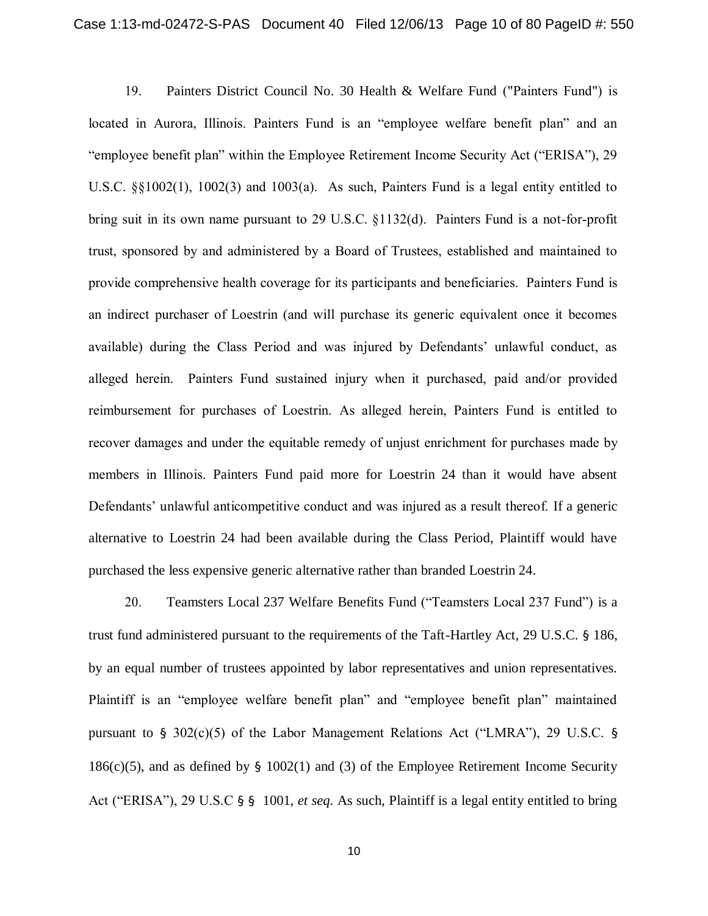19. Painters District Council No. 30 Health & Welfare Fund ("Painters Fund") is located in Aurora, Illinois. Painters Fund is an "employee welfare benefit plan" and an "employee benefit plan" within the Employee Retirement Income Security Act ("ERISA"), 29 U.S.C. §§1002(1), 1002(3) and 1003(a). As such, Painters Fund is a legal entity entitled to bring suit in its own name pursuant to 29 U.S.C. §1132(d). Painters Fund is a not-for-profit trust, sponsored by and administered by a Board of Trustees, established and maintained to provide comprehensive health coverage for its participants and beneficiaries. Painters Fund is an indirect purchaser of Loestrin (and will purchase its generic equivalent once it becomes available) during the Class Period and was injured by Defendants' unlawful conduct, as alleged herein. Painters Fund sustained injury when it purchased, paid and/or provided reimbursement for purchases of Loestrin. As alleged herein, Painters Fund is entitled to recover damages and under the equitable remedy of unjust enrichment for purchases made by members in Illinois. Painters Fund paid more for Loestrin 24 than it would have absent Defendants' unlawful anticompetitive conduct and was injured as a result thereof. If a generic alternative to Loestrin 24 had been available during the Class Period, Plaintiff would have purchased the less expensive generic alternative rather than branded Loestrin 24.

20. Teamsters Local 237 Welfare Benefits Fund ("Teamsters Local 237 Fund") is a trust fund administered pursuant to the requirements of the Taft-Hartley Act, 29 U.S.C. § 186, by an equal number of trustees appointed by labor representatives and union representatives. Plaintiff is an "employee welfare benefit plan" and "employee benefit plan" maintained pursuant to  $\S$  302(c)(5) of the Labor Management Relations Act ("LMRA"), 29 U.S.C.  $\S$ 186(c)(5), and as defined by  $\S$  1002(1) and (3) of the Employee Retirement Income Security Act ("ERISA"), 29 U.S.C § § 1001, *et seq*. As such, Plaintiff is a legal entity entitled to bring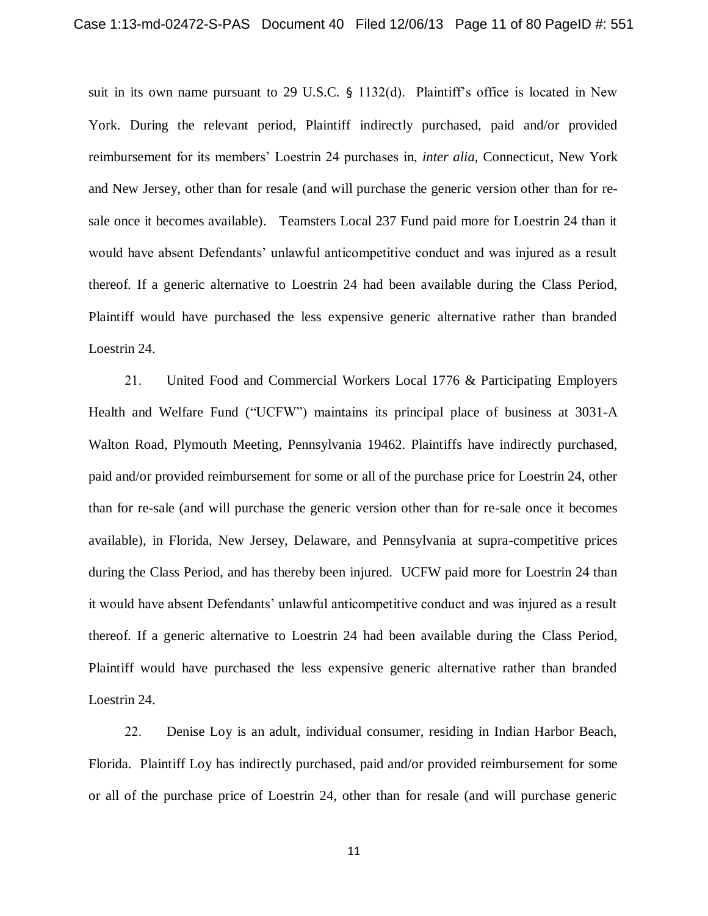suit in its own name pursuant to 29 U.S.C. § 1132(d). Plaintiff's office is located in New York. During the relevant period, Plaintiff indirectly purchased, paid and/or provided reimbursement for its members' Loestrin 24 purchases in, *inter alia*, Connecticut, New York and New Jersey, other than for resale (and will purchase the generic version other than for resale once it becomes available). Teamsters Local 237 Fund paid more for Loestrin 24 than it would have absent Defendants' unlawful anticompetitive conduct and was injured as a result thereof. If a generic alternative to Loestrin 24 had been available during the Class Period, Plaintiff would have purchased the less expensive generic alternative rather than branded Loestrin 24.

21. United Food and Commercial Workers Local 1776 & Participating Employers Health and Welfare Fund ("UCFW") maintains its principal place of business at 3031-A Walton Road, Plymouth Meeting, Pennsylvania 19462. Plaintiffs have indirectly purchased, paid and/or provided reimbursement for some or all of the purchase price for Loestrin 24, other than for re-sale (and will purchase the generic version other than for re-sale once it becomes available), in Florida, New Jersey, Delaware, and Pennsylvania at supra-competitive prices during the Class Period, and has thereby been injured. UCFW paid more for Loestrin 24 than it would have absent Defendants' unlawful anticompetitive conduct and was injured as a result thereof. If a generic alternative to Loestrin 24 had been available during the Class Period, Plaintiff would have purchased the less expensive generic alternative rather than branded Loestrin 24.

22. Denise Loy is an adult, individual consumer, residing in Indian Harbor Beach, Florida. Plaintiff Loy has indirectly purchased, paid and/or provided reimbursement for some or all of the purchase price of Loestrin 24, other than for resale (and will purchase generic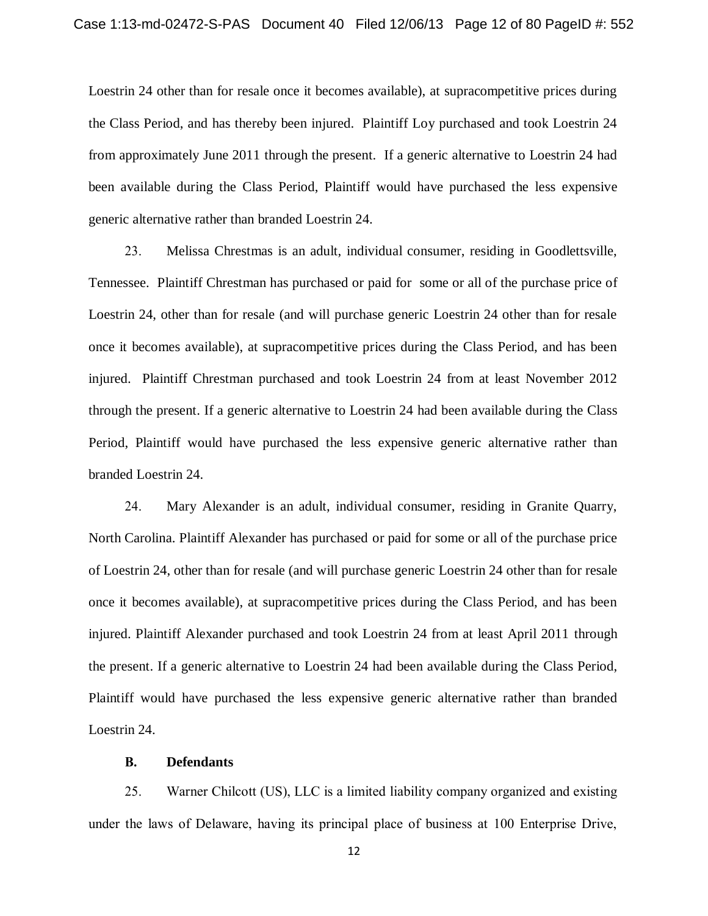Loestrin 24 other than for resale once it becomes available), at supracompetitive prices during the Class Period, and has thereby been injured. Plaintiff Loy purchased and took Loestrin 24 from approximately June 2011 through the present. If a generic alternative to Loestrin 24 had been available during the Class Period, Plaintiff would have purchased the less expensive generic alternative rather than branded Loestrin 24.

23. Melissa Chrestmas is an adult, individual consumer, residing in Goodlettsville, Tennessee. Plaintiff Chrestman has purchased or paid for some or all of the purchase price of Loestrin 24, other than for resale (and will purchase generic Loestrin 24 other than for resale once it becomes available), at supracompetitive prices during the Class Period, and has been injured. Plaintiff Chrestman purchased and took Loestrin 24 from at least November 2012 through the present. If a generic alternative to Loestrin 24 had been available during the Class Period, Plaintiff would have purchased the less expensive generic alternative rather than branded Loestrin 24.

24. Mary Alexander is an adult, individual consumer, residing in Granite Quarry, North Carolina. Plaintiff Alexander has purchased or paid for some or all of the purchase price of Loestrin 24, other than for resale (and will purchase generic Loestrin 24 other than for resale once it becomes available), at supracompetitive prices during the Class Period, and has been injured. Plaintiff Alexander purchased and took Loestrin 24 from at least April 2011 through the present. If a generic alternative to Loestrin 24 had been available during the Class Period, Plaintiff would have purchased the less expensive generic alternative rather than branded Loestrin 24.

## **B. Defendants**

25. Warner Chilcott (US), LLC is a limited liability company organized and existing under the laws of Delaware, having its principal place of business at 100 Enterprise Drive,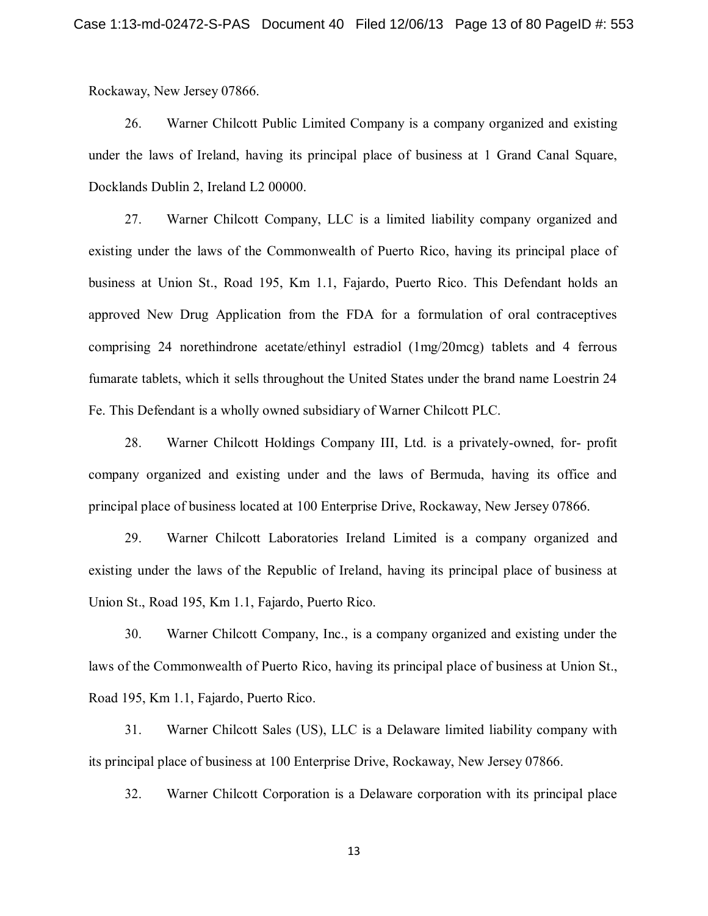Rockaway, New Jersey 07866.

26. Warner Chilcott Public Limited Company is a company organized and existing under the laws of Ireland, having its principal place of business at 1 Grand Canal Square, Docklands Dublin 2, Ireland L2 00000.

27. Warner Chilcott Company, LLC is a limited liability company organized and existing under the laws of the Commonwealth of Puerto Rico, having its principal place of business at Union St., Road 195, Km 1.1, Fajardo, Puerto Rico. This Defendant holds an approved New Drug Application from the FDA for a formulation of oral contraceptives comprising 24 norethindrone acetate/ethinyl estradiol (1mg/20mcg) tablets and 4 ferrous fumarate tablets, which it sells throughout the United States under the brand name Loestrin 24 Fe. This Defendant is a wholly owned subsidiary of Warner Chilcott PLC.

28. Warner Chilcott Holdings Company III, Ltd. is a privately-owned, for- profit company organized and existing under and the laws of Bermuda, having its office and principal place of business located at 100 Enterprise Drive, Rockaway, New Jersey 07866.

29. Warner Chilcott Laboratories Ireland Limited is a company organized and existing under the laws of the Republic of Ireland, having its principal place of business at Union St., Road 195, Km 1.1, Fajardo, Puerto Rico.

30. Warner Chilcott Company, Inc., is a company organized and existing under the laws of the Commonwealth of Puerto Rico, having its principal place of business at Union St., Road 195, Km 1.1, Fajardo, Puerto Rico.

31. Warner Chilcott Sales (US), LLC is a Delaware limited liability company with its principal place of business at 100 Enterprise Drive, Rockaway, New Jersey 07866.

32. Warner Chilcott Corporation is a Delaware corporation with its principal place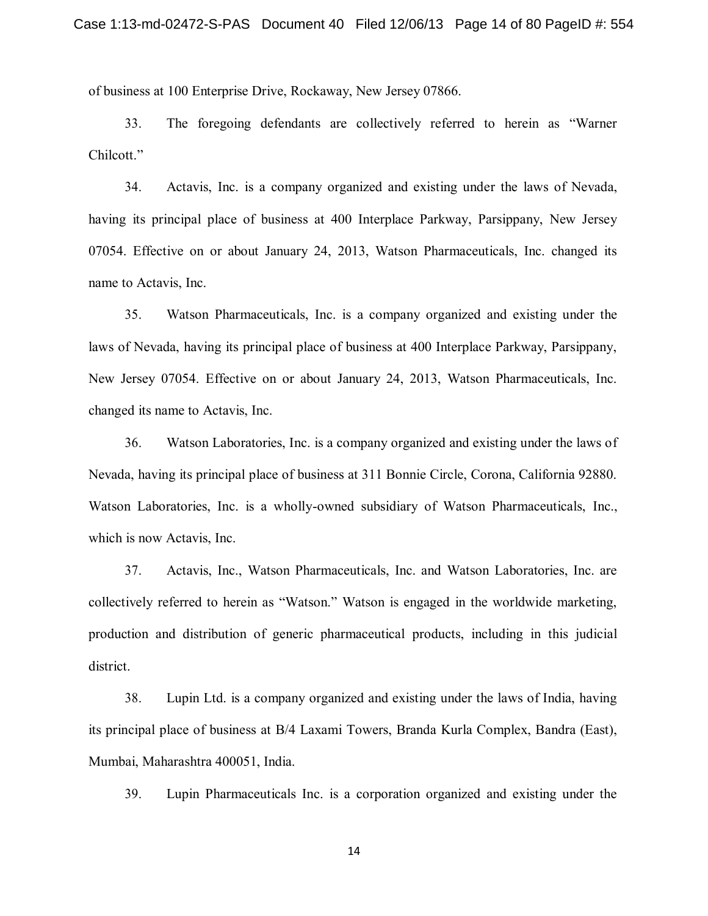of business at 100 Enterprise Drive, Rockaway, New Jersey 07866.

33. The foregoing defendants are collectively referred to herein as "Warner Chilcott."

34. Actavis, Inc. is a company organized and existing under the laws of Nevada, having its principal place of business at 400 Interplace Parkway, Parsippany, New Jersey 07054. Effective on or about January 24, 2013, Watson Pharmaceuticals, Inc. changed its name to Actavis, Inc.

35. Watson Pharmaceuticals, Inc. is a company organized and existing under the laws of Nevada, having its principal place of business at 400 Interplace Parkway, Parsippany, New Jersey 07054. Effective on or about January 24, 2013, Watson Pharmaceuticals, Inc. changed its name to Actavis, Inc.

36. Watson Laboratories, Inc. is a company organized and existing under the laws of Nevada, having its principal place of business at 311 Bonnie Circle, Corona, California 92880. Watson Laboratories, Inc. is a wholly-owned subsidiary of Watson Pharmaceuticals, Inc., which is now Actavis, Inc.

37. Actavis, Inc., Watson Pharmaceuticals, Inc. and Watson Laboratories, Inc. are collectively referred to herein as "Watson." Watson is engaged in the worldwide marketing, production and distribution of generic pharmaceutical products, including in this judicial district.

38. Lupin Ltd. is a company organized and existing under the laws of India, having its principal place of business at B/4 Laxami Towers, Branda Kurla Complex, Bandra (East), Mumbai, Maharashtra 400051, India.

39. Lupin Pharmaceuticals Inc. is a corporation organized and existing under the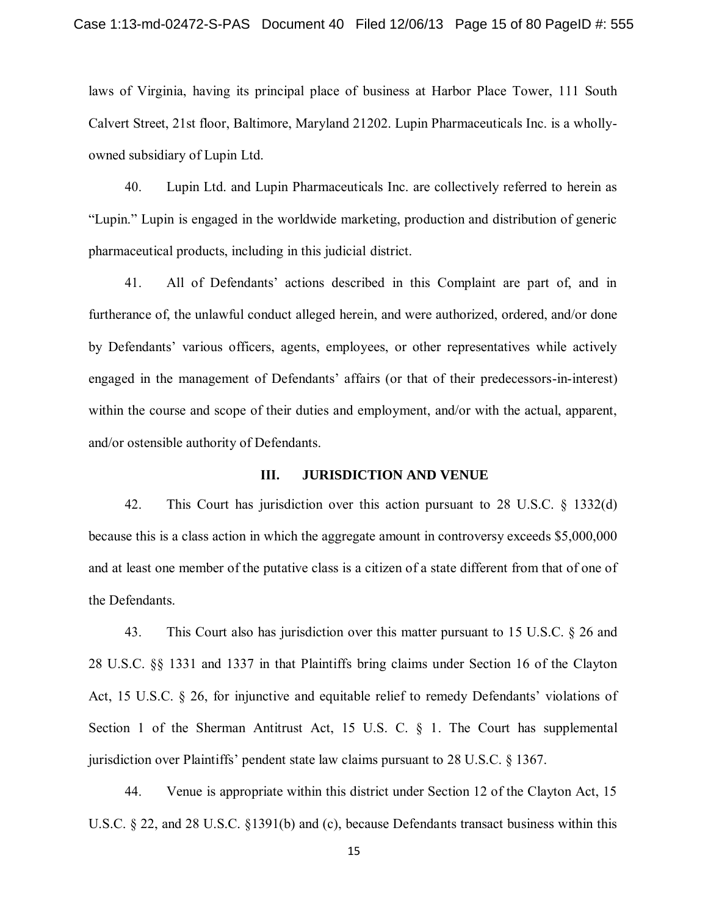laws of Virginia, having its principal place of business at Harbor Place Tower, 111 South Calvert Street, 21st floor, Baltimore, Maryland 21202. Lupin Pharmaceuticals Inc. is a whollyowned subsidiary of Lupin Ltd.

40. Lupin Ltd. and Lupin Pharmaceuticals Inc. are collectively referred to herein as "Lupin." Lupin is engaged in the worldwide marketing, production and distribution of generic pharmaceutical products, including in this judicial district.

41. All of Defendants' actions described in this Complaint are part of, and in furtherance of, the unlawful conduct alleged herein, and were authorized, ordered, and/or done by Defendants' various officers, agents, employees, or other representatives while actively engaged in the management of Defendants' affairs (or that of their predecessors-in-interest) within the course and scope of their duties and employment, and/or with the actual, apparent, and/or ostensible authority of Defendants.

## **III. JURISDICTION AND VENUE**

42. This Court has jurisdiction over this action pursuant to 28 U.S.C. § 1332(d) because this is a class action in which the aggregate amount in controversy exceeds \$5,000,000 and at least one member of the putative class is a citizen of a state different from that of one of the Defendants.

43. This Court also has jurisdiction over this matter pursuant to 15 U.S.C. § 26 and 28 U.S.C. §§ 1331 and 1337 in that Plaintiffs bring claims under Section 16 of the Clayton Act, 15 U.S.C. § 26, for injunctive and equitable relief to remedy Defendants' violations of Section 1 of the Sherman Antitrust Act, 15 U.S. C. § 1. The Court has supplemental jurisdiction over Plaintiffs' pendent state law claims pursuant to 28 U.S.C. § 1367.

44. Venue is appropriate within this district under Section 12 of the Clayton Act, 15 U.S.C. § 22, and 28 U.S.C. §1391(b) and (c), because Defendants transact business within this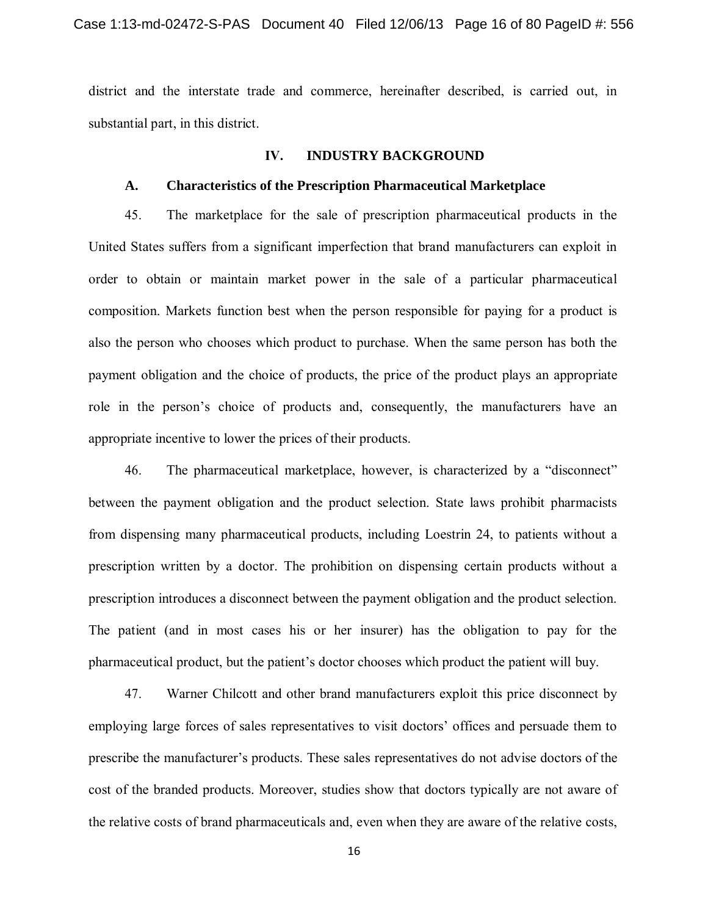district and the interstate trade and commerce, hereinafter described, is carried out, in substantial part, in this district.

## **IV. INDUSTRY BACKGROUND**

## **A. Characteristics of the Prescription Pharmaceutical Marketplace**

45. The marketplace for the sale of prescription pharmaceutical products in the United States suffers from a significant imperfection that brand manufacturers can exploit in order to obtain or maintain market power in the sale of a particular pharmaceutical composition. Markets function best when the person responsible for paying for a product is also the person who chooses which product to purchase. When the same person has both the payment obligation and the choice of products, the price of the product plays an appropriate role in the person's choice of products and, consequently, the manufacturers have an appropriate incentive to lower the prices of their products.

46. The pharmaceutical marketplace, however, is characterized by a "disconnect" between the payment obligation and the product selection. State laws prohibit pharmacists from dispensing many pharmaceutical products, including Loestrin 24, to patients without a prescription written by a doctor. The prohibition on dispensing certain products without a prescription introduces a disconnect between the payment obligation and the product selection. The patient (and in most cases his or her insurer) has the obligation to pay for the pharmaceutical product, but the patient's doctor chooses which product the patient will buy.

47. Warner Chilcott and other brand manufacturers exploit this price disconnect by employing large forces of sales representatives to visit doctors' offices and persuade them to prescribe the manufacturer's products. These sales representatives do not advise doctors of the cost of the branded products. Moreover, studies show that doctors typically are not aware of the relative costs of brand pharmaceuticals and, even when they are aware of the relative costs,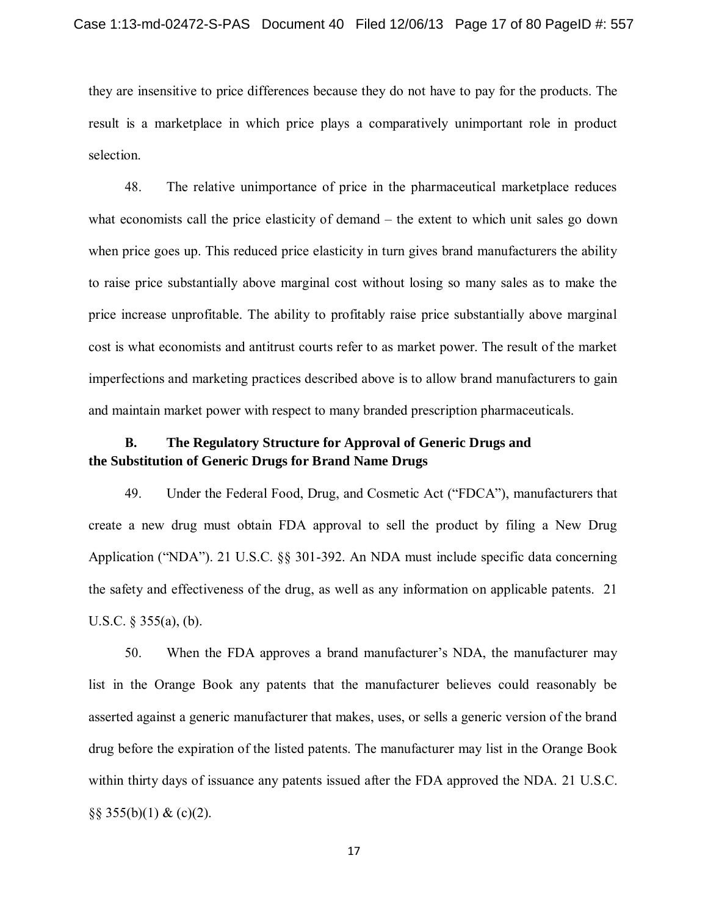they are insensitive to price differences because they do not have to pay for the products. The result is a marketplace in which price plays a comparatively unimportant role in product selection.

48. The relative unimportance of price in the pharmaceutical marketplace reduces what economists call the price elasticity of demand – the extent to which unit sales go down when price goes up. This reduced price elasticity in turn gives brand manufacturers the ability to raise price substantially above marginal cost without losing so many sales as to make the price increase unprofitable. The ability to profitably raise price substantially above marginal cost is what economists and antitrust courts refer to as market power. The result of the market imperfections and marketing practices described above is to allow brand manufacturers to gain and maintain market power with respect to many branded prescription pharmaceuticals.

# **B. The Regulatory Structure for Approval of Generic Drugs and the Substitution of Generic Drugs for Brand Name Drugs**

49. Under the Federal Food, Drug, and Cosmetic Act ("FDCA"), manufacturers that create a new drug must obtain FDA approval to sell the product by filing a New Drug Application ("NDA"). 21 U.S.C. §§ 301-392. An NDA must include specific data concerning the safety and effectiveness of the drug, as well as any information on applicable patents. 21 U.S.C. § 355(a), (b).

50. When the FDA approves a brand manufacturer's NDA, the manufacturer may list in the Orange Book any patents that the manufacturer believes could reasonably be asserted against a generic manufacturer that makes, uses, or sells a generic version of the brand drug before the expiration of the listed patents. The manufacturer may list in the Orange Book within thirty days of issuance any patents issued after the FDA approved the NDA. 21 U.S.C.  $\S$ § 355(b)(1) & (c)(2).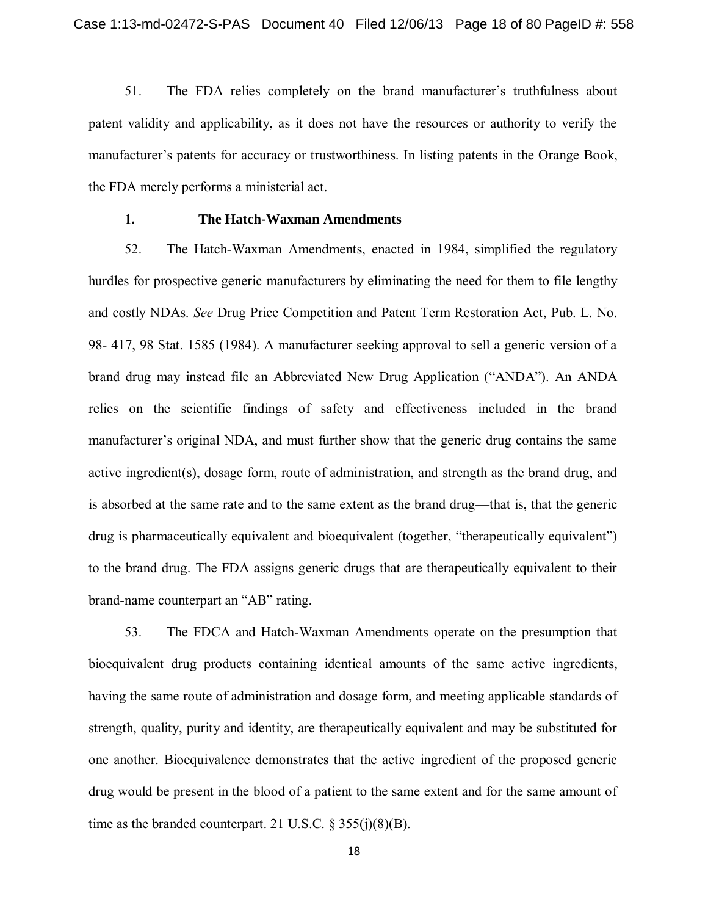51. The FDA relies completely on the brand manufacturer's truthfulness about patent validity and applicability, as it does not have the resources or authority to verify the manufacturer's patents for accuracy or trustworthiness. In listing patents in the Orange Book, the FDA merely performs a ministerial act.

### **1. The Hatch-Waxman Amendments**

52. The Hatch-Waxman Amendments, enacted in 1984, simplified the regulatory hurdles for prospective generic manufacturers by eliminating the need for them to file lengthy and costly NDAs. *See* Drug Price Competition and Patent Term Restoration Act, Pub. L. No. 98- 417, 98 Stat. 1585 (1984). A manufacturer seeking approval to sell a generic version of a brand drug may instead file an Abbreviated New Drug Application ("ANDA"). An ANDA relies on the scientific findings of safety and effectiveness included in the brand manufacturer's original NDA, and must further show that the generic drug contains the same active ingredient(s), dosage form, route of administration, and strength as the brand drug, and is absorbed at the same rate and to the same extent as the brand drug—that is, that the generic drug is pharmaceutically equivalent and bioequivalent (together, "therapeutically equivalent") to the brand drug. The FDA assigns generic drugs that are therapeutically equivalent to their brand-name counterpart an "AB" rating.

53. The FDCA and Hatch-Waxman Amendments operate on the presumption that bioequivalent drug products containing identical amounts of the same active ingredients, having the same route of administration and dosage form, and meeting applicable standards of strength, quality, purity and identity, are therapeutically equivalent and may be substituted for one another. Bioequivalence demonstrates that the active ingredient of the proposed generic drug would be present in the blood of a patient to the same extent and for the same amount of time as the branded counterpart. 21 U.S.C.  $\S 355(i)(8)(B)$ .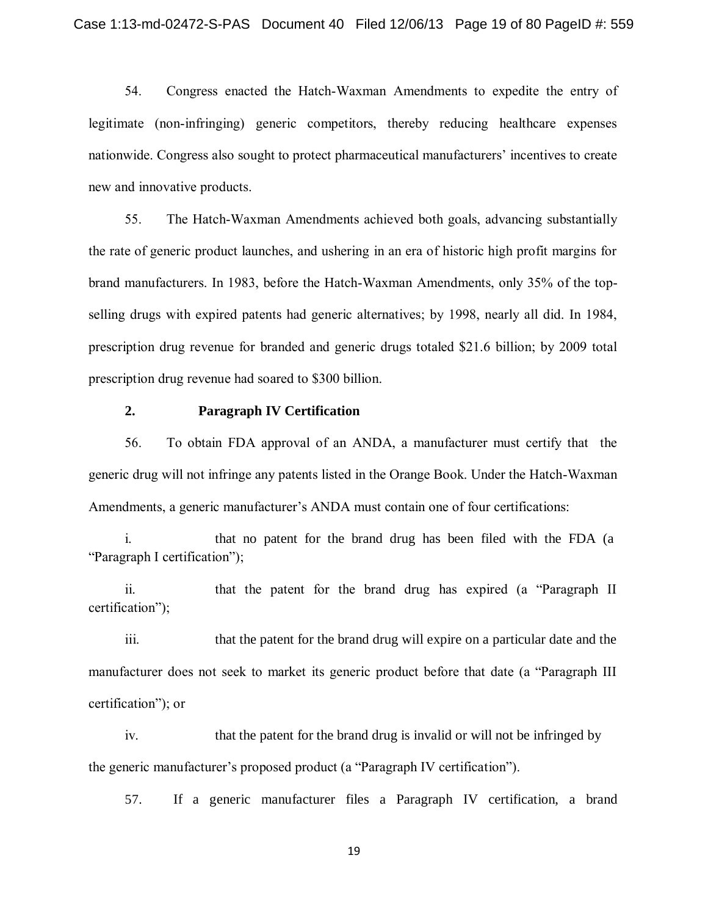54. Congress enacted the Hatch-Waxman Amendments to expedite the entry of legitimate (non-infringing) generic competitors, thereby reducing healthcare expenses nationwide. Congress also sought to protect pharmaceutical manufacturers' incentives to create new and innovative products.

55. The Hatch-Waxman Amendments achieved both goals, advancing substantially the rate of generic product launches, and ushering in an era of historic high profit margins for brand manufacturers. In 1983, before the Hatch-Waxman Amendments, only 35% of the topselling drugs with expired patents had generic alternatives; by 1998, nearly all did. In 1984, prescription drug revenue for branded and generic drugs totaled \$21.6 billion; by 2009 total prescription drug revenue had soared to \$300 billion.

#### **2. Paragraph IV Certification**

56. To obtain FDA approval of an ANDA, a manufacturer must certify that the generic drug will not infringe any patents listed in the Orange Book. Under the Hatch-Waxman Amendments, a generic manufacturer's ANDA must contain one of four certifications:

i. that no patent for the brand drug has been filed with the FDA (a "Paragraph I certification");

ii. that the patent for the brand drug has expired (a "Paragraph II certification");

iii. that the patent for the brand drug will expire on a particular date and the manufacturer does not seek to market its generic product before that date (a "Paragraph III certification"); or

iv. that the patent for the brand drug is invalid or will not be infringed by the generic manufacturer's proposed product (a "Paragraph IV certification").

57. If a generic manufacturer files a Paragraph IV certification, a brand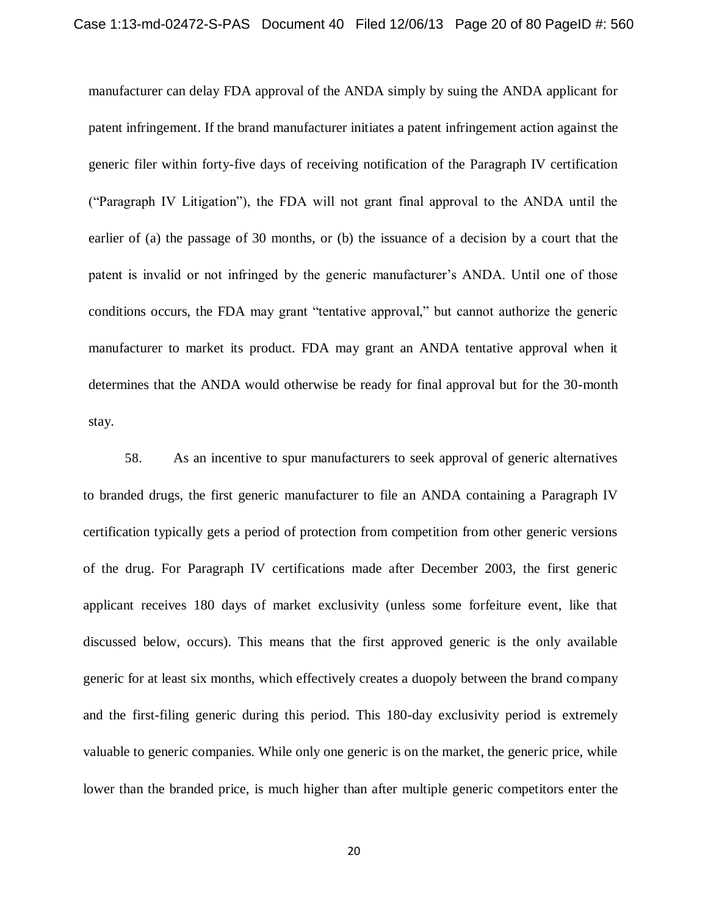manufacturer can delay FDA approval of the ANDA simply by suing the ANDA applicant for patent infringement. If the brand manufacturer initiates a patent infringement action against the generic filer within forty-five days of receiving notification of the Paragraph IV certification ("Paragraph IV Litigation"), the FDA will not grant final approval to the ANDA until the earlier of (a) the passage of 30 months, or (b) the issuance of a decision by a court that the patent is invalid or not infringed by the generic manufacturer's ANDA. Until one of those conditions occurs, the FDA may grant "tentative approval," but cannot authorize the generic manufacturer to market its product. FDA may grant an ANDA tentative approval when it determines that the ANDA would otherwise be ready for final approval but for the 30-month stay.

58. As an incentive to spur manufacturers to seek approval of generic alternatives to branded drugs, the first generic manufacturer to file an ANDA containing a Paragraph IV certification typically gets a period of protection from competition from other generic versions of the drug. For Paragraph IV certifications made after December 2003, the first generic applicant receives 180 days of market exclusivity (unless some forfeiture event, like that discussed below, occurs). This means that the first approved generic is the only available generic for at least six months, which effectively creates a duopoly between the brand company and the first-filing generic during this period. This 180-day exclusivity period is extremely valuable to generic companies. While only one generic is on the market, the generic price, while lower than the branded price, is much higher than after multiple generic competitors enter the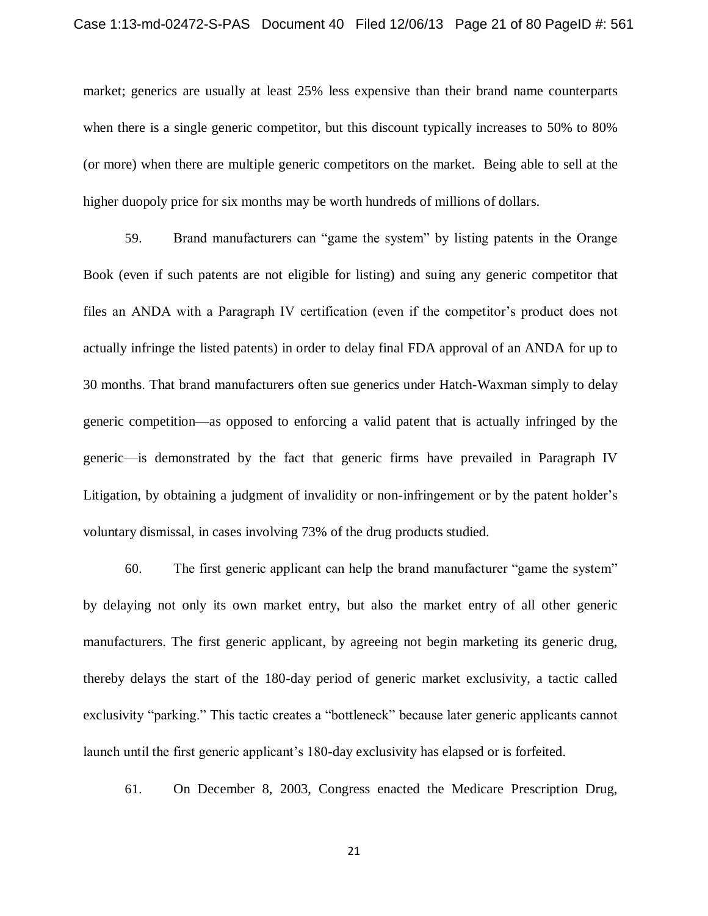market; generics are usually at least 25% less expensive than their brand name counterparts when there is a single generic competitor, but this discount typically increases to 50% to 80% (or more) when there are multiple generic competitors on the market. Being able to sell at the higher duopoly price for six months may be worth hundreds of millions of dollars.

59. Brand manufacturers can "game the system" by listing patents in the Orange Book (even if such patents are not eligible for listing) and suing any generic competitor that files an ANDA with a Paragraph IV certification (even if the competitor's product does not actually infringe the listed patents) in order to delay final FDA approval of an ANDA for up to 30 months. That brand manufacturers often sue generics under Hatch-Waxman simply to delay generic competition—as opposed to enforcing a valid patent that is actually infringed by the generic—is demonstrated by the fact that generic firms have prevailed in Paragraph IV Litigation, by obtaining a judgment of invalidity or non-infringement or by the patent holder's voluntary dismissal, in cases involving 73% of the drug products studied.

60. The first generic applicant can help the brand manufacturer "game the system" by delaying not only its own market entry, but also the market entry of all other generic manufacturers. The first generic applicant, by agreeing not begin marketing its generic drug, thereby delays the start of the 180-day period of generic market exclusivity, a tactic called exclusivity "parking." This tactic creates a "bottleneck" because later generic applicants cannot launch until the first generic applicant's 180-day exclusivity has elapsed or is forfeited.

61. On December 8, 2003, Congress enacted the Medicare Prescription Drug,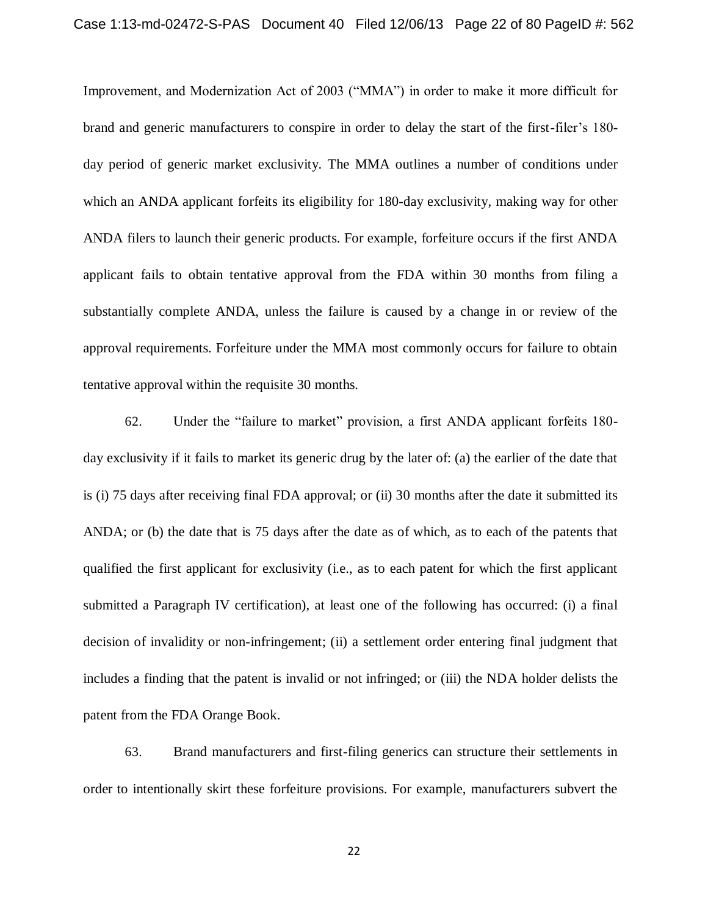Improvement, and Modernization Act of 2003 ("MMA") in order to make it more difficult for brand and generic manufacturers to conspire in order to delay the start of the first-filer's 180 day period of generic market exclusivity. The MMA outlines a number of conditions under which an ANDA applicant forfeits its eligibility for 180-day exclusivity, making way for other ANDA filers to launch their generic products. For example, forfeiture occurs if the first ANDA applicant fails to obtain tentative approval from the FDA within 30 months from filing a substantially complete ANDA, unless the failure is caused by a change in or review of the approval requirements. Forfeiture under the MMA most commonly occurs for failure to obtain tentative approval within the requisite 30 months.

62. Under the "failure to market" provision, a first ANDA applicant forfeits 180 day exclusivity if it fails to market its generic drug by the later of: (a) the earlier of the date that is (i) 75 days after receiving final FDA approval; or (ii) 30 months after the date it submitted its ANDA; or (b) the date that is 75 days after the date as of which, as to each of the patents that qualified the first applicant for exclusivity (i.e., as to each patent for which the first applicant submitted a Paragraph IV certification), at least one of the following has occurred: (i) a final decision of invalidity or non-infringement; (ii) a settlement order entering final judgment that includes a finding that the patent is invalid or not infringed; or (iii) the NDA holder delists the patent from the FDA Orange Book.

63. Brand manufacturers and first-filing generics can structure their settlements in order to intentionally skirt these forfeiture provisions. For example, manufacturers subvert the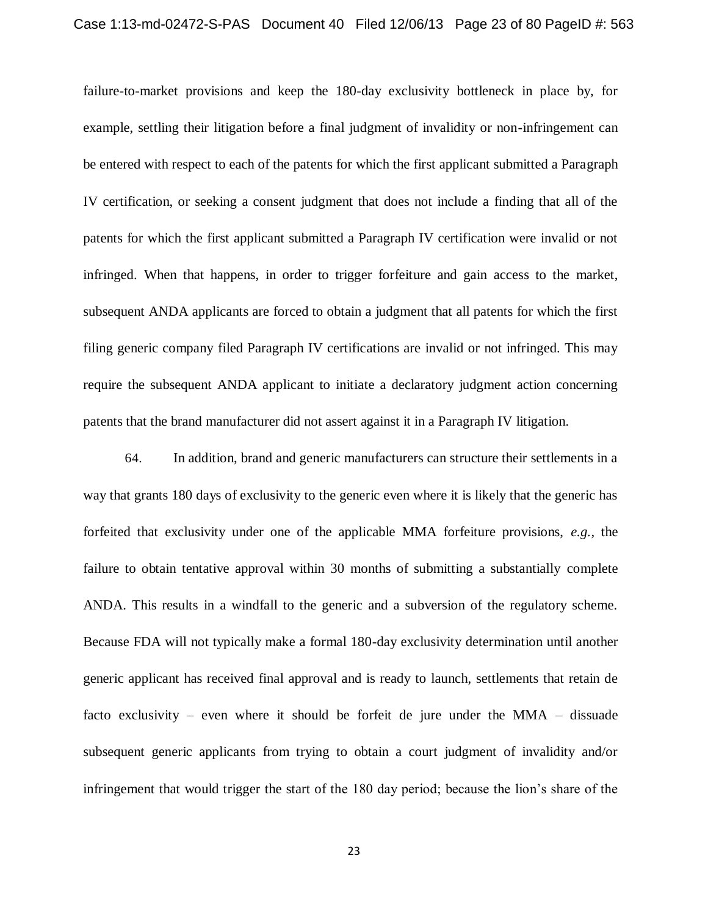failure-to-market provisions and keep the 180-day exclusivity bottleneck in place by, for example, settling their litigation before a final judgment of invalidity or non-infringement can be entered with respect to each of the patents for which the first applicant submitted a Paragraph IV certification, or seeking a consent judgment that does not include a finding that all of the patents for which the first applicant submitted a Paragraph IV certification were invalid or not infringed. When that happens, in order to trigger forfeiture and gain access to the market, subsequent ANDA applicants are forced to obtain a judgment that all patents for which the first filing generic company filed Paragraph IV certifications are invalid or not infringed. This may require the subsequent ANDA applicant to initiate a declaratory judgment action concerning patents that the brand manufacturer did not assert against it in a Paragraph IV litigation.

64. In addition, brand and generic manufacturers can structure their settlements in a way that grants 180 days of exclusivity to the generic even where it is likely that the generic has forfeited that exclusivity under one of the applicable MMA forfeiture provisions, *e.g.*, the failure to obtain tentative approval within 30 months of submitting a substantially complete ANDA. This results in a windfall to the generic and a subversion of the regulatory scheme. Because FDA will not typically make a formal 180-day exclusivity determination until another generic applicant has received final approval and is ready to launch, settlements that retain de facto exclusivity – even where it should be forfeit de jure under the MMA – dissuade subsequent generic applicants from trying to obtain a court judgment of invalidity and/or infringement that would trigger the start of the 180 day period; because the lion's share of the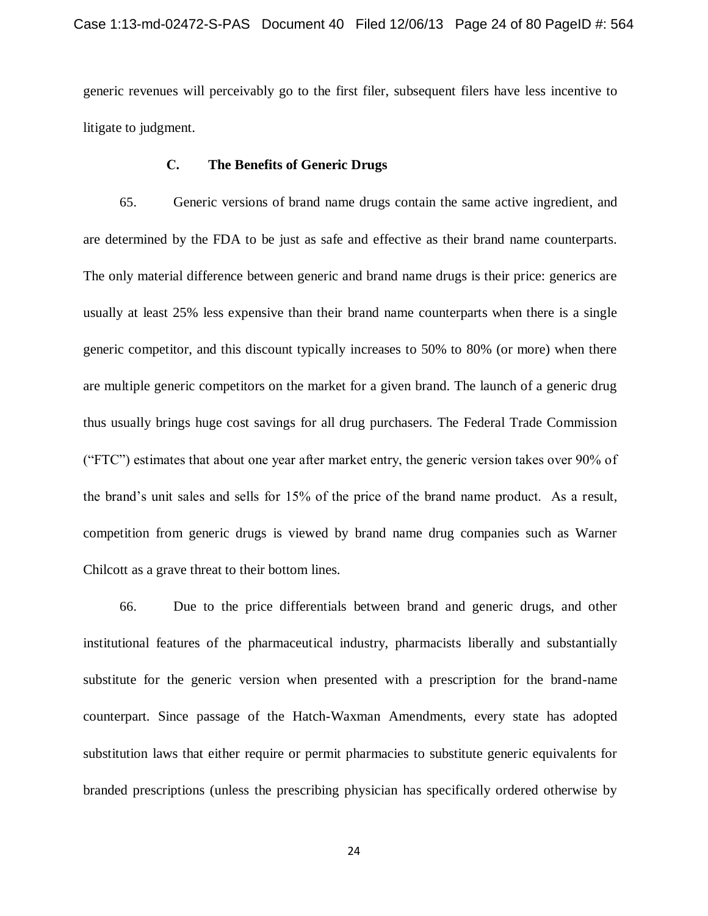generic revenues will perceivably go to the first filer, subsequent filers have less incentive to litigate to judgment.

# **C. The Benefits of Generic Drugs**

65. Generic versions of brand name drugs contain the same active ingredient, and are determined by the FDA to be just as safe and effective as their brand name counterparts. The only material difference between generic and brand name drugs is their price: generics are usually at least 25% less expensive than their brand name counterparts when there is a single generic competitor, and this discount typically increases to 50% to 80% (or more) when there are multiple generic competitors on the market for a given brand. The launch of a generic drug thus usually brings huge cost savings for all drug purchasers. The Federal Trade Commission ("FTC") estimates that about one year after market entry, the generic version takes over 90% of the brand's unit sales and sells for 15% of the price of the brand name product. As a result, competition from generic drugs is viewed by brand name drug companies such as Warner Chilcott as a grave threat to their bottom lines.

66. Due to the price differentials between brand and generic drugs, and other institutional features of the pharmaceutical industry, pharmacists liberally and substantially substitute for the generic version when presented with a prescription for the brand-name counterpart. Since passage of the Hatch-Waxman Amendments, every state has adopted substitution laws that either require or permit pharmacies to substitute generic equivalents for branded prescriptions (unless the prescribing physician has specifically ordered otherwise by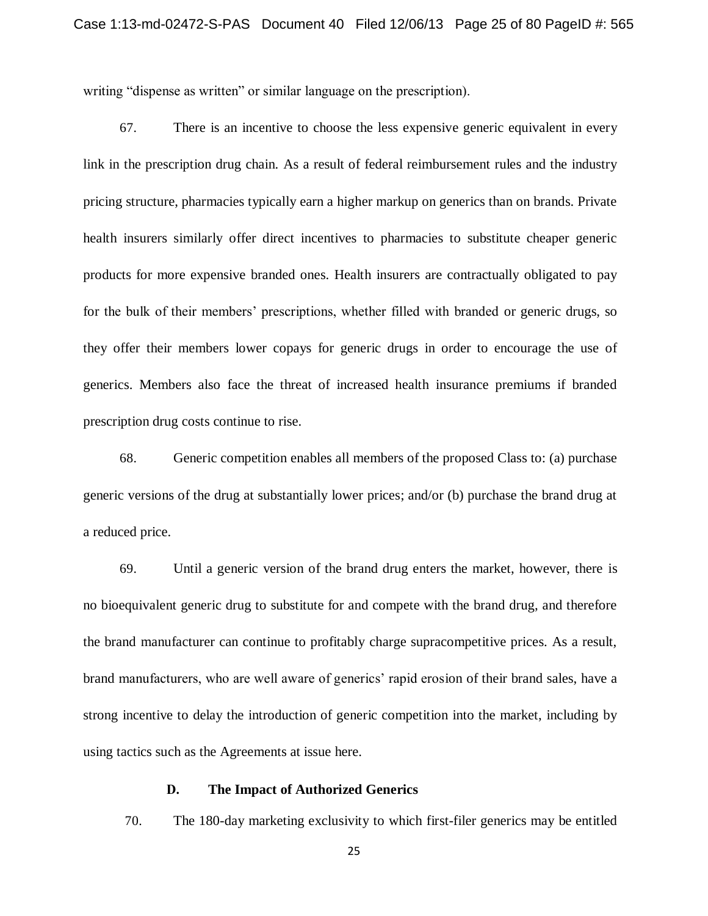writing "dispense as written" or similar language on the prescription).

67. There is an incentive to choose the less expensive generic equivalent in every link in the prescription drug chain. As a result of federal reimbursement rules and the industry pricing structure, pharmacies typically earn a higher markup on generics than on brands. Private health insurers similarly offer direct incentives to pharmacies to substitute cheaper generic products for more expensive branded ones. Health insurers are contractually obligated to pay for the bulk of their members' prescriptions, whether filled with branded or generic drugs, so they offer their members lower copays for generic drugs in order to encourage the use of generics. Members also face the threat of increased health insurance premiums if branded prescription drug costs continue to rise.

68. Generic competition enables all members of the proposed Class to: (a) purchase generic versions of the drug at substantially lower prices; and/or (b) purchase the brand drug at a reduced price.

69. Until a generic version of the brand drug enters the market, however, there is no bioequivalent generic drug to substitute for and compete with the brand drug, and therefore the brand manufacturer can continue to profitably charge supracompetitive prices. As a result, brand manufacturers, who are well aware of generics' rapid erosion of their brand sales, have a strong incentive to delay the introduction of generic competition into the market, including by using tactics such as the Agreements at issue here.

# **D. The Impact of Authorized Generics**

70. The 180-day marketing exclusivity to which first-filer generics may be entitled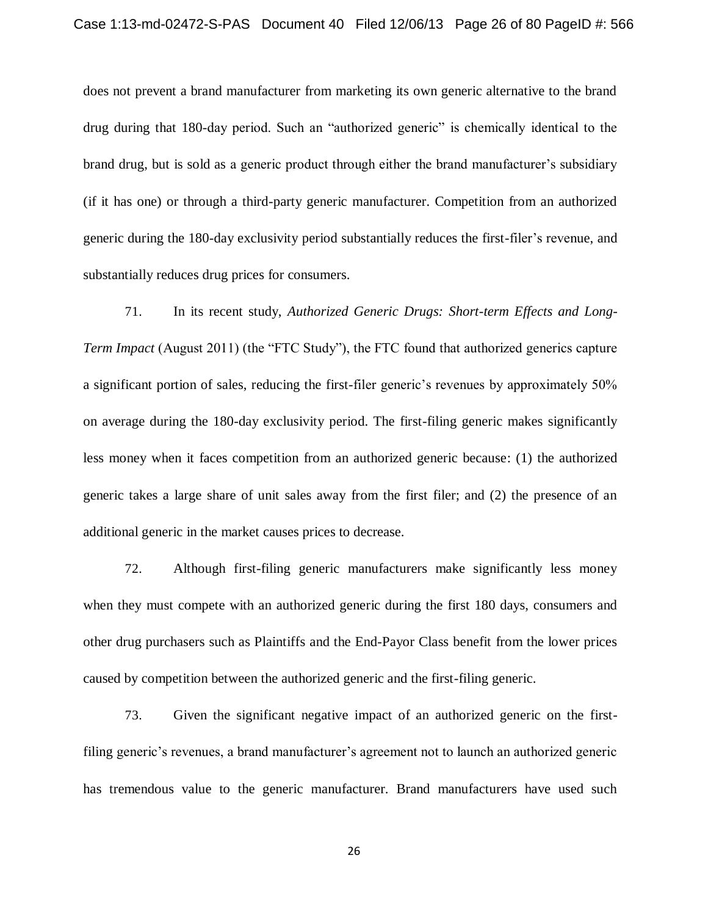does not prevent a brand manufacturer from marketing its own generic alternative to the brand drug during that 180-day period. Such an "authorized generic" is chemically identical to the brand drug, but is sold as a generic product through either the brand manufacturer's subsidiary (if it has one) or through a third-party generic manufacturer. Competition from an authorized generic during the 180-day exclusivity period substantially reduces the first-filer's revenue, and substantially reduces drug prices for consumers.

71. In its recent study, *Authorized Generic Drugs: Short-term Effects and Long-Term Impact* (August 2011) (the "FTC Study"), the FTC found that authorized generics capture a significant portion of sales, reducing the first-filer generic's revenues by approximately 50% on average during the 180-day exclusivity period. The first-filing generic makes significantly less money when it faces competition from an authorized generic because: (1) the authorized generic takes a large share of unit sales away from the first filer; and (2) the presence of an additional generic in the market causes prices to decrease.

72. Although first-filing generic manufacturers make significantly less money when they must compete with an authorized generic during the first 180 days, consumers and other drug purchasers such as Plaintiffs and the End-Payor Class benefit from the lower prices caused by competition between the authorized generic and the first-filing generic.

73. Given the significant negative impact of an authorized generic on the firstfiling generic's revenues, a brand manufacturer's agreement not to launch an authorized generic has tremendous value to the generic manufacturer. Brand manufacturers have used such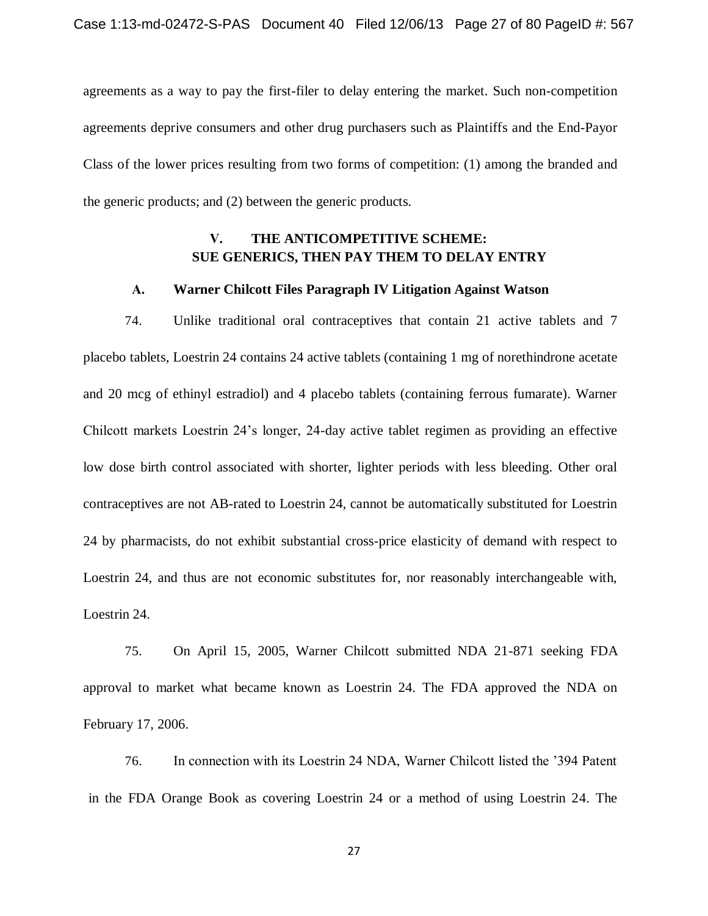agreements as a way to pay the first-filer to delay entering the market. Such non-competition agreements deprive consumers and other drug purchasers such as Plaintiffs and the End-Payor Class of the lower prices resulting from two forms of competition: (1) among the branded and the generic products; and (2) between the generic products.

# **V. THE ANTICOMPETITIVE SCHEME: SUE GENERICS, THEN PAY THEM TO DELAY ENTRY**

### **A. Warner Chilcott Files Paragraph IV Litigation Against Watson**

74. Unlike traditional oral contraceptives that contain 21 active tablets and 7 placebo tablets, Loestrin 24 contains 24 active tablets (containing 1 mg of norethindrone acetate and 20 mcg of ethinyl estradiol) and 4 placebo tablets (containing ferrous fumarate). Warner Chilcott markets Loestrin 24's longer, 24-day active tablet regimen as providing an effective low dose birth control associated with shorter, lighter periods with less bleeding. Other oral contraceptives are not AB-rated to Loestrin 24, cannot be automatically substituted for Loestrin 24 by pharmacists, do not exhibit substantial cross-price elasticity of demand with respect to Loestrin 24, and thus are not economic substitutes for, nor reasonably interchangeable with, Loestrin 24.

75. On April 15, 2005, Warner Chilcott submitted NDA 21-871 seeking FDA approval to market what became known as Loestrin 24. The FDA approved the NDA on February 17, 2006.

76. In connection with its Loestrin 24 NDA, Warner Chilcott listed the '394 Patent in the FDA Orange Book as covering Loestrin 24 or a method of using Loestrin 24. The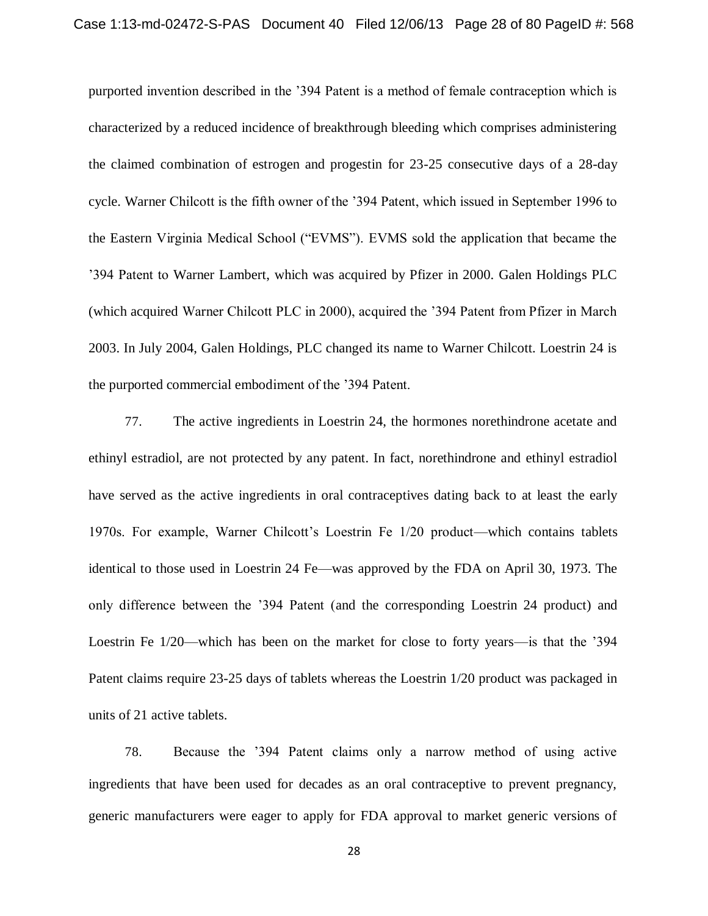purported invention described in the '394 Patent is a method of female contraception which is characterized by a reduced incidence of breakthrough bleeding which comprises administering the claimed combination of estrogen and progestin for 23-25 consecutive days of a 28-day cycle. Warner Chilcott is the fifth owner of the '394 Patent, which issued in September 1996 to the Eastern Virginia Medical School ("EVMS"). EVMS sold the application that became the '394 Patent to Warner Lambert, which was acquired by Pfizer in 2000. Galen Holdings PLC (which acquired Warner Chilcott PLC in 2000), acquired the '394 Patent from Pfizer in March 2003. In July 2004, Galen Holdings, PLC changed its name to Warner Chilcott. Loestrin 24 is the purported commercial embodiment of the '394 Patent.

77. The active ingredients in Loestrin 24, the hormones norethindrone acetate and ethinyl estradiol, are not protected by any patent. In fact, norethindrone and ethinyl estradiol have served as the active ingredients in oral contraceptives dating back to at least the early 1970s. For example, Warner Chilcott's Loestrin Fe 1/20 product—which contains tablets identical to those used in Loestrin 24 Fe—was approved by the FDA on April 30, 1973. The only difference between the '394 Patent (and the corresponding Loestrin 24 product) and Loestrin Fe 1/20—which has been on the market for close to forty years—is that the '394 Patent claims require 23-25 days of tablets whereas the Loestrin 1/20 product was packaged in units of 21 active tablets.

78. Because the '394 Patent claims only a narrow method of using active ingredients that have been used for decades as an oral contraceptive to prevent pregnancy, generic manufacturers were eager to apply for FDA approval to market generic versions of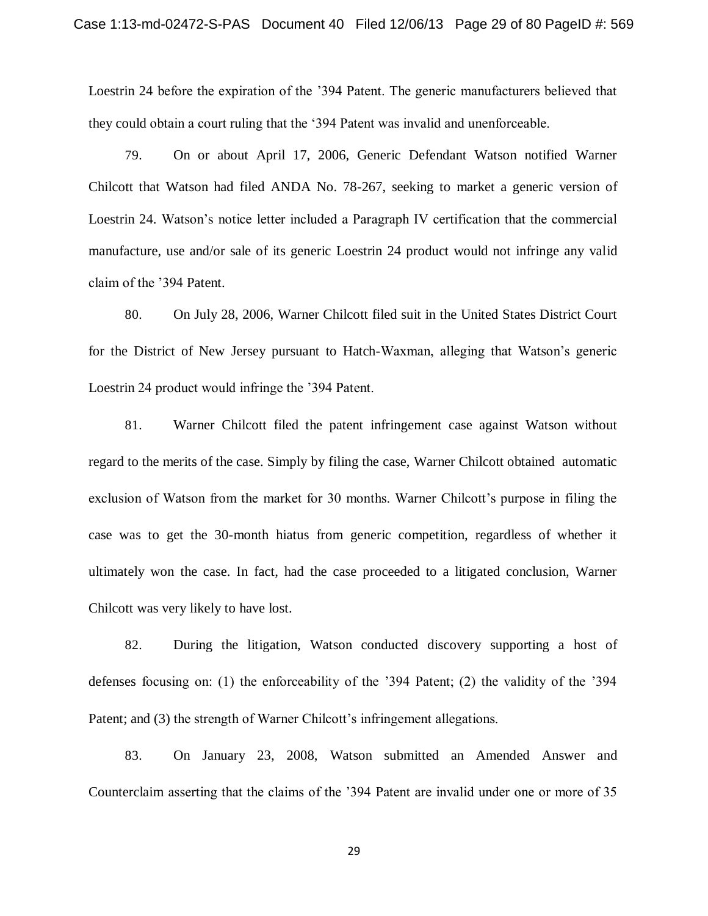Loestrin 24 before the expiration of the '394 Patent. The generic manufacturers believed that they could obtain a court ruling that the '394 Patent was invalid and unenforceable.

79. On or about April 17, 2006, Generic Defendant Watson notified Warner Chilcott that Watson had filed ANDA No. 78-267, seeking to market a generic version of Loestrin 24. Watson's notice letter included a Paragraph IV certification that the commercial manufacture, use and/or sale of its generic Loestrin 24 product would not infringe any valid claim of the '394 Patent.

80. On July 28, 2006, Warner Chilcott filed suit in the United States District Court for the District of New Jersey pursuant to Hatch-Waxman, alleging that Watson's generic Loestrin 24 product would infringe the '394 Patent.

81. Warner Chilcott filed the patent infringement case against Watson without regard to the merits of the case. Simply by filing the case, Warner Chilcott obtained automatic exclusion of Watson from the market for 30 months. Warner Chilcott's purpose in filing the case was to get the 30-month hiatus from generic competition, regardless of whether it ultimately won the case. In fact, had the case proceeded to a litigated conclusion, Warner Chilcott was very likely to have lost.

82. During the litigation, Watson conducted discovery supporting a host of defenses focusing on: (1) the enforceability of the '394 Patent; (2) the validity of the '394 Patent; and (3) the strength of Warner Chilcott's infringement allegations.

83. On January 23, 2008, Watson submitted an Amended Answer and Counterclaim asserting that the claims of the '394 Patent are invalid under one or more of 35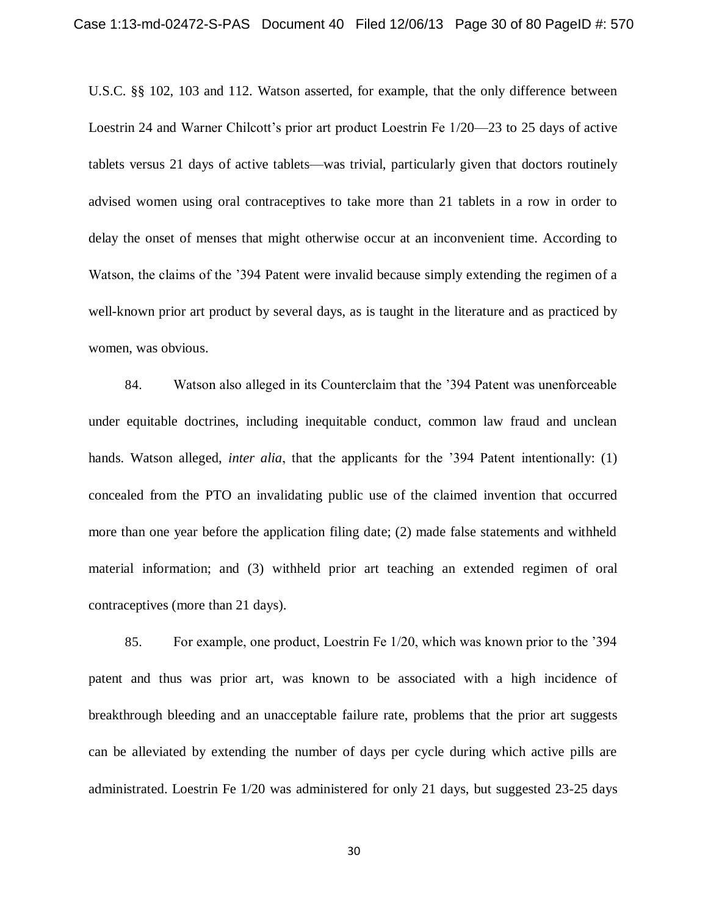U.S.C. §§ 102, 103 and 112. Watson asserted, for example, that the only difference between Loestrin 24 and Warner Chilcott's prior art product Loestrin Fe 1/20—23 to 25 days of active tablets versus 21 days of active tablets—was trivial, particularly given that doctors routinely advised women using oral contraceptives to take more than 21 tablets in a row in order to delay the onset of menses that might otherwise occur at an inconvenient time. According to Watson, the claims of the '394 Patent were invalid because simply extending the regimen of a well-known prior art product by several days, as is taught in the literature and as practiced by women, was obvious.

84. Watson also alleged in its Counterclaim that the '394 Patent was unenforceable under equitable doctrines, including inequitable conduct, common law fraud and unclean hands. Watson alleged, *inter alia*, that the applicants for the '394 Patent intentionally: (1) concealed from the PTO an invalidating public use of the claimed invention that occurred more than one year before the application filing date; (2) made false statements and withheld material information; and (3) withheld prior art teaching an extended regimen of oral contraceptives (more than 21 days).

85. For example, one product, Loestrin Fe 1/20, which was known prior to the '394 patent and thus was prior art, was known to be associated with a high incidence of breakthrough bleeding and an unacceptable failure rate, problems that the prior art suggests can be alleviated by extending the number of days per cycle during which active pills are administrated. Loestrin Fe 1/20 was administered for only 21 days, but suggested 23-25 days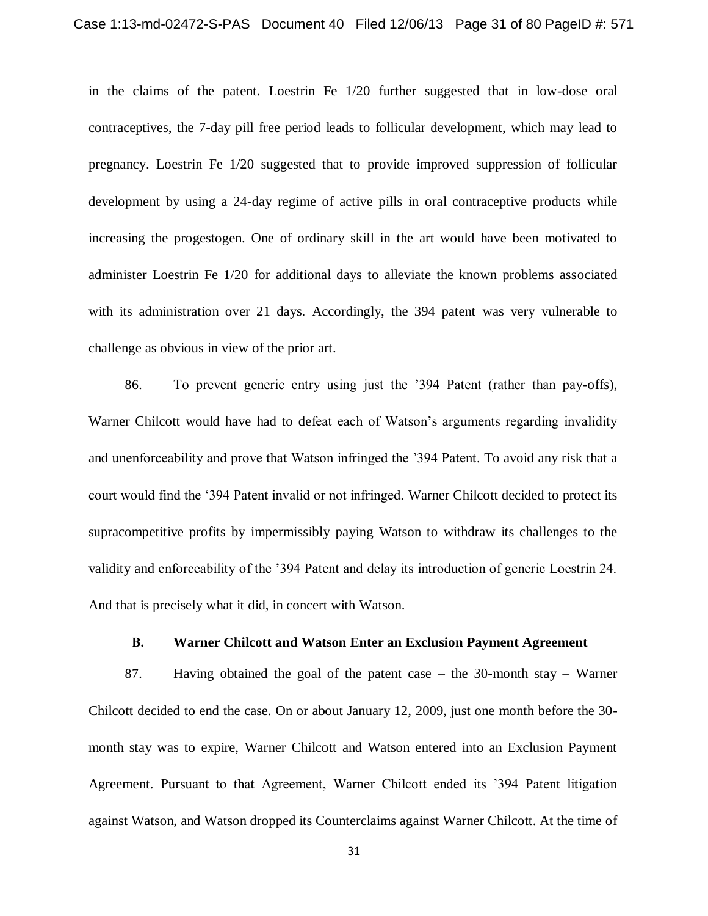in the claims of the patent. Loestrin Fe 1/20 further suggested that in low-dose oral contraceptives, the 7-day pill free period leads to follicular development, which may lead to pregnancy. Loestrin Fe 1/20 suggested that to provide improved suppression of follicular development by using a 24-day regime of active pills in oral contraceptive products while increasing the progestogen. One of ordinary skill in the art would have been motivated to administer Loestrin Fe 1/20 for additional days to alleviate the known problems associated with its administration over 21 days. Accordingly, the 394 patent was very vulnerable to challenge as obvious in view of the prior art.

86. To prevent generic entry using just the '394 Patent (rather than pay-offs), Warner Chilcott would have had to defeat each of Watson's arguments regarding invalidity and unenforceability and prove that Watson infringed the '394 Patent. To avoid any risk that a court would find the '394 Patent invalid or not infringed. Warner Chilcott decided to protect its supracompetitive profits by impermissibly paying Watson to withdraw its challenges to the validity and enforceability of the '394 Patent and delay its introduction of generic Loestrin 24. And that is precisely what it did, in concert with Watson.

# **B. Warner Chilcott and Watson Enter an Exclusion Payment Agreement**

87. Having obtained the goal of the patent case – the 30-month stay – Warner Chilcott decided to end the case. On or about January 12, 2009, just one month before the 30 month stay was to expire, Warner Chilcott and Watson entered into an Exclusion Payment Agreement. Pursuant to that Agreement, Warner Chilcott ended its '394 Patent litigation against Watson, and Watson dropped its Counterclaims against Warner Chilcott. At the time of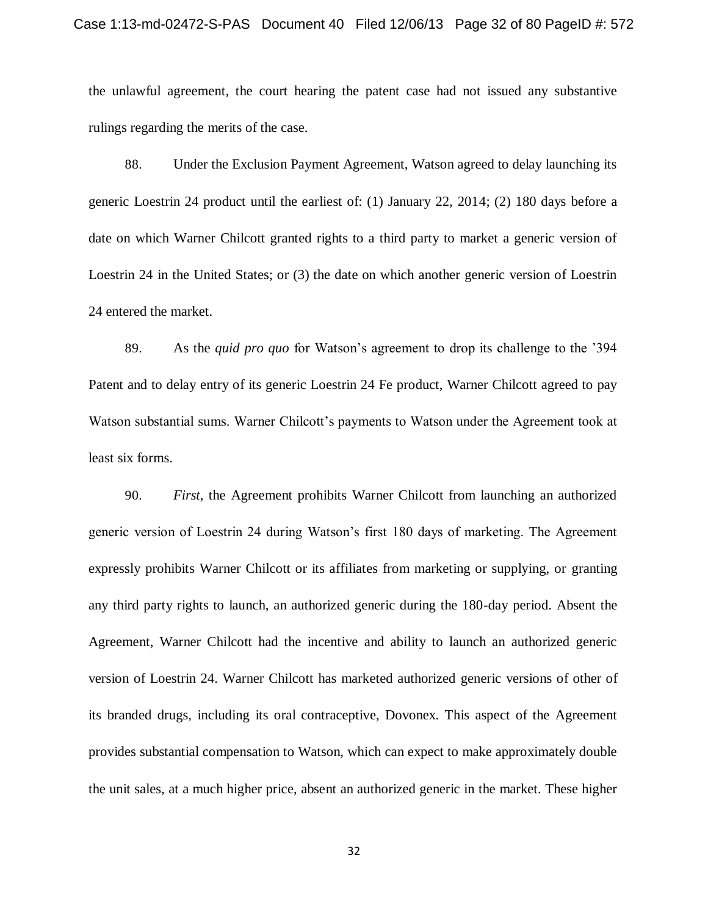the unlawful agreement, the court hearing the patent case had not issued any substantive rulings regarding the merits of the case.

88. Under the Exclusion Payment Agreement, Watson agreed to delay launching its generic Loestrin 24 product until the earliest of: (1) January 22, 2014; (2) 180 days before a date on which Warner Chilcott granted rights to a third party to market a generic version of Loestrin 24 in the United States; or (3) the date on which another generic version of Loestrin 24 entered the market.

89. As the *quid pro quo* for Watson's agreement to drop its challenge to the '394 Patent and to delay entry of its generic Loestrin 24 Fe product, Warner Chilcott agreed to pay Watson substantial sums. Warner Chilcott's payments to Watson under the Agreement took at least six forms.

90. *First*, the Agreement prohibits Warner Chilcott from launching an authorized generic version of Loestrin 24 during Watson's first 180 days of marketing. The Agreement expressly prohibits Warner Chilcott or its affiliates from marketing or supplying, or granting any third party rights to launch, an authorized generic during the 180-day period. Absent the Agreement, Warner Chilcott had the incentive and ability to launch an authorized generic version of Loestrin 24. Warner Chilcott has marketed authorized generic versions of other of its branded drugs, including its oral contraceptive, Dovonex. This aspect of the Agreement provides substantial compensation to Watson, which can expect to make approximately double the unit sales, at a much higher price, absent an authorized generic in the market. These higher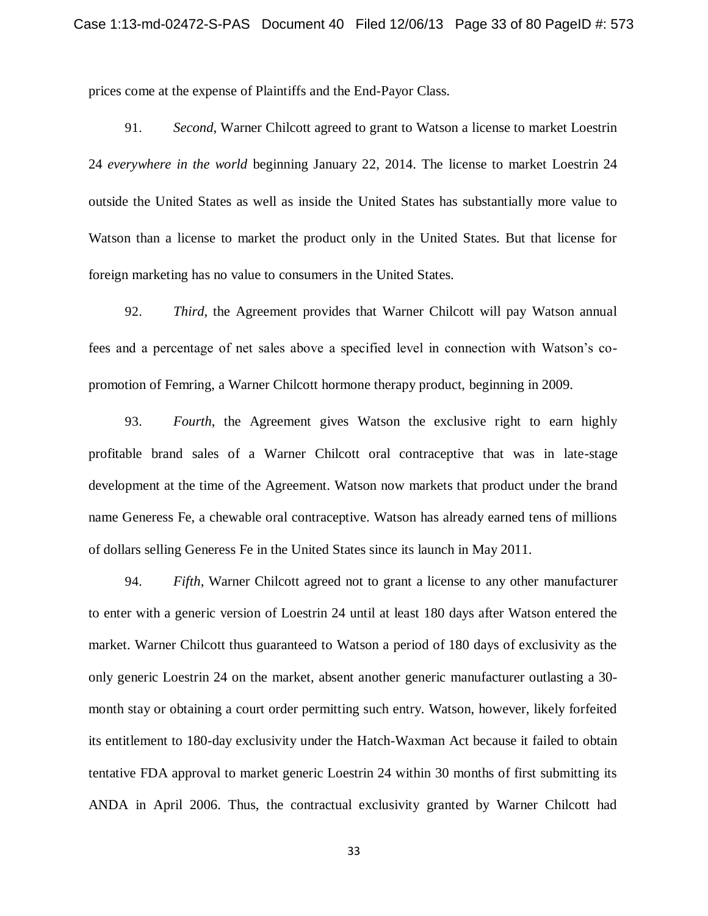prices come at the expense of Plaintiffs and the End-Payor Class.

91. *Second*, Warner Chilcott agreed to grant to Watson a license to market Loestrin 24 *everywhere in the world* beginning January 22, 2014. The license to market Loestrin 24 outside the United States as well as inside the United States has substantially more value to Watson than a license to market the product only in the United States. But that license for foreign marketing has no value to consumers in the United States.

92. *Third*, the Agreement provides that Warner Chilcott will pay Watson annual fees and a percentage of net sales above a specified level in connection with Watson's copromotion of Femring, a Warner Chilcott hormone therapy product, beginning in 2009.

93. *Fourth*, the Agreement gives Watson the exclusive right to earn highly profitable brand sales of a Warner Chilcott oral contraceptive that was in late-stage development at the time of the Agreement. Watson now markets that product under the brand name Generess Fe, a chewable oral contraceptive. Watson has already earned tens of millions of dollars selling Generess Fe in the United States since its launch in May 2011.

94. *Fifth*, Warner Chilcott agreed not to grant a license to any other manufacturer to enter with a generic version of Loestrin 24 until at least 180 days after Watson entered the market. Warner Chilcott thus guaranteed to Watson a period of 180 days of exclusivity as the only generic Loestrin 24 on the market, absent another generic manufacturer outlasting a 30 month stay or obtaining a court order permitting such entry. Watson, however, likely forfeited its entitlement to 180-day exclusivity under the Hatch-Waxman Act because it failed to obtain tentative FDA approval to market generic Loestrin 24 within 30 months of first submitting its ANDA in April 2006. Thus, the contractual exclusivity granted by Warner Chilcott had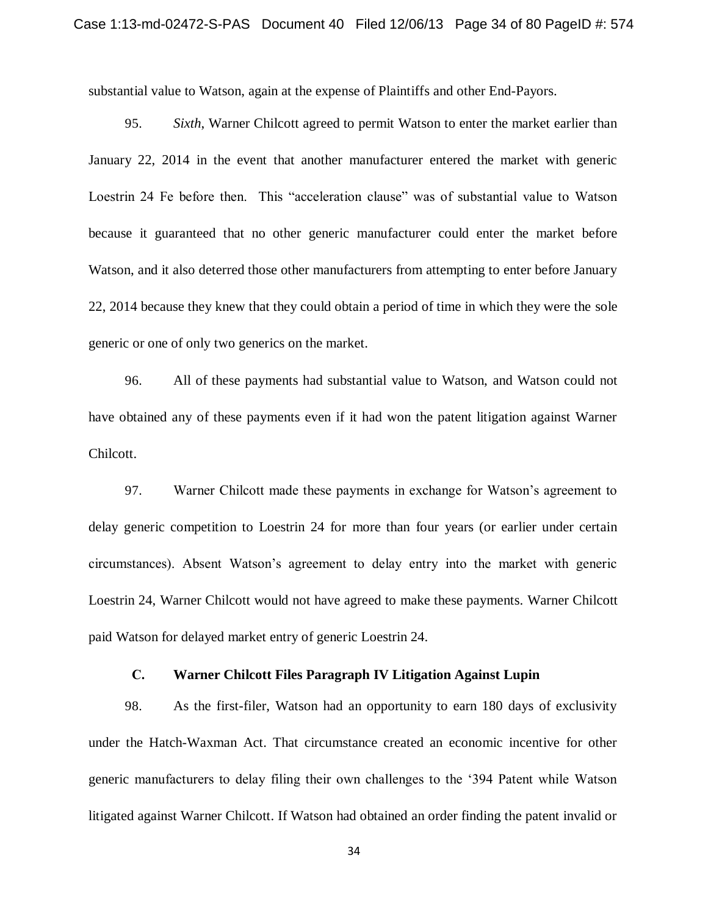substantial value to Watson, again at the expense of Plaintiffs and other End-Payors.

95. *Sixth*, Warner Chilcott agreed to permit Watson to enter the market earlier than January 22, 2014 in the event that another manufacturer entered the market with generic Loestrin 24 Fe before then. This "acceleration clause" was of substantial value to Watson because it guaranteed that no other generic manufacturer could enter the market before Watson, and it also deterred those other manufacturers from attempting to enter before January 22, 2014 because they knew that they could obtain a period of time in which they were the sole generic or one of only two generics on the market.

96. All of these payments had substantial value to Watson, and Watson could not have obtained any of these payments even if it had won the patent litigation against Warner Chilcott.

97. Warner Chilcott made these payments in exchange for Watson's agreement to delay generic competition to Loestrin 24 for more than four years (or earlier under certain circumstances). Absent Watson's agreement to delay entry into the market with generic Loestrin 24, Warner Chilcott would not have agreed to make these payments. Warner Chilcott paid Watson for delayed market entry of generic Loestrin 24.

# **C. Warner Chilcott Files Paragraph IV Litigation Against Lupin**

98. As the first-filer, Watson had an opportunity to earn 180 days of exclusivity under the Hatch-Waxman Act. That circumstance created an economic incentive for other generic manufacturers to delay filing their own challenges to the '394 Patent while Watson litigated against Warner Chilcott. If Watson had obtained an order finding the patent invalid or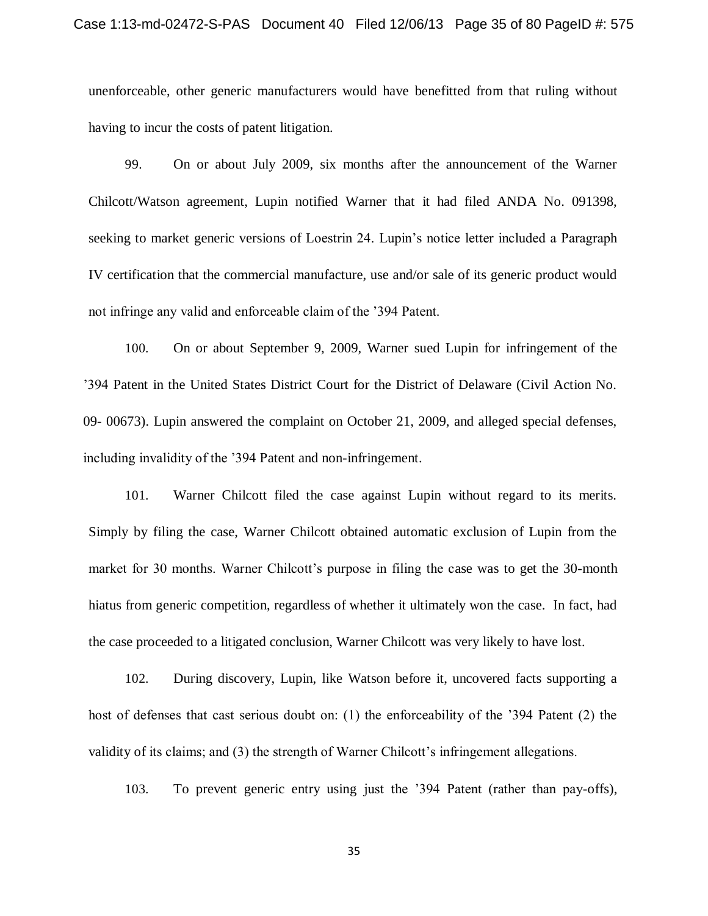unenforceable, other generic manufacturers would have benefitted from that ruling without having to incur the costs of patent litigation.

99. On or about July 2009, six months after the announcement of the Warner Chilcott/Watson agreement, Lupin notified Warner that it had filed ANDA No. 091398, seeking to market generic versions of Loestrin 24. Lupin's notice letter included a Paragraph IV certification that the commercial manufacture, use and/or sale of its generic product would not infringe any valid and enforceable claim of the '394 Patent.

100. On or about September 9, 2009, Warner sued Lupin for infringement of the '394 Patent in the United States District Court for the District of Delaware (Civil Action No. 09- 00673). Lupin answered the complaint on October 21, 2009, and alleged special defenses, including invalidity of the '394 Patent and non-infringement.

101. Warner Chilcott filed the case against Lupin without regard to its merits. Simply by filing the case, Warner Chilcott obtained automatic exclusion of Lupin from the market for 30 months. Warner Chilcott's purpose in filing the case was to get the 30-month hiatus from generic competition, regardless of whether it ultimately won the case. In fact, had the case proceeded to a litigated conclusion, Warner Chilcott was very likely to have lost.

102. During discovery, Lupin, like Watson before it, uncovered facts supporting a host of defenses that cast serious doubt on: (1) the enforceability of the '394 Patent (2) the validity of its claims; and (3) the strength of Warner Chilcott's infringement allegations.

103. To prevent generic entry using just the '394 Patent (rather than pay-offs),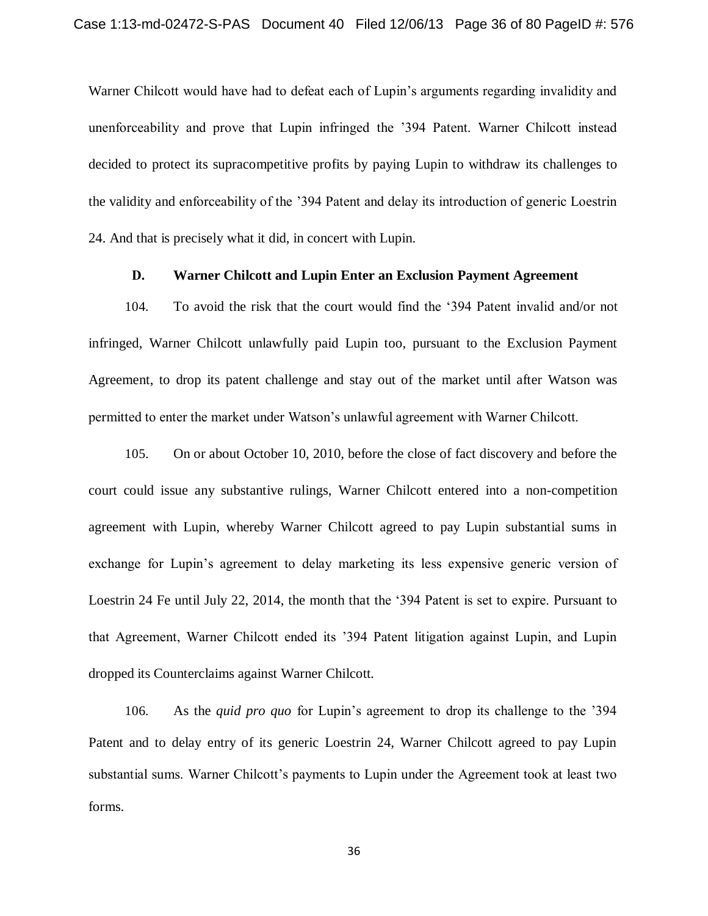Warner Chilcott would have had to defeat each of Lupin's arguments regarding invalidity and unenforceability and prove that Lupin infringed the '394 Patent. Warner Chilcott instead decided to protect its supracompetitive profits by paying Lupin to withdraw its challenges to the validity and enforceability of the '394 Patent and delay its introduction of generic Loestrin 24. And that is precisely what it did, in concert with Lupin.

## **D. Warner Chilcott and Lupin Enter an Exclusion Payment Agreement**

104. To avoid the risk that the court would find the '394 Patent invalid and/or not infringed, Warner Chilcott unlawfully paid Lupin too, pursuant to the Exclusion Payment Agreement, to drop its patent challenge and stay out of the market until after Watson was permitted to enter the market under Watson's unlawful agreement with Warner Chilcott.

105. On or about October 10, 2010, before the close of fact discovery and before the court could issue any substantive rulings, Warner Chilcott entered into a non-competition agreement with Lupin, whereby Warner Chilcott agreed to pay Lupin substantial sums in exchange for Lupin's agreement to delay marketing its less expensive generic version of Loestrin 24 Fe until July 22, 2014, the month that the '394 Patent is set to expire. Pursuant to that Agreement, Warner Chilcott ended its '394 Patent litigation against Lupin, and Lupin dropped its Counterclaims against Warner Chilcott.

106. As the *quid pro quo* for Lupin's agreement to drop its challenge to the '394 Patent and to delay entry of its generic Loestrin 24, Warner Chilcott agreed to pay Lupin substantial sums. Warner Chilcott's payments to Lupin under the Agreement took at least two forms.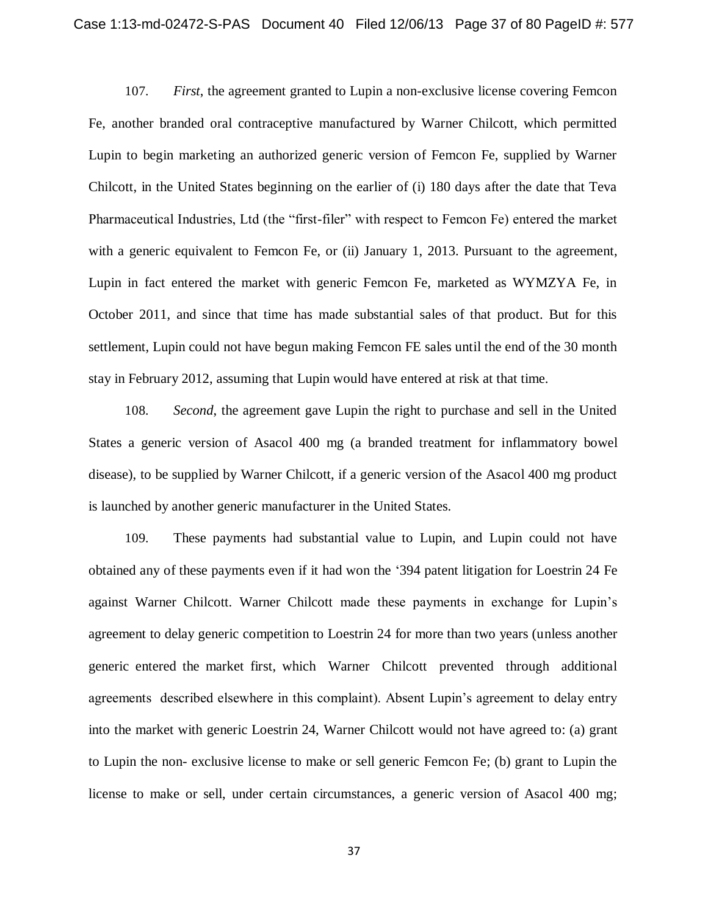107. *First*, the agreement granted to Lupin a non-exclusive license covering Femcon Fe, another branded oral contraceptive manufactured by Warner Chilcott, which permitted Lupin to begin marketing an authorized generic version of Femcon Fe, supplied by Warner Chilcott, in the United States beginning on the earlier of (i) 180 days after the date that Teva Pharmaceutical Industries, Ltd (the "first-filer" with respect to Femcon Fe) entered the market with a generic equivalent to Femcon Fe, or (ii) January 1, 2013. Pursuant to the agreement, Lupin in fact entered the market with generic Femcon Fe, marketed as WYMZYA Fe, in October 2011, and since that time has made substantial sales of that product. But for this settlement, Lupin could not have begun making Femcon FE sales until the end of the 30 month stay in February 2012, assuming that Lupin would have entered at risk at that time.

108. *Second*, the agreement gave Lupin the right to purchase and sell in the United States a generic version of Asacol 400 mg (a branded treatment for inflammatory bowel disease), to be supplied by Warner Chilcott, if a generic version of the Asacol 400 mg product is launched by another generic manufacturer in the United States.

109. These payments had substantial value to Lupin, and Lupin could not have obtained any of these payments even if it had won the '394 patent litigation for Loestrin 24 Fe against Warner Chilcott. Warner Chilcott made these payments in exchange for Lupin's agreement to delay generic competition to Loestrin 24 for more than two years (unless another generic entered the market first, which Warner Chilcott prevented through additional agreements described elsewhere in this complaint). Absent Lupin's agreement to delay entry into the market with generic Loestrin 24, Warner Chilcott would not have agreed to: (a) grant to Lupin the non- exclusive license to make or sell generic Femcon Fe; (b) grant to Lupin the license to make or sell, under certain circumstances, a generic version of Asacol 400 mg;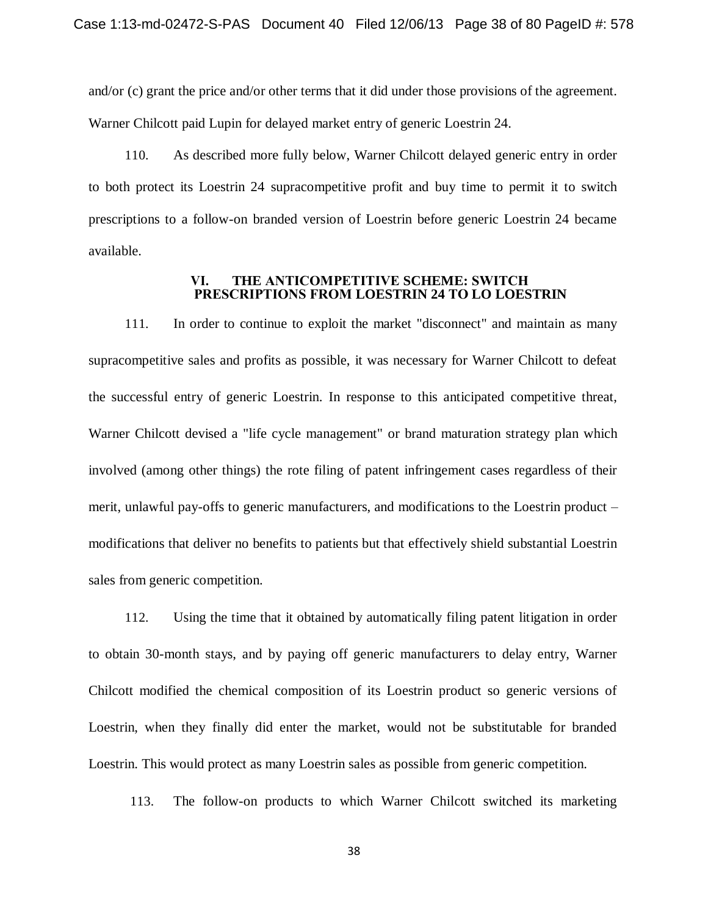and/or (c) grant the price and/or other terms that it did under those provisions of the agreement. Warner Chilcott paid Lupin for delayed market entry of generic Loestrin 24.

110. As described more fully below, Warner Chilcott delayed generic entry in order to both protect its Loestrin 24 supracompetitive profit and buy time to permit it to switch prescriptions to a follow-on branded version of Loestrin before generic Loestrin 24 became available.

#### **VI. THE ANTICOMPETITIVE SCHEME: SWITCH PRESCRIPTIONS FROM LOESTRIN 24 TO LO LOESTRIN**

111. In order to continue to exploit the market "disconnect" and maintain as many supracompetitive sales and profits as possible, it was necessary for Warner Chilcott to defeat the successful entry of generic Loestrin. In response to this anticipated competitive threat, Warner Chilcott devised a "life cycle management" or brand maturation strategy plan which involved (among other things) the rote filing of patent infringement cases regardless of their merit, unlawful pay-offs to generic manufacturers, and modifications to the Loestrin product – modifications that deliver no benefits to patients but that effectively shield substantial Loestrin sales from generic competition.

112. Using the time that it obtained by automatically filing patent litigation in order to obtain 30-month stays, and by paying off generic manufacturers to delay entry, Warner Chilcott modified the chemical composition of its Loestrin product so generic versions of Loestrin, when they finally did enter the market, would not be substitutable for branded Loestrin. This would protect as many Loestrin sales as possible from generic competition.

113. The follow-on products to which Warner Chilcott switched its marketing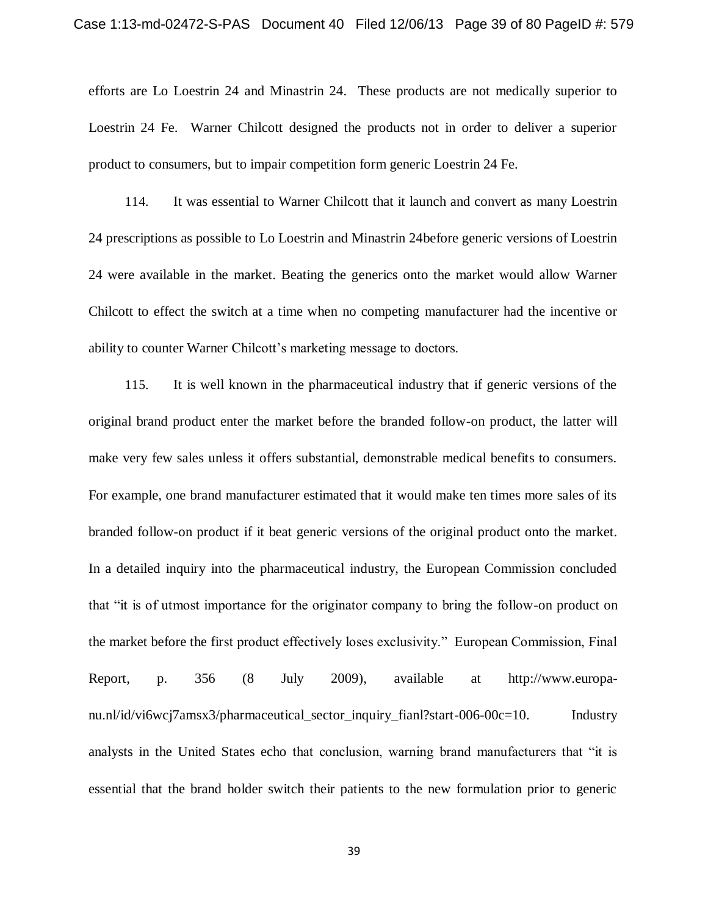efforts are Lo Loestrin 24 and Minastrin 24. These products are not medically superior to Loestrin 24 Fe. Warner Chilcott designed the products not in order to deliver a superior product to consumers, but to impair competition form generic Loestrin 24 Fe.

114. It was essential to Warner Chilcott that it launch and convert as many Loestrin 24 prescriptions as possible to Lo Loestrin and Minastrin 24before generic versions of Loestrin 24 were available in the market. Beating the generics onto the market would allow Warner Chilcott to effect the switch at a time when no competing manufacturer had the incentive or ability to counter Warner Chilcott's marketing message to doctors.

115. It is well known in the pharmaceutical industry that if generic versions of the original brand product enter the market before the branded follow-on product, the latter will make very few sales unless it offers substantial, demonstrable medical benefits to consumers. For example, one brand manufacturer estimated that it would make ten times more sales of its branded follow-on product if it beat generic versions of the original product onto the market. In a detailed inquiry into the pharmaceutical industry, the European Commission concluded that "it is of utmost importance for the originator company to bring the follow-on product on the market before the first product effectively loses exclusivity." European Commission, Final Report, p. 356 (8 July 2009), available at http://www.europanu.nl/id/vi6wcj7amsx3/pharmaceutical\_sector\_inquiry\_fianl?start-006-00c=10. Industry analysts in the United States echo that conclusion, warning brand manufacturers that "it is essential that the brand holder switch their patients to the new formulation prior to generic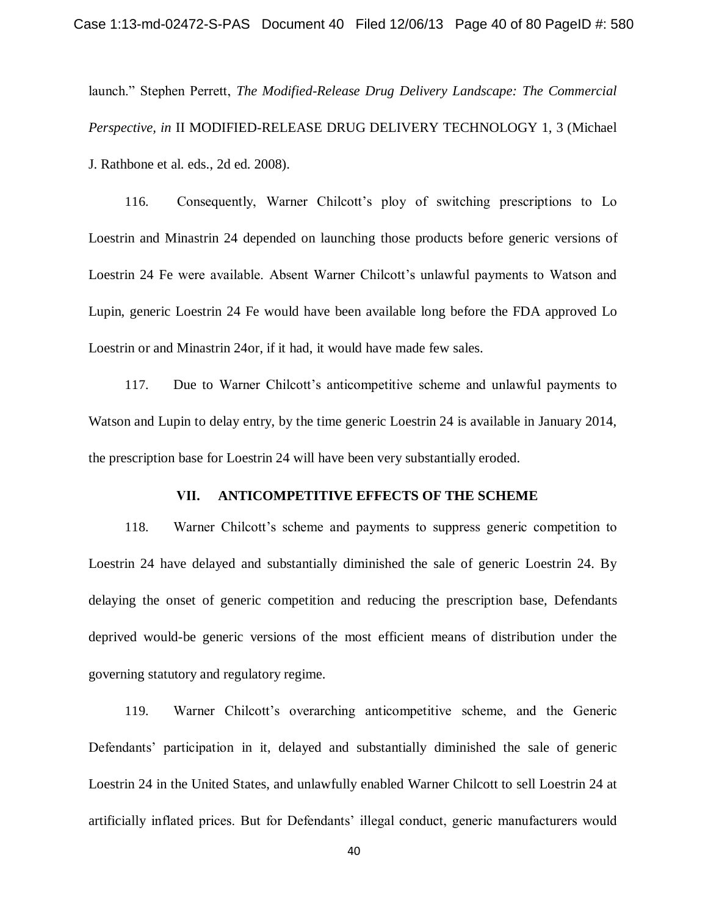launch." Stephen Perrett, *The Modified-Release Drug Delivery Landscape: The Commercial Perspective, in* II MODIFIED-RELEASE DRUG DELIVERY TECHNOLOGY 1, 3 (Michael J. Rathbone et al. eds., 2d ed. 2008).

116. Consequently, Warner Chilcott's ploy of switching prescriptions to Lo Loestrin and Minastrin 24 depended on launching those products before generic versions of Loestrin 24 Fe were available. Absent Warner Chilcott's unlawful payments to Watson and Lupin, generic Loestrin 24 Fe would have been available long before the FDA approved Lo Loestrin or and Minastrin 24or, if it had, it would have made few sales.

117. Due to Warner Chilcott's anticompetitive scheme and unlawful payments to Watson and Lupin to delay entry, by the time generic Loestrin 24 is available in January 2014, the prescription base for Loestrin 24 will have been very substantially eroded.

### **VII. ANTICOMPETITIVE EFFECTS OF THE SCHEME**

118. Warner Chilcott's scheme and payments to suppress generic competition to Loestrin 24 have delayed and substantially diminished the sale of generic Loestrin 24. By delaying the onset of generic competition and reducing the prescription base, Defendants deprived would-be generic versions of the most efficient means of distribution under the governing statutory and regulatory regime.

119. Warner Chilcott's overarching anticompetitive scheme, and the Generic Defendants' participation in it, delayed and substantially diminished the sale of generic Loestrin 24 in the United States, and unlawfully enabled Warner Chilcott to sell Loestrin 24 at artificially inflated prices. But for Defendants' illegal conduct, generic manufacturers would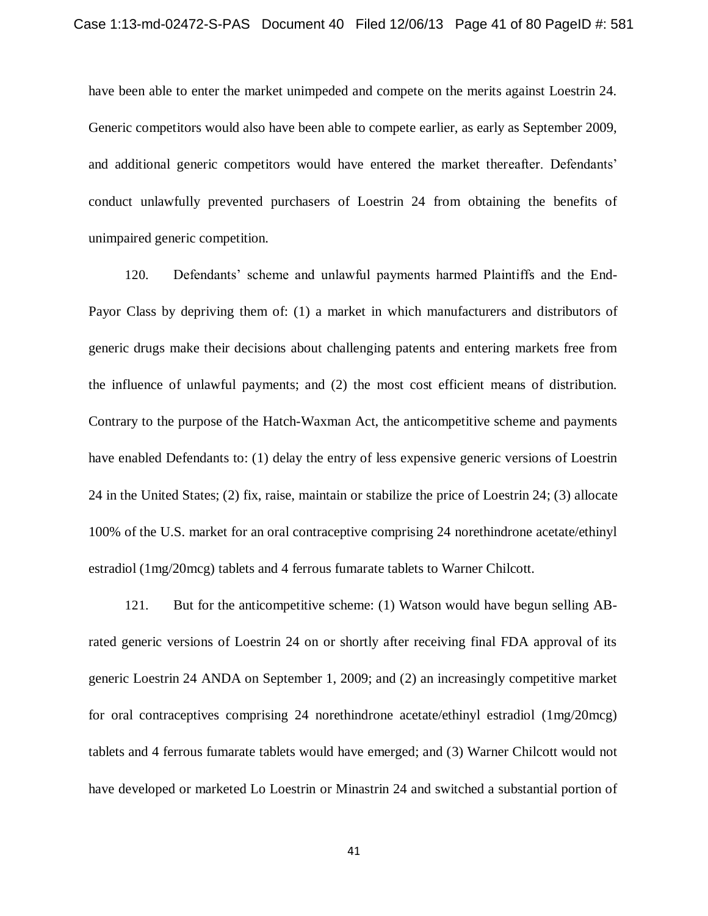have been able to enter the market unimpeded and compete on the merits against Loestrin 24. Generic competitors would also have been able to compete earlier, as early as September 2009, and additional generic competitors would have entered the market thereafter. Defendants' conduct unlawfully prevented purchasers of Loestrin 24 from obtaining the benefits of unimpaired generic competition.

120. Defendants' scheme and unlawful payments harmed Plaintiffs and the End-Payor Class by depriving them of: (1) a market in which manufacturers and distributors of generic drugs make their decisions about challenging patents and entering markets free from the influence of unlawful payments; and (2) the most cost efficient means of distribution. Contrary to the purpose of the Hatch-Waxman Act, the anticompetitive scheme and payments have enabled Defendants to: (1) delay the entry of less expensive generic versions of Loestrin 24 in the United States; (2) fix, raise, maintain or stabilize the price of Loestrin 24; (3) allocate 100% of the U.S. market for an oral contraceptive comprising 24 norethindrone acetate/ethinyl estradiol (1mg/20mcg) tablets and 4 ferrous fumarate tablets to Warner Chilcott.

121. But for the anticompetitive scheme: (1) Watson would have begun selling ABrated generic versions of Loestrin 24 on or shortly after receiving final FDA approval of its generic Loestrin 24 ANDA on September 1, 2009; and (2) an increasingly competitive market for oral contraceptives comprising 24 norethindrone acetate/ethinyl estradiol (1mg/20mcg) tablets and 4 ferrous fumarate tablets would have emerged; and (3) Warner Chilcott would not have developed or marketed Lo Loestrin or Minastrin 24 and switched a substantial portion of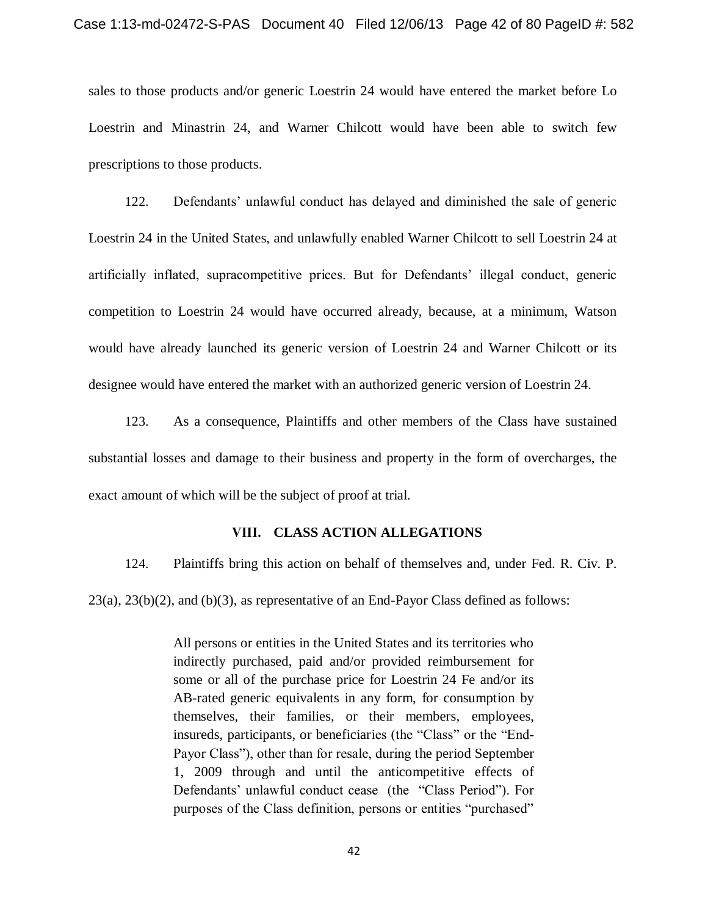sales to those products and/or generic Loestrin 24 would have entered the market before Lo Loestrin and Minastrin 24, and Warner Chilcott would have been able to switch few prescriptions to those products.

122. Defendants' unlawful conduct has delayed and diminished the sale of generic Loestrin 24 in the United States, and unlawfully enabled Warner Chilcott to sell Loestrin 24 at artificially inflated, supracompetitive prices. But for Defendants' illegal conduct, generic competition to Loestrin 24 would have occurred already, because, at a minimum, Watson would have already launched its generic version of Loestrin 24 and Warner Chilcott or its designee would have entered the market with an authorized generic version of Loestrin 24.

123. As a consequence, Plaintiffs and other members of the Class have sustained substantial losses and damage to their business and property in the form of overcharges, the exact amount of which will be the subject of proof at trial.

#### **VIII. CLASS ACTION ALLEGATIONS**

124. Plaintiffs bring this action on behalf of themselves and, under Fed. R. Civ. P.

 $23(a)$ ,  $23(b)(2)$ , and  $(b)(3)$ , as representative of an End-Payor Class defined as follows:

All persons or entities in the United States and its territories who indirectly purchased, paid and/or provided reimbursement for some or all of the purchase price for Loestrin 24 Fe and/or its AB-rated generic equivalents in any form, for consumption by themselves, their families, or their members, employees, insureds, participants, or beneficiaries (the "Class" or the "End-Payor Class"), other than for resale, during the period September 1, 2009 through and until the anticompetitive effects of Defendants' unlawful conduct cease (the "Class Period"). For purposes of the Class definition, persons or entities "purchased"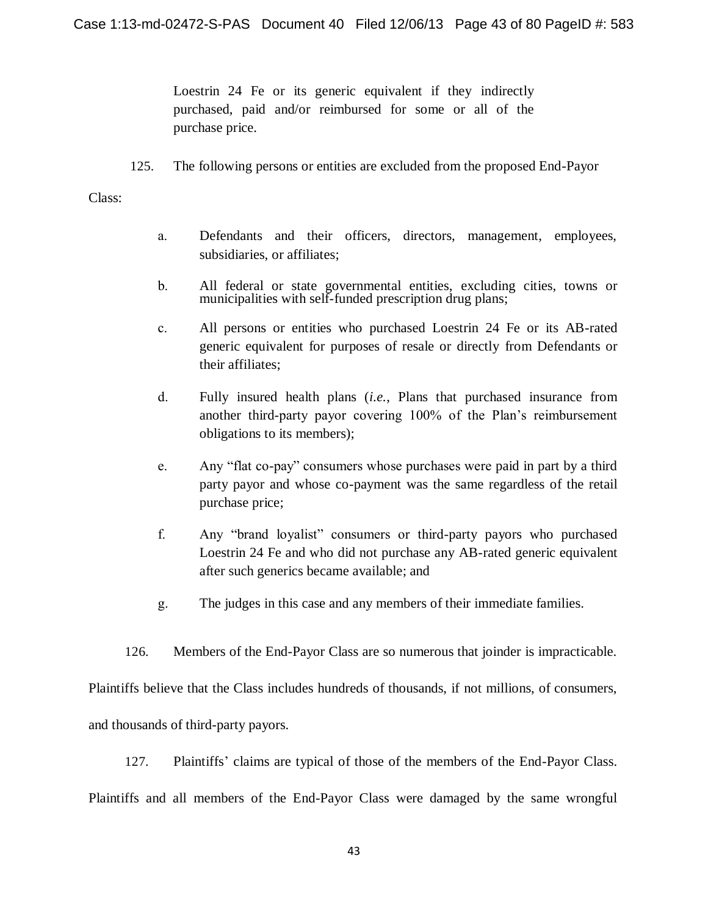Loestrin 24 Fe or its generic equivalent if they indirectly purchased, paid and/or reimbursed for some or all of the purchase price.

125. The following persons or entities are excluded from the proposed End-Payor

Class:

- a. Defendants and their officers, directors, management, employees, subsidiaries, or affiliates;
- b. All federal or state governmental entities, excluding cities, towns or municipalities with self-funded prescription drug plans;
- c. All persons or entities who purchased Loestrin 24 Fe or its AB-rated generic equivalent for purposes of resale or directly from Defendants or their affiliates;
- d. Fully insured health plans (*i.e.*, Plans that purchased insurance from another third-party payor covering 100% of the Plan's reimbursement obligations to its members);
- e. Any "flat co-pay" consumers whose purchases were paid in part by a third party payor and whose co-payment was the same regardless of the retail purchase price;
- f. Any "brand loyalist" consumers or third-party payors who purchased Loestrin 24 Fe and who did not purchase any AB-rated generic equivalent after such generics became available; and
- g. The judges in this case and any members of their immediate families.
- 126. Members of the End-Payor Class are so numerous that joinder is impracticable.

Plaintiffs believe that the Class includes hundreds of thousands, if not millions, of consumers,

and thousands of third-party payors.

127. Plaintiffs' claims are typical of those of the members of the End-Payor Class.

Plaintiffs and all members of the End-Payor Class were damaged by the same wrongful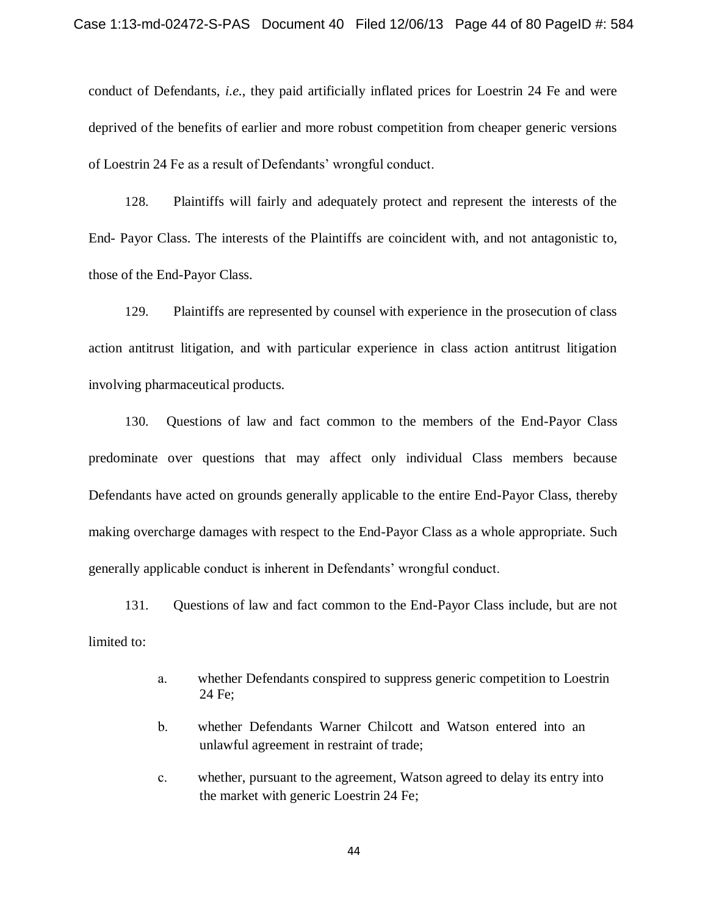conduct of Defendants, *i.e.*, they paid artificially inflated prices for Loestrin 24 Fe and were deprived of the benefits of earlier and more robust competition from cheaper generic versions of Loestrin 24 Fe as a result of Defendants' wrongful conduct.

128. Plaintiffs will fairly and adequately protect and represent the interests of the End- Payor Class. The interests of the Plaintiffs are coincident with, and not antagonistic to, those of the End-Payor Class.

129. Plaintiffs are represented by counsel with experience in the prosecution of class action antitrust litigation, and with particular experience in class action antitrust litigation involving pharmaceutical products.

130. Questions of law and fact common to the members of the End-Payor Class predominate over questions that may affect only individual Class members because Defendants have acted on grounds generally applicable to the entire End-Payor Class, thereby making overcharge damages with respect to the End-Payor Class as a whole appropriate. Such generally applicable conduct is inherent in Defendants' wrongful conduct.

131. Questions of law and fact common to the End-Payor Class include, but are not limited to:

- a. whether Defendants conspired to suppress generic competition to Loestrin 24 Fe;
- b. whether Defendants Warner Chilcott and Watson entered into an unlawful agreement in restraint of trade;
- c. whether, pursuant to the agreement, Watson agreed to delay its entry into the market with generic Loestrin 24 Fe;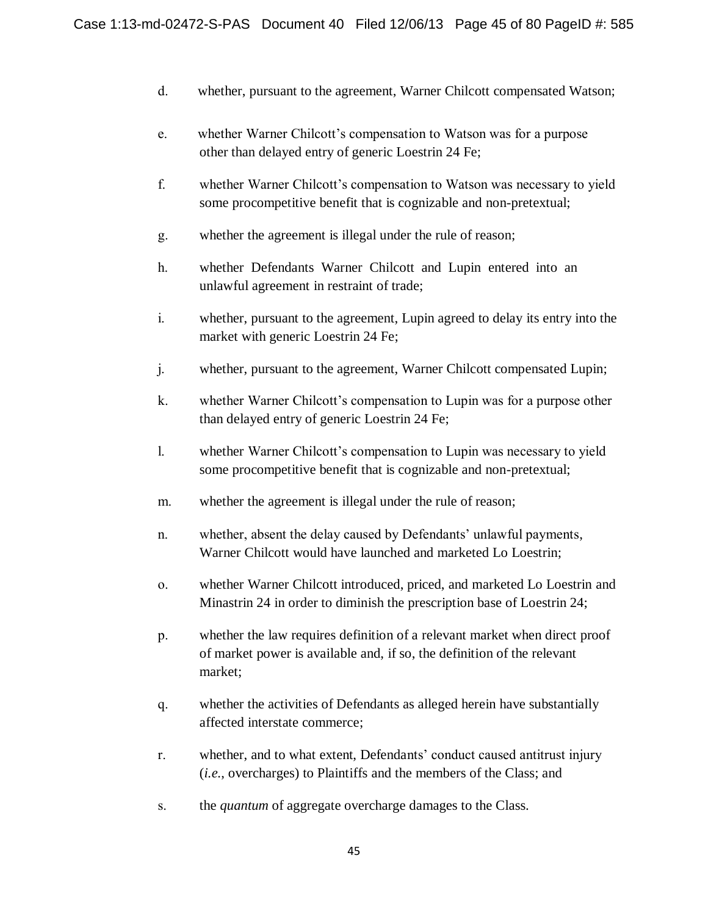- d. whether, pursuant to the agreement, Warner Chilcott compensated Watson;
- e. whether Warner Chilcott's compensation to Watson was for a purpose other than delayed entry of generic Loestrin 24 Fe;
- f. whether Warner Chilcott's compensation to Watson was necessary to yield some procompetitive benefit that is cognizable and non-pretextual;
- g. whether the agreement is illegal under the rule of reason;
- h. whether Defendants Warner Chilcott and Lupin entered into an unlawful agreement in restraint of trade;
- i. whether, pursuant to the agreement, Lupin agreed to delay its entry into the market with generic Loestrin 24 Fe;
- j. whether, pursuant to the agreement, Warner Chilcott compensated Lupin;
- k. whether Warner Chilcott's compensation to Lupin was for a purpose other than delayed entry of generic Loestrin 24 Fe;
- l. whether Warner Chilcott's compensation to Lupin was necessary to yield some procompetitive benefit that is cognizable and non-pretextual;
- m. whether the agreement is illegal under the rule of reason;
- n. whether, absent the delay caused by Defendants' unlawful payments, Warner Chilcott would have launched and marketed Lo Loestrin;
- o. whether Warner Chilcott introduced, priced, and marketed Lo Loestrin and Minastrin 24 in order to diminish the prescription base of Loestrin 24;
- p. whether the law requires definition of a relevant market when direct proof of market power is available and, if so, the definition of the relevant market;
- q. whether the activities of Defendants as alleged herein have substantially affected interstate commerce;
- r. whether, and to what extent, Defendants' conduct caused antitrust injury (*i.e.*, overcharges) to Plaintiffs and the members of the Class; and
- s. the *quantum* of aggregate overcharge damages to the Class.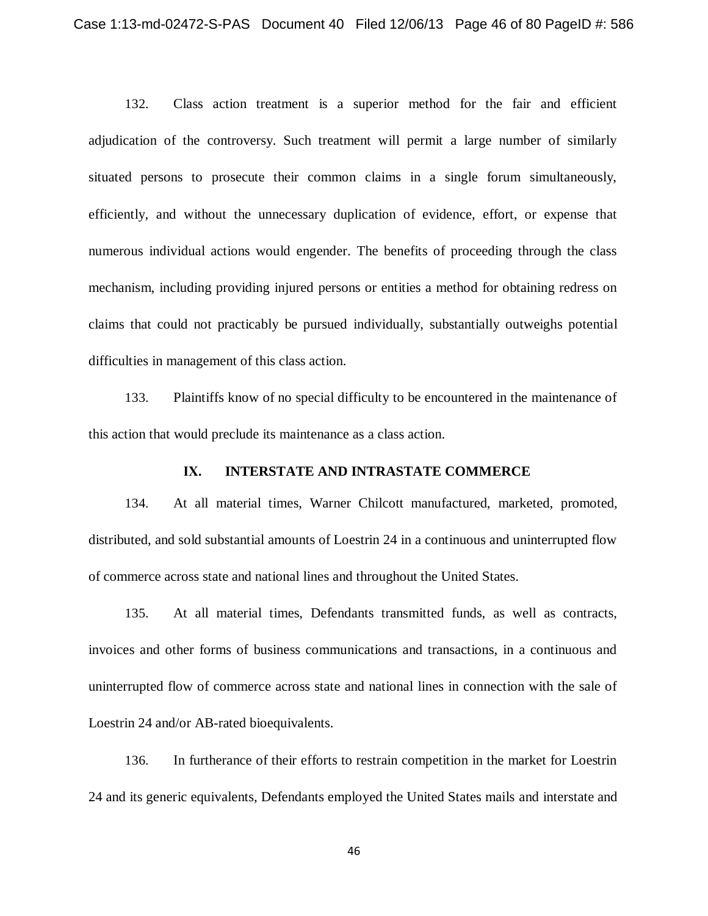132. Class action treatment is a superior method for the fair and efficient adjudication of the controversy. Such treatment will permit a large number of similarly situated persons to prosecute their common claims in a single forum simultaneously, efficiently, and without the unnecessary duplication of evidence, effort, or expense that numerous individual actions would engender. The benefits of proceeding through the class mechanism, including providing injured persons or entities a method for obtaining redress on claims that could not practicably be pursued individually, substantially outweighs potential difficulties in management of this class action.

133. Plaintiffs know of no special difficulty to be encountered in the maintenance of this action that would preclude its maintenance as a class action.

### **IX. INTERSTATE AND INTRASTATE COMMERCE**

134. At all material times, Warner Chilcott manufactured, marketed, promoted, distributed, and sold substantial amounts of Loestrin 24 in a continuous and uninterrupted flow of commerce across state and national lines and throughout the United States.

135. At all material times, Defendants transmitted funds, as well as contracts, invoices and other forms of business communications and transactions, in a continuous and uninterrupted flow of commerce across state and national lines in connection with the sale of Loestrin 24 and/or AB-rated bioequivalents.

136. In furtherance of their efforts to restrain competition in the market for Loestrin 24 and its generic equivalents, Defendants employed the United States mails and interstate and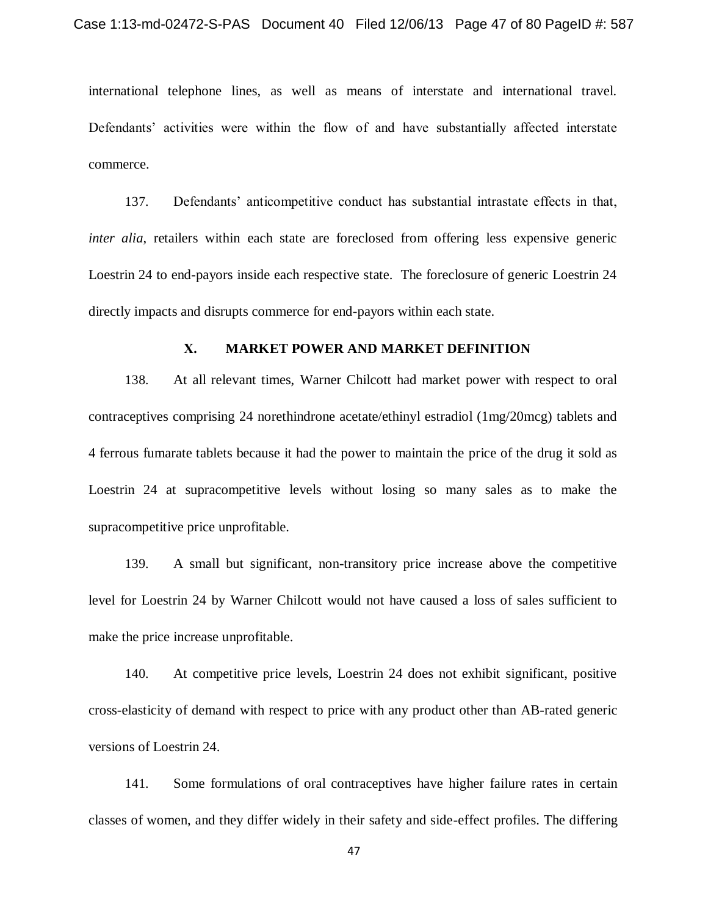international telephone lines, as well as means of interstate and international travel. Defendants' activities were within the flow of and have substantially affected interstate commerce.

137. Defendants' anticompetitive conduct has substantial intrastate effects in that, *inter alia*, retailers within each state are foreclosed from offering less expensive generic Loestrin 24 to end-payors inside each respective state. The foreclosure of generic Loestrin 24 directly impacts and disrupts commerce for end-payors within each state.

#### **X. MARKET POWER AND MARKET DEFINITION**

138. At all relevant times, Warner Chilcott had market power with respect to oral contraceptives comprising 24 norethindrone acetate/ethinyl estradiol (1mg/20mcg) tablets and 4 ferrous fumarate tablets because it had the power to maintain the price of the drug it sold as Loestrin 24 at supracompetitive levels without losing so many sales as to make the supracompetitive price unprofitable.

139. A small but significant, non-transitory price increase above the competitive level for Loestrin 24 by Warner Chilcott would not have caused a loss of sales sufficient to make the price increase unprofitable.

140. At competitive price levels, Loestrin 24 does not exhibit significant, positive cross-elasticity of demand with respect to price with any product other than AB-rated generic versions of Loestrin 24.

141. Some formulations of oral contraceptives have higher failure rates in certain classes of women, and they differ widely in their safety and side-effect profiles. The differing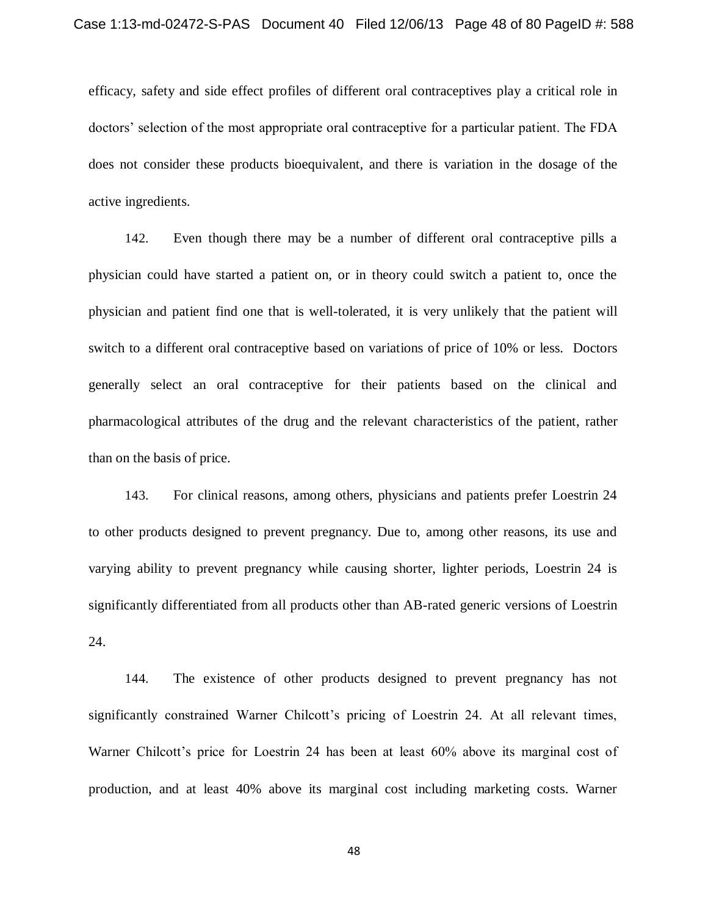efficacy, safety and side effect profiles of different oral contraceptives play a critical role in doctors' selection of the most appropriate oral contraceptive for a particular patient. The FDA does not consider these products bioequivalent, and there is variation in the dosage of the active ingredients.

142. Even though there may be a number of different oral contraceptive pills a physician could have started a patient on, or in theory could switch a patient to, once the physician and patient find one that is well-tolerated, it is very unlikely that the patient will switch to a different oral contraceptive based on variations of price of 10% or less. Doctors generally select an oral contraceptive for their patients based on the clinical and pharmacological attributes of the drug and the relevant characteristics of the patient, rather than on the basis of price.

143. For clinical reasons, among others, physicians and patients prefer Loestrin 24 to other products designed to prevent pregnancy. Due to, among other reasons, its use and varying ability to prevent pregnancy while causing shorter, lighter periods, Loestrin 24 is significantly differentiated from all products other than AB-rated generic versions of Loestrin 24.

144. The existence of other products designed to prevent pregnancy has not significantly constrained Warner Chilcott's pricing of Loestrin 24. At all relevant times, Warner Chilcott's price for Loestrin 24 has been at least 60% above its marginal cost of production, and at least 40% above its marginal cost including marketing costs. Warner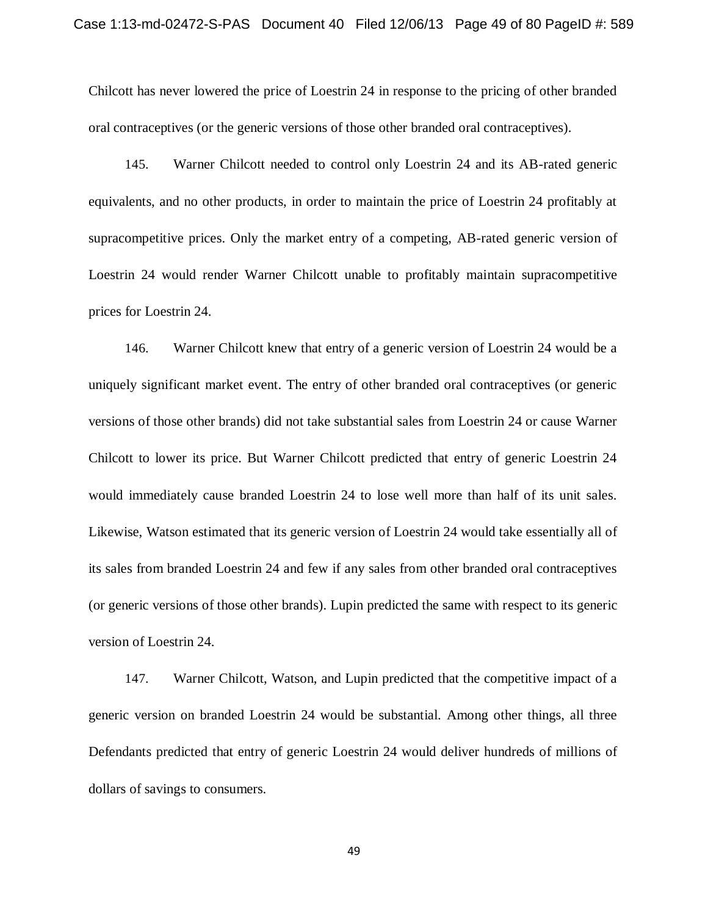Chilcott has never lowered the price of Loestrin 24 in response to the pricing of other branded oral contraceptives (or the generic versions of those other branded oral contraceptives).

145. Warner Chilcott needed to control only Loestrin 24 and its AB-rated generic equivalents, and no other products, in order to maintain the price of Loestrin 24 profitably at supracompetitive prices. Only the market entry of a competing, AB-rated generic version of Loestrin 24 would render Warner Chilcott unable to profitably maintain supracompetitive prices for Loestrin 24.

146. Warner Chilcott knew that entry of a generic version of Loestrin 24 would be a uniquely significant market event. The entry of other branded oral contraceptives (or generic versions of those other brands) did not take substantial sales from Loestrin 24 or cause Warner Chilcott to lower its price. But Warner Chilcott predicted that entry of generic Loestrin 24 would immediately cause branded Loestrin 24 to lose well more than half of its unit sales. Likewise, Watson estimated that its generic version of Loestrin 24 would take essentially all of its sales from branded Loestrin 24 and few if any sales from other branded oral contraceptives (or generic versions of those other brands). Lupin predicted the same with respect to its generic version of Loestrin 24.

147. Warner Chilcott, Watson, and Lupin predicted that the competitive impact of a generic version on branded Loestrin 24 would be substantial. Among other things, all three Defendants predicted that entry of generic Loestrin 24 would deliver hundreds of millions of dollars of savings to consumers.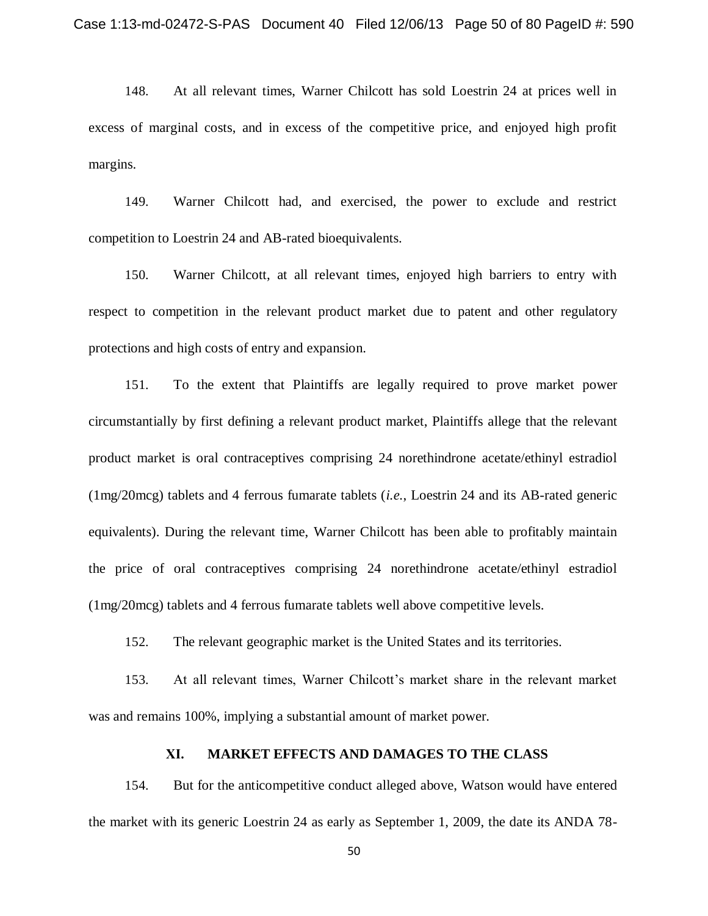148. At all relevant times, Warner Chilcott has sold Loestrin 24 at prices well in excess of marginal costs, and in excess of the competitive price, and enjoyed high profit margins.

149. Warner Chilcott had, and exercised, the power to exclude and restrict competition to Loestrin 24 and AB-rated bioequivalents.

150. Warner Chilcott, at all relevant times, enjoyed high barriers to entry with respect to competition in the relevant product market due to patent and other regulatory protections and high costs of entry and expansion.

151. To the extent that Plaintiffs are legally required to prove market power circumstantially by first defining a relevant product market, Plaintiffs allege that the relevant product market is oral contraceptives comprising 24 norethindrone acetate/ethinyl estradiol (1mg/20mcg) tablets and 4 ferrous fumarate tablets (*i.e.*, Loestrin 24 and its AB-rated generic equivalents). During the relevant time, Warner Chilcott has been able to profitably maintain the price of oral contraceptives comprising 24 norethindrone acetate/ethinyl estradiol (1mg/20mcg) tablets and 4 ferrous fumarate tablets well above competitive levels.

152. The relevant geographic market is the United States and its territories.

153. At all relevant times, Warner Chilcott's market share in the relevant market was and remains 100%, implying a substantial amount of market power.

## **XI. MARKET EFFECTS AND DAMAGES TO THE CLASS**

154. But for the anticompetitive conduct alleged above, Watson would have entered the market with its generic Loestrin 24 as early as September 1, 2009, the date its ANDA 78-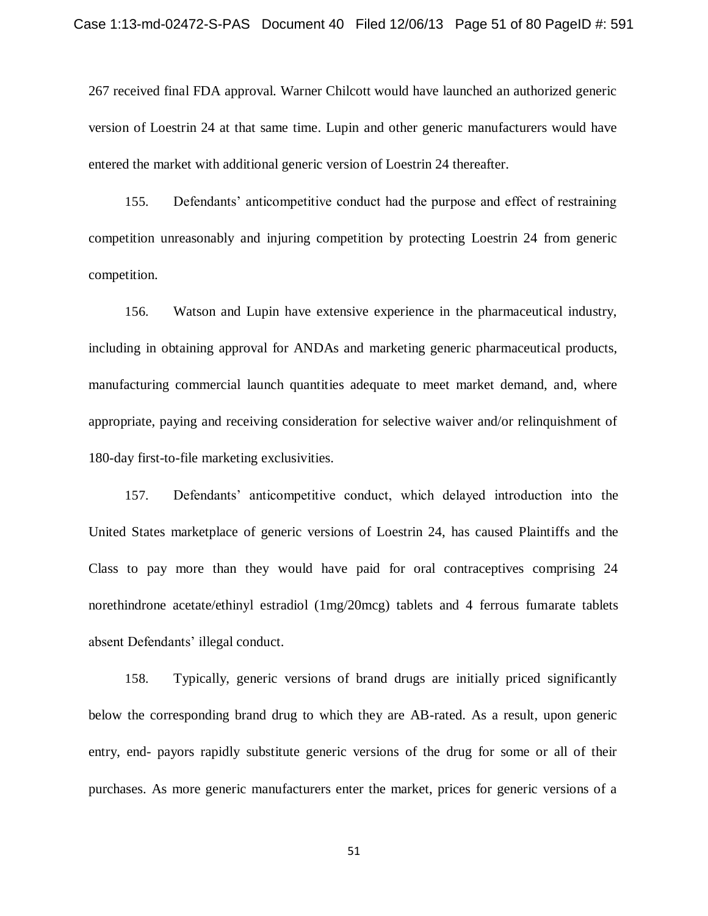267 received final FDA approval. Warner Chilcott would have launched an authorized generic version of Loestrin 24 at that same time. Lupin and other generic manufacturers would have entered the market with additional generic version of Loestrin 24 thereafter.

155. Defendants' anticompetitive conduct had the purpose and effect of restraining competition unreasonably and injuring competition by protecting Loestrin 24 from generic competition.

156. Watson and Lupin have extensive experience in the pharmaceutical industry, including in obtaining approval for ANDAs and marketing generic pharmaceutical products, manufacturing commercial launch quantities adequate to meet market demand, and, where appropriate, paying and receiving consideration for selective waiver and/or relinquishment of 180-day first-to-file marketing exclusivities.

157. Defendants' anticompetitive conduct, which delayed introduction into the United States marketplace of generic versions of Loestrin 24, has caused Plaintiffs and the Class to pay more than they would have paid for oral contraceptives comprising 24 norethindrone acetate/ethinyl estradiol (1mg/20mcg) tablets and 4 ferrous fumarate tablets absent Defendants' illegal conduct.

158. Typically, generic versions of brand drugs are initially priced significantly below the corresponding brand drug to which they are AB-rated. As a result, upon generic entry, end- payors rapidly substitute generic versions of the drug for some or all of their purchases. As more generic manufacturers enter the market, prices for generic versions of a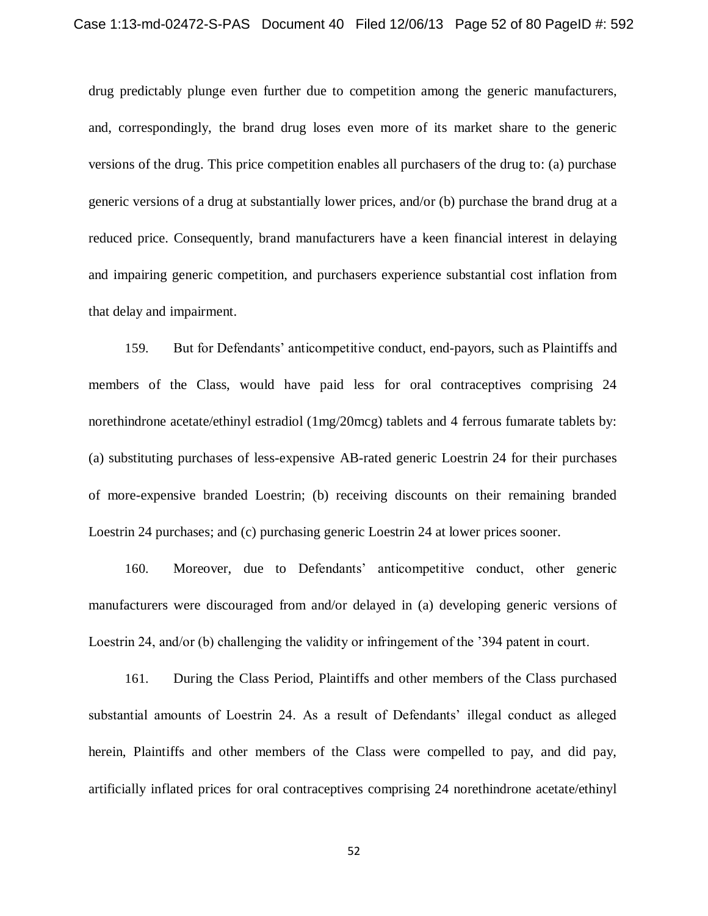drug predictably plunge even further due to competition among the generic manufacturers, and, correspondingly, the brand drug loses even more of its market share to the generic versions of the drug. This price competition enables all purchasers of the drug to: (a) purchase generic versions of a drug at substantially lower prices, and/or (b) purchase the brand drug at a reduced price. Consequently, brand manufacturers have a keen financial interest in delaying and impairing generic competition, and purchasers experience substantial cost inflation from that delay and impairment.

159. But for Defendants' anticompetitive conduct, end-payors, such as Plaintiffs and members of the Class, would have paid less for oral contraceptives comprising 24 norethindrone acetate/ethinyl estradiol (1mg/20mcg) tablets and 4 ferrous fumarate tablets by: (a) substituting purchases of less-expensive AB-rated generic Loestrin 24 for their purchases of more-expensive branded Loestrin; (b) receiving discounts on their remaining branded Loestrin 24 purchases; and (c) purchasing generic Loestrin 24 at lower prices sooner.

160. Moreover, due to Defendants' anticompetitive conduct, other generic manufacturers were discouraged from and/or delayed in (a) developing generic versions of Loestrin 24, and/or (b) challenging the validity or infringement of the '394 patent in court.

161. During the Class Period, Plaintiffs and other members of the Class purchased substantial amounts of Loestrin 24. As a result of Defendants' illegal conduct as alleged herein, Plaintiffs and other members of the Class were compelled to pay, and did pay, artificially inflated prices for oral contraceptives comprising 24 norethindrone acetate/ethinyl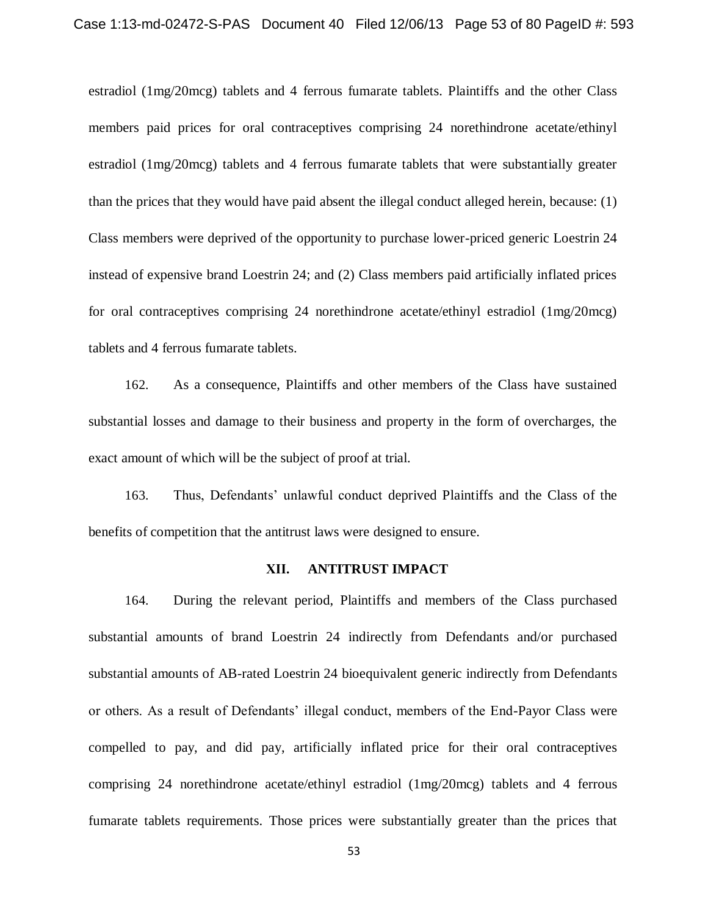estradiol (1mg/20mcg) tablets and 4 ferrous fumarate tablets. Plaintiffs and the other Class members paid prices for oral contraceptives comprising 24 norethindrone acetate/ethinyl estradiol (1mg/20mcg) tablets and 4 ferrous fumarate tablets that were substantially greater than the prices that they would have paid absent the illegal conduct alleged herein, because: (1) Class members were deprived of the opportunity to purchase lower-priced generic Loestrin 24 instead of expensive brand Loestrin 24; and (2) Class members paid artificially inflated prices for oral contraceptives comprising 24 norethindrone acetate/ethinyl estradiol (1mg/20mcg) tablets and 4 ferrous fumarate tablets.

162. As a consequence, Plaintiffs and other members of the Class have sustained substantial losses and damage to their business and property in the form of overcharges, the exact amount of which will be the subject of proof at trial.

163. Thus, Defendants' unlawful conduct deprived Plaintiffs and the Class of the benefits of competition that the antitrust laws were designed to ensure.

## **XII. ANTITRUST IMPACT**

164. During the relevant period, Plaintiffs and members of the Class purchased substantial amounts of brand Loestrin 24 indirectly from Defendants and/or purchased substantial amounts of AB-rated Loestrin 24 bioequivalent generic indirectly from Defendants or others. As a result of Defendants' illegal conduct, members of the End-Payor Class were compelled to pay, and did pay, artificially inflated price for their oral contraceptives comprising 24 norethindrone acetate/ethinyl estradiol (1mg/20mcg) tablets and 4 ferrous fumarate tablets requirements. Those prices were substantially greater than the prices that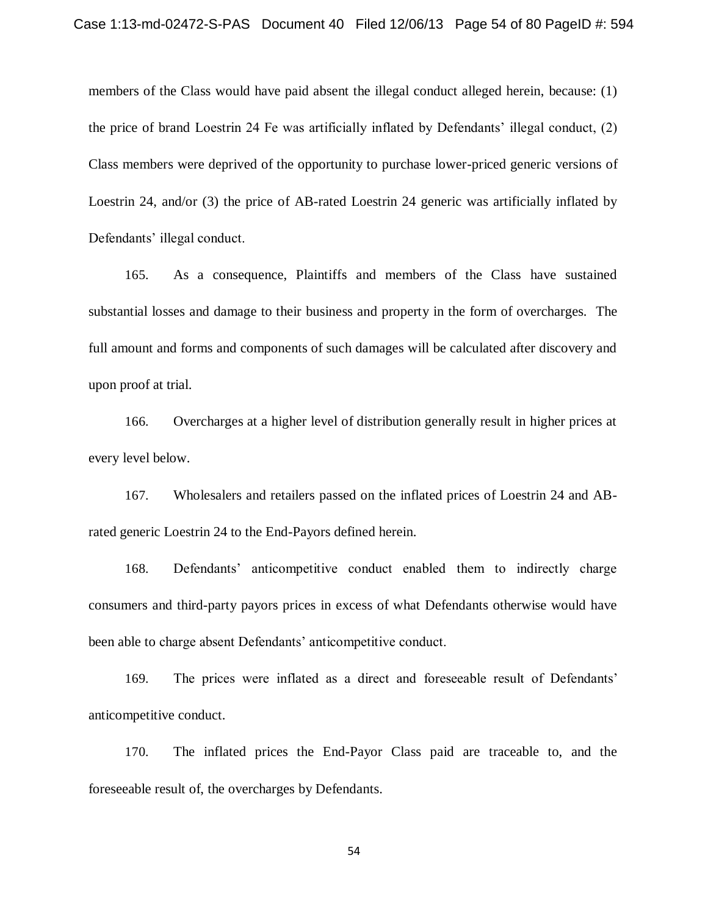members of the Class would have paid absent the illegal conduct alleged herein, because: (1) the price of brand Loestrin 24 Fe was artificially inflated by Defendants' illegal conduct, (2) Class members were deprived of the opportunity to purchase lower-priced generic versions of Loestrin 24, and/or (3) the price of AB-rated Loestrin 24 generic was artificially inflated by Defendants' illegal conduct.

165. As a consequence, Plaintiffs and members of the Class have sustained substantial losses and damage to their business and property in the form of overcharges. The full amount and forms and components of such damages will be calculated after discovery and upon proof at trial.

166. Overcharges at a higher level of distribution generally result in higher prices at every level below.

167. Wholesalers and retailers passed on the inflated prices of Loestrin 24 and ABrated generic Loestrin 24 to the End-Payors defined herein.

168. Defendants' anticompetitive conduct enabled them to indirectly charge consumers and third-party payors prices in excess of what Defendants otherwise would have been able to charge absent Defendants' anticompetitive conduct.

169. The prices were inflated as a direct and foreseeable result of Defendants' anticompetitive conduct.

170. The inflated prices the End-Payor Class paid are traceable to, and the foreseeable result of, the overcharges by Defendants.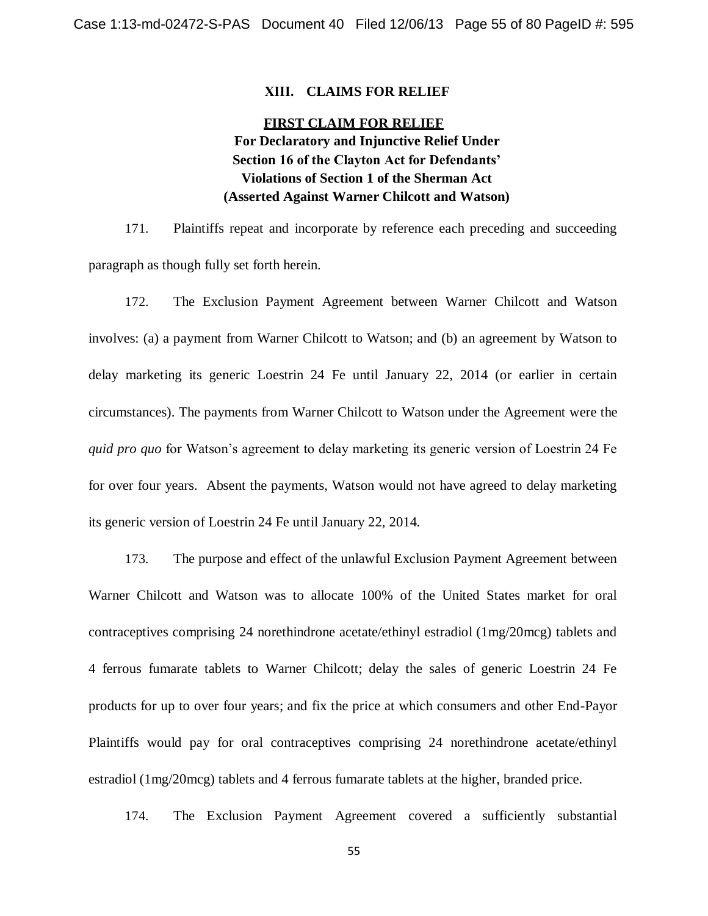#### **XIII. CLAIMS FOR RELIEF**

# **FIRST CLAIM FOR RELIEF For Declaratory and Injunctive Relief Under Section 16 of the Clayton Act for Defendants' Violations of Section 1 of the Sherman Act (Asserted Against Warner Chilcott and Watson)**

171. Plaintiffs repeat and incorporate by reference each preceding and succeeding paragraph as though fully set forth herein.

172. The Exclusion Payment Agreement between Warner Chilcott and Watson involves: (a) a payment from Warner Chilcott to Watson; and (b) an agreement by Watson to delay marketing its generic Loestrin 24 Fe until January 22, 2014 (or earlier in certain circumstances). The payments from Warner Chilcott to Watson under the Agreement were the *quid pro quo* for Watson's agreement to delay marketing its generic version of Loestrin 24 Fe for over four years. Absent the payments, Watson would not have agreed to delay marketing its generic version of Loestrin 24 Fe until January 22, 2014.

173. The purpose and effect of the unlawful Exclusion Payment Agreement between Warner Chilcott and Watson was to allocate 100% of the United States market for oral contraceptives comprising 24 norethindrone acetate/ethinyl estradiol (1mg/20mcg) tablets and 4 ferrous fumarate tablets to Warner Chilcott; delay the sales of generic Loestrin 24 Fe products for up to over four years; and fix the price at which consumers and other End-Payor Plaintiffs would pay for oral contraceptives comprising 24 norethindrone acetate/ethinyl estradiol (1mg/20mcg) tablets and 4 ferrous fumarate tablets at the higher, branded price.

174. The Exclusion Payment Agreement covered a sufficiently substantial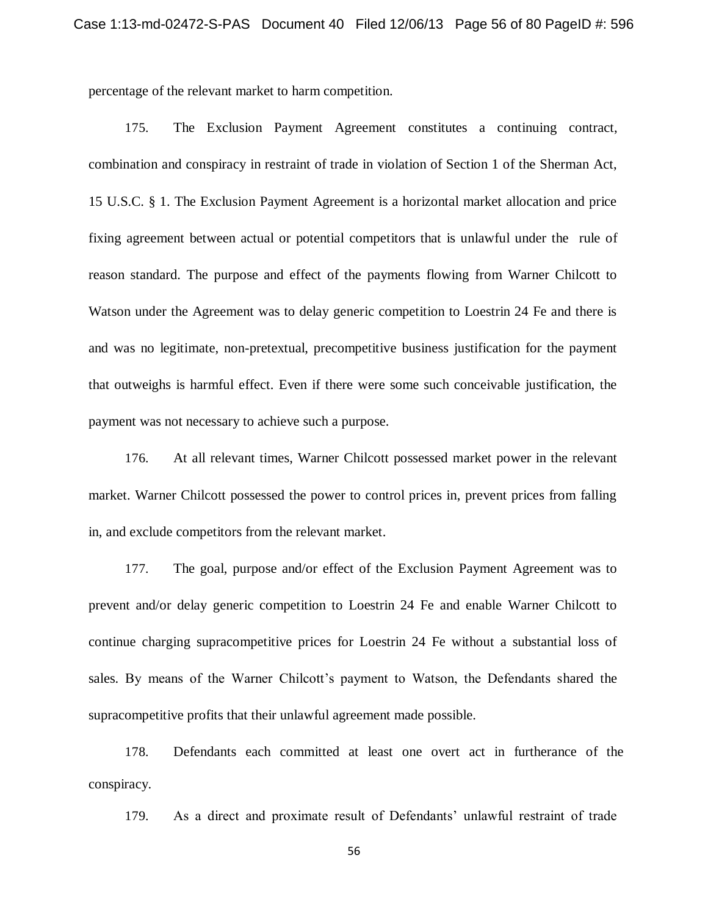percentage of the relevant market to harm competition.

175. The Exclusion Payment Agreement constitutes a continuing contract, combination and conspiracy in restraint of trade in violation of Section 1 of the Sherman Act, 15 U.S.C. § 1. The Exclusion Payment Agreement is a horizontal market allocation and price fixing agreement between actual or potential competitors that is unlawful under the rule of reason standard. The purpose and effect of the payments flowing from Warner Chilcott to Watson under the Agreement was to delay generic competition to Loestrin 24 Fe and there is and was no legitimate, non-pretextual, precompetitive business justification for the payment that outweighs is harmful effect. Even if there were some such conceivable justification, the payment was not necessary to achieve such a purpose.

176. At all relevant times, Warner Chilcott possessed market power in the relevant market. Warner Chilcott possessed the power to control prices in, prevent prices from falling in, and exclude competitors from the relevant market.

177. The goal, purpose and/or effect of the Exclusion Payment Agreement was to prevent and/or delay generic competition to Loestrin 24 Fe and enable Warner Chilcott to continue charging supracompetitive prices for Loestrin 24 Fe without a substantial loss of sales. By means of the Warner Chilcott's payment to Watson, the Defendants shared the supracompetitive profits that their unlawful agreement made possible.

178. Defendants each committed at least one overt act in furtherance of the conspiracy.

179. As a direct and proximate result of Defendants' unlawful restraint of trade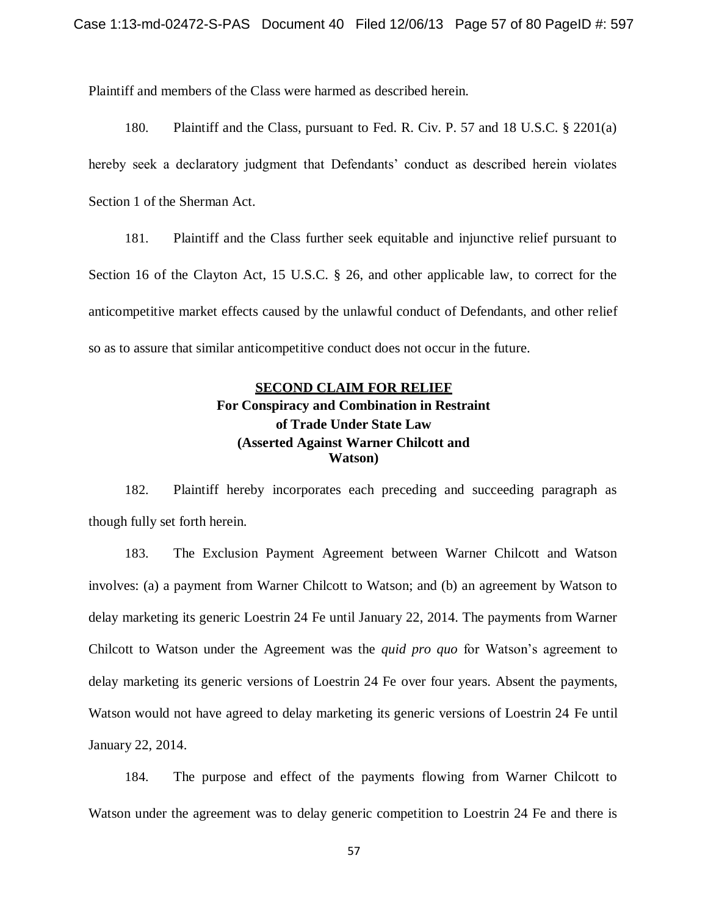Plaintiff and members of the Class were harmed as described herein.

180. Plaintiff and the Class, pursuant to Fed. R. Civ. P. 57 and 18 U.S.C. § 2201(a) hereby seek a declaratory judgment that Defendants' conduct as described herein violates Section 1 of the Sherman Act.

181. Plaintiff and the Class further seek equitable and injunctive relief pursuant to Section 16 of the Clayton Act, 15 U.S.C. § 26, and other applicable law, to correct for the anticompetitive market effects caused by the unlawful conduct of Defendants, and other relief so as to assure that similar anticompetitive conduct does not occur in the future.

# **SECOND CLAIM FOR RELIEF For Conspiracy and Combination in Restraint of Trade Under State Law (Asserted Against Warner Chilcott and Watson)**

182. Plaintiff hereby incorporates each preceding and succeeding paragraph as though fully set forth herein.

183. The Exclusion Payment Agreement between Warner Chilcott and Watson involves: (a) a payment from Warner Chilcott to Watson; and (b) an agreement by Watson to delay marketing its generic Loestrin 24 Fe until January 22, 2014. The payments from Warner Chilcott to Watson under the Agreement was the *quid pro quo* for Watson's agreement to delay marketing its generic versions of Loestrin 24 Fe over four years. Absent the payments, Watson would not have agreed to delay marketing its generic versions of Loestrin 24 Fe until January 22, 2014.

184. The purpose and effect of the payments flowing from Warner Chilcott to Watson under the agreement was to delay generic competition to Loestrin 24 Fe and there is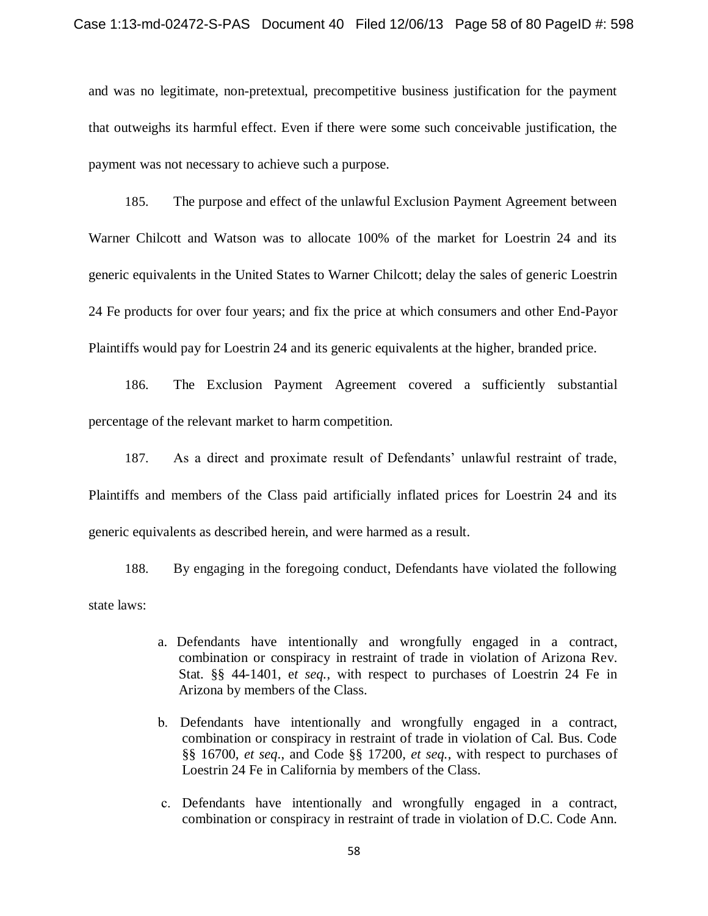and was no legitimate, non-pretextual, precompetitive business justification for the payment that outweighs its harmful effect. Even if there were some such conceivable justification, the payment was not necessary to achieve such a purpose.

185. The purpose and effect of the unlawful Exclusion Payment Agreement between Warner Chilcott and Watson was to allocate 100% of the market for Loestrin 24 and its generic equivalents in the United States to Warner Chilcott; delay the sales of generic Loestrin 24 Fe products for over four years; and fix the price at which consumers and other End-Payor Plaintiffs would pay for Loestrin 24 and its generic equivalents at the higher, branded price.

186. The Exclusion Payment Agreement covered a sufficiently substantial percentage of the relevant market to harm competition.

187. As a direct and proximate result of Defendants' unlawful restraint of trade, Plaintiffs and members of the Class paid artificially inflated prices for Loestrin 24 and its generic equivalents as described herein, and were harmed as a result.

188. By engaging in the foregoing conduct, Defendants have violated the following state laws:

- a. Defendants have intentionally and wrongfully engaged in a contract, combination or conspiracy in restraint of trade in violation of Arizona Rev. Stat. §§ 44-1401, e*t seq.*, with respect to purchases of Loestrin 24 Fe in Arizona by members of the Class.
- b. Defendants have intentionally and wrongfully engaged in a contract, combination or conspiracy in restraint of trade in violation of Cal. Bus. Code §§ 16700, *et seq*., and Code §§ 17200, *et seq.*, with respect to purchases of Loestrin 24 Fe in California by members of the Class.
- c. Defendants have intentionally and wrongfully engaged in a contract, combination or conspiracy in restraint of trade in violation of D.C. Code Ann.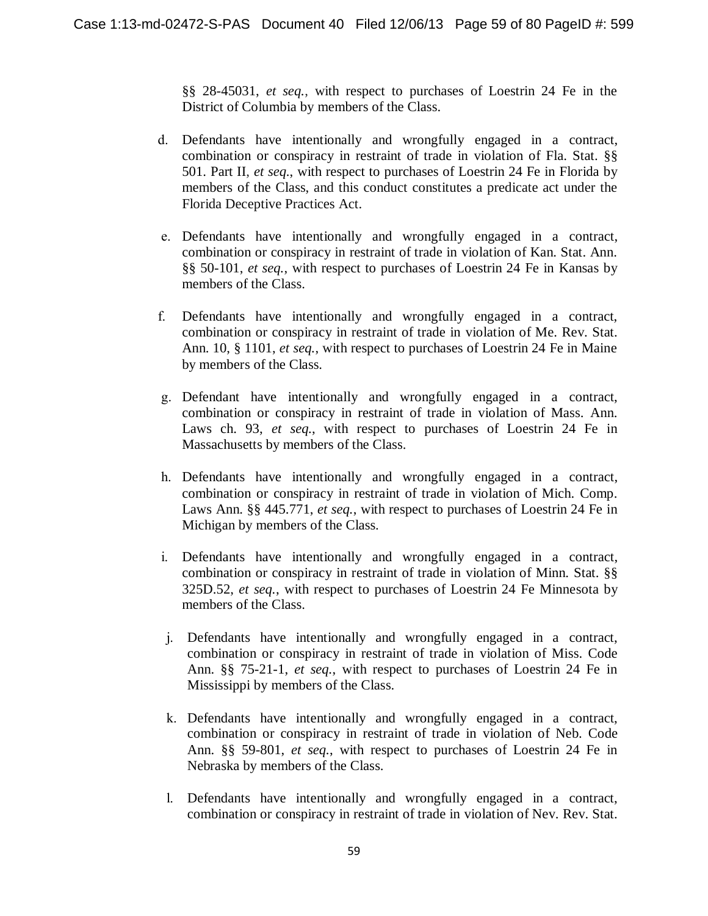§§ 28-45031, *et seq.*, with respect to purchases of Loestrin 24 Fe in the District of Columbia by members of the Class.

- d. Defendants have intentionally and wrongfully engaged in a contract, combination or conspiracy in restraint of trade in violation of Fla. Stat. §§ 501. Part II, *et seq.*, with respect to purchases of Loestrin 24 Fe in Florida by members of the Class, and this conduct constitutes a predicate act under the Florida Deceptive Practices Act.
- e. Defendants have intentionally and wrongfully engaged in a contract, combination or conspiracy in restraint of trade in violation of Kan. Stat. Ann. §§ 50-101, *et seq.*, with respect to purchases of Loestrin 24 Fe in Kansas by members of the Class.
- f. Defendants have intentionally and wrongfully engaged in a contract, combination or conspiracy in restraint of trade in violation of Me. Rev. Stat. Ann. 10, § 1101, *et seq.*, with respect to purchases of Loestrin 24 Fe in Maine by members of the Class.
- g. Defendant have intentionally and wrongfully engaged in a contract, combination or conspiracy in restraint of trade in violation of Mass. Ann. Laws ch. 93, *et seq.*, with respect to purchases of Loestrin 24 Fe in Massachusetts by members of the Class.
- h. Defendants have intentionally and wrongfully engaged in a contract, combination or conspiracy in restraint of trade in violation of Mich. Comp. Laws Ann. §§ 445.771, *et seq.*, with respect to purchases of Loestrin 24 Fe in Michigan by members of the Class.
- i. Defendants have intentionally and wrongfully engaged in a contract, combination or conspiracy in restraint of trade in violation of Minn. Stat. §§ 325D.52, *et seq.*, with respect to purchases of Loestrin 24 Fe Minnesota by members of the Class.
- j. Defendants have intentionally and wrongfully engaged in a contract, combination or conspiracy in restraint of trade in violation of Miss. Code Ann. §§ 75-21-1, *et seq.*, with respect to purchases of Loestrin 24 Fe in Mississippi by members of the Class.
- k. Defendants have intentionally and wrongfully engaged in a contract, combination or conspiracy in restraint of trade in violation of Neb. Code Ann. §§ 59-801, *et seq.*, with respect to purchases of Loestrin 24 Fe in Nebraska by members of the Class.
- l. Defendants have intentionally and wrongfully engaged in a contract, combination or conspiracy in restraint of trade in violation of Nev. Rev. Stat.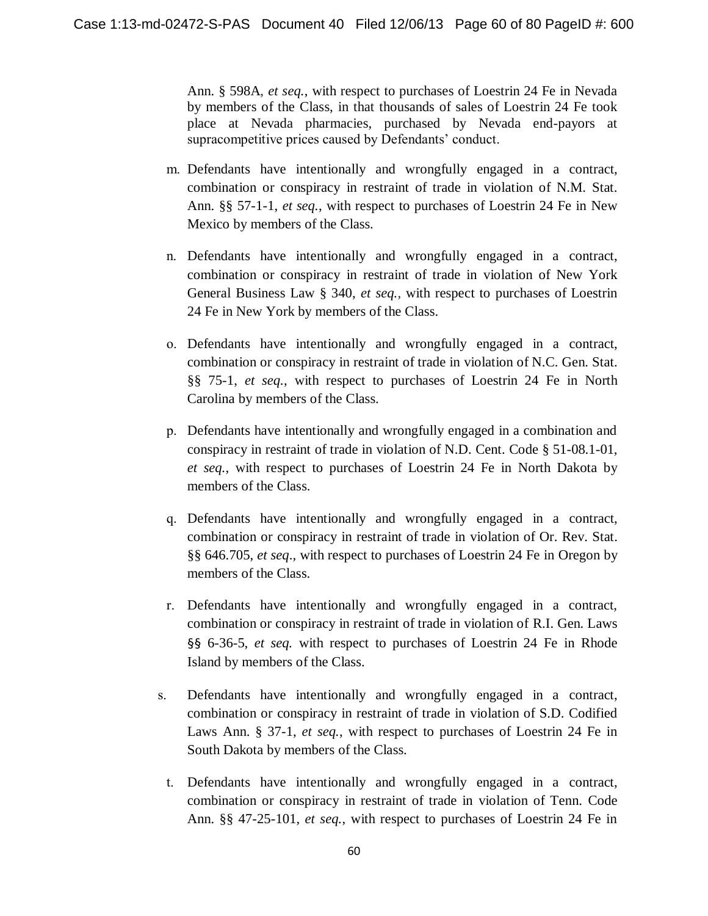Ann. § 598A, *et seq.*, with respect to purchases of Loestrin 24 Fe in Nevada by members of the Class, in that thousands of sales of Loestrin 24 Fe took place at Nevada pharmacies, purchased by Nevada end-payors at supracompetitive prices caused by Defendants' conduct.

- m. Defendants have intentionally and wrongfully engaged in a contract, combination or conspiracy in restraint of trade in violation of N.M. Stat. Ann. §§ 57-1-1, *et seq.*, with respect to purchases of Loestrin 24 Fe in New Mexico by members of the Class.
- n. Defendants have intentionally and wrongfully engaged in a contract, combination or conspiracy in restraint of trade in violation of New York General Business Law § 340, *et seq.*, with respect to purchases of Loestrin 24 Fe in New York by members of the Class.
- o. Defendants have intentionally and wrongfully engaged in a contract, combination or conspiracy in restraint of trade in violation of N.C. Gen. Stat. §§ 75-1, *et seq.*, with respect to purchases of Loestrin 24 Fe in North Carolina by members of the Class.
- p. Defendants have intentionally and wrongfully engaged in a combination and conspiracy in restraint of trade in violation of N.D. Cent. Code § 51-08.1-01, *et seq.*, with respect to purchases of Loestrin 24 Fe in North Dakota by members of the Class.
- q. Defendants have intentionally and wrongfully engaged in a contract, combination or conspiracy in restraint of trade in violation of Or. Rev. Stat. §§ 646.705, *et seq*.*,* with respect to purchases of Loestrin 24 Fe in Oregon by members of the Class.
- r. Defendants have intentionally and wrongfully engaged in a contract, combination or conspiracy in restraint of trade in violation of R.I. Gen. Laws §§ 6-36-5, *et seq.* with respect to purchases of Loestrin 24 Fe in Rhode Island by members of the Class.
- s. Defendants have intentionally and wrongfully engaged in a contract, combination or conspiracy in restraint of trade in violation of S.D. Codified Laws Ann. § 37-1, *et seq.*, with respect to purchases of Loestrin 24 Fe in South Dakota by members of the Class.
	- t. Defendants have intentionally and wrongfully engaged in a contract, combination or conspiracy in restraint of trade in violation of Tenn. Code Ann. §§ 47-25-101, *et seq.*, with respect to purchases of Loestrin 24 Fe in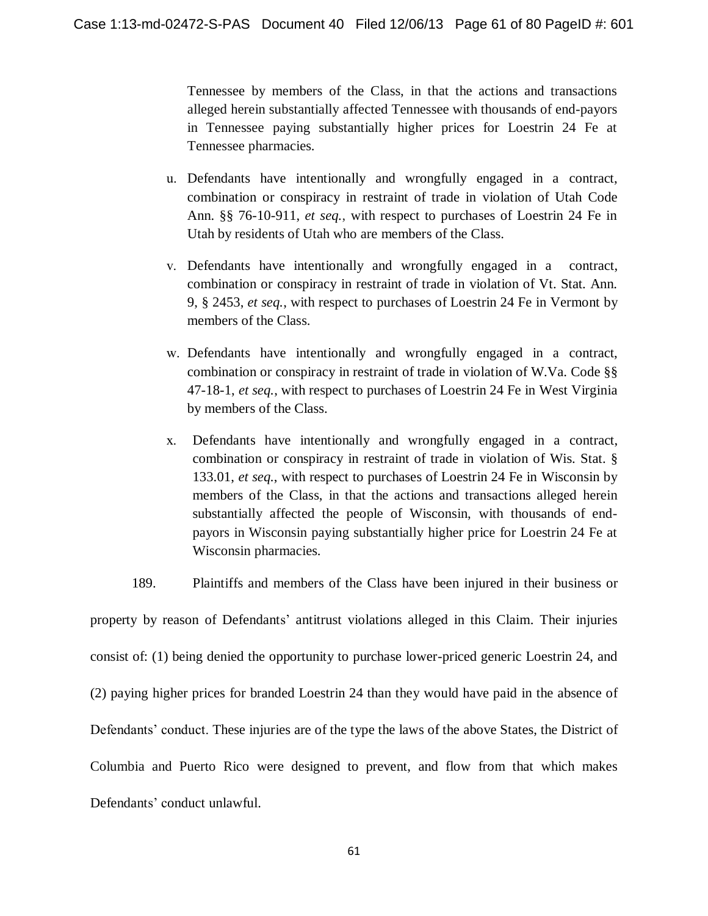Tennessee by members of the Class, in that the actions and transactions alleged herein substantially affected Tennessee with thousands of end-payors in Tennessee paying substantially higher prices for Loestrin 24 Fe at Tennessee pharmacies.

- u. Defendants have intentionally and wrongfully engaged in a contract, combination or conspiracy in restraint of trade in violation of Utah Code Ann. §§ 76-10-911, *et seq.*, with respect to purchases of Loestrin 24 Fe in Utah by residents of Utah who are members of the Class.
- v. Defendants have intentionally and wrongfully engaged in a contract, combination or conspiracy in restraint of trade in violation of Vt. Stat. Ann. 9, § 2453, *et seq.*, with respect to purchases of Loestrin 24 Fe in Vermont by members of the Class.
- w. Defendants have intentionally and wrongfully engaged in a contract, combination or conspiracy in restraint of trade in violation of W.Va. Code §§ 47-18-1, *et seq.*, with respect to purchases of Loestrin 24 Fe in West Virginia by members of the Class.
- x. Defendants have intentionally and wrongfully engaged in a contract, combination or conspiracy in restraint of trade in violation of Wis. Stat. § 133.01, *et seq.*, with respect to purchases of Loestrin 24 Fe in Wisconsin by members of the Class, in that the actions and transactions alleged herein substantially affected the people of Wisconsin, with thousands of endpayors in Wisconsin paying substantially higher price for Loestrin 24 Fe at Wisconsin pharmacies.
- 189. Plaintiffs and members of the Class have been injured in their business or

property by reason of Defendants' antitrust violations alleged in this Claim. Their injuries consist of: (1) being denied the opportunity to purchase lower-priced generic Loestrin 24, and (2) paying higher prices for branded Loestrin 24 than they would have paid in the absence of Defendants' conduct. These injuries are of the type the laws of the above States, the District of Columbia and Puerto Rico were designed to prevent, and flow from that which makes Defendants' conduct unlawful.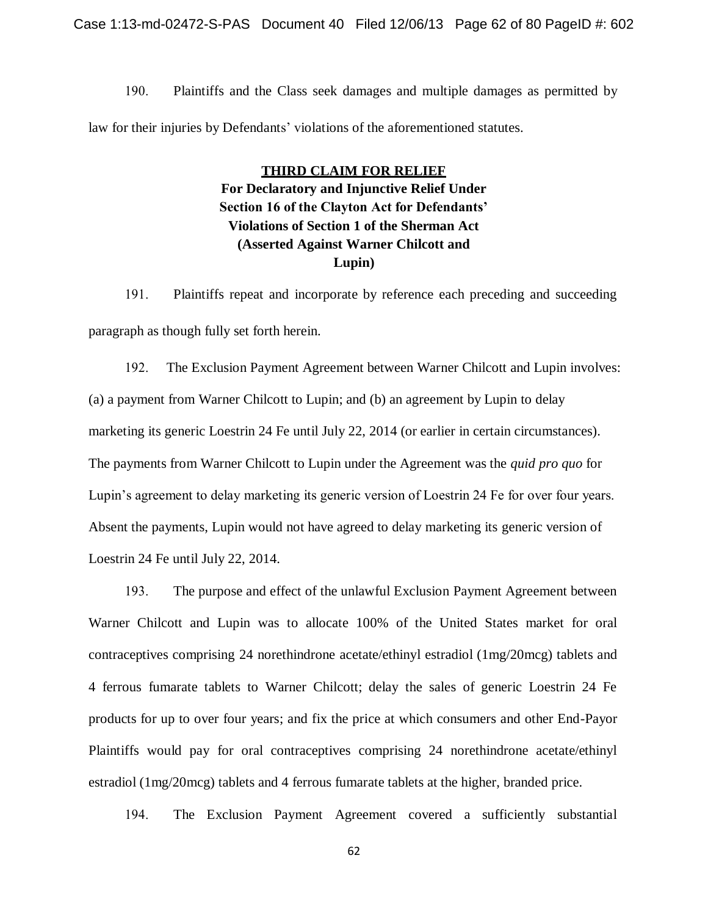190. Plaintiffs and the Class seek damages and multiple damages as permitted by law for their injuries by Defendants' violations of the aforementioned statutes.

> **THIRD CLAIM FOR RELIEF For Declaratory and Injunctive Relief Under Section 16 of the Clayton Act for Defendants' Violations of Section 1 of the Sherman Act (Asserted Against Warner Chilcott and Lupin)**

191. Plaintiffs repeat and incorporate by reference each preceding and succeeding paragraph as though fully set forth herein.

192. The Exclusion Payment Agreement between Warner Chilcott and Lupin involves: (a) a payment from Warner Chilcott to Lupin; and (b) an agreement by Lupin to delay marketing its generic Loestrin 24 Fe until July 22, 2014 (or earlier in certain circumstances). The payments from Warner Chilcott to Lupin under the Agreement was the *quid pro quo* for Lupin's agreement to delay marketing its generic version of Loestrin 24 Fe for over four years. Absent the payments, Lupin would not have agreed to delay marketing its generic version of Loestrin 24 Fe until July 22, 2014.

193. The purpose and effect of the unlawful Exclusion Payment Agreement between Warner Chilcott and Lupin was to allocate 100% of the United States market for oral contraceptives comprising 24 norethindrone acetate/ethinyl estradiol (1mg/20mcg) tablets and 4 ferrous fumarate tablets to Warner Chilcott; delay the sales of generic Loestrin 24 Fe products for up to over four years; and fix the price at which consumers and other End-Payor Plaintiffs would pay for oral contraceptives comprising 24 norethindrone acetate/ethinyl estradiol (1mg/20mcg) tablets and 4 ferrous fumarate tablets at the higher, branded price.

194. The Exclusion Payment Agreement covered a sufficiently substantial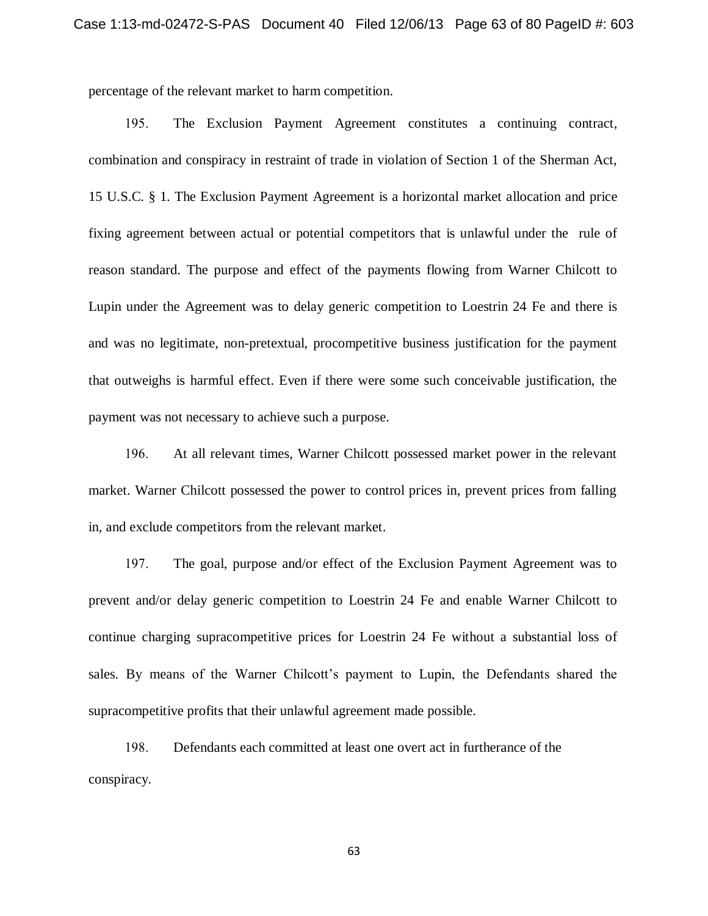percentage of the relevant market to harm competition.

195. The Exclusion Payment Agreement constitutes a continuing contract, combination and conspiracy in restraint of trade in violation of Section 1 of the Sherman Act, 15 U.S.C. § 1. The Exclusion Payment Agreement is a horizontal market allocation and price fixing agreement between actual or potential competitors that is unlawful under the rule of reason standard. The purpose and effect of the payments flowing from Warner Chilcott to Lupin under the Agreement was to delay generic competition to Loestrin 24 Fe and there is and was no legitimate, non-pretextual, procompetitive business justification for the payment that outweighs is harmful effect. Even if there were some such conceivable justification, the payment was not necessary to achieve such a purpose.

196. At all relevant times, Warner Chilcott possessed market power in the relevant market. Warner Chilcott possessed the power to control prices in, prevent prices from falling in, and exclude competitors from the relevant market.

197. The goal, purpose and/or effect of the Exclusion Payment Agreement was to prevent and/or delay generic competition to Loestrin 24 Fe and enable Warner Chilcott to continue charging supracompetitive prices for Loestrin 24 Fe without a substantial loss of sales. By means of the Warner Chilcott's payment to Lupin, the Defendants shared the supracompetitive profits that their unlawful agreement made possible.

198. Defendants each committed at least one overt act in furtherance of the conspiracy.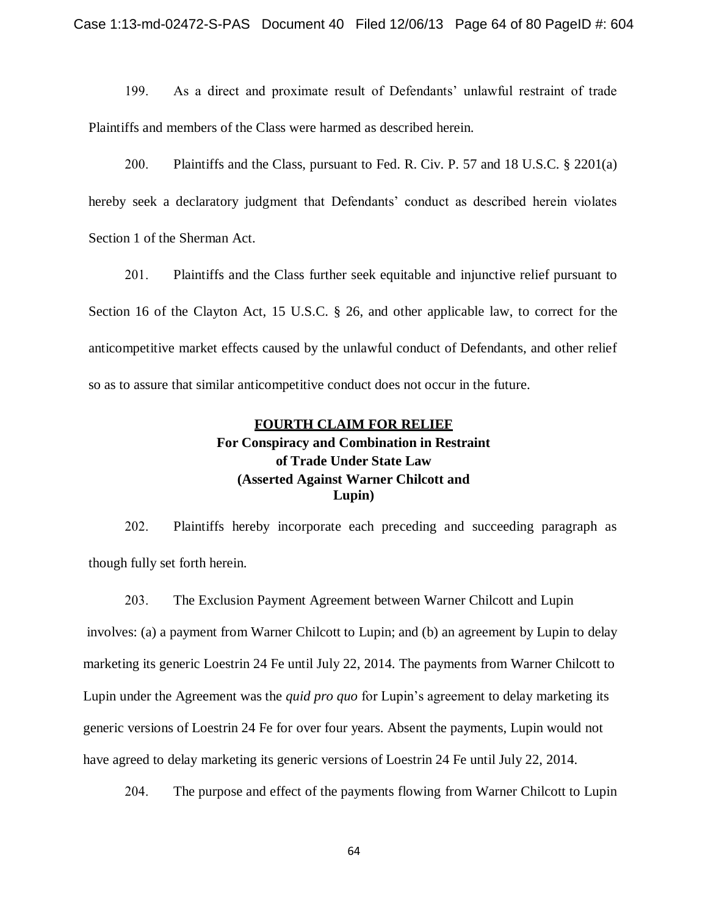199. As a direct and proximate result of Defendants' unlawful restraint of trade Plaintiffs and members of the Class were harmed as described herein.

200. Plaintiffs and the Class, pursuant to Fed. R. Civ. P. 57 and 18 U.S.C. § 2201(a) hereby seek a declaratory judgment that Defendants' conduct as described herein violates Section 1 of the Sherman Act.

201. Plaintiffs and the Class further seek equitable and injunctive relief pursuant to Section 16 of the Clayton Act, 15 U.S.C. § 26, and other applicable law, to correct for the anticompetitive market effects caused by the unlawful conduct of Defendants, and other relief so as to assure that similar anticompetitive conduct does not occur in the future.

# **FOURTH CLAIM FOR RELIEF For Conspiracy and Combination in Restraint of Trade Under State Law (Asserted Against Warner Chilcott and Lupin)**

202. Plaintiffs hereby incorporate each preceding and succeeding paragraph as though fully set forth herein.

203. The Exclusion Payment Agreement between Warner Chilcott and Lupin involves: (a) a payment from Warner Chilcott to Lupin; and (b) an agreement by Lupin to delay marketing its generic Loestrin 24 Fe until July 22, 2014. The payments from Warner Chilcott to Lupin under the Agreement was the *quid pro quo* for Lupin's agreement to delay marketing its generic versions of Loestrin 24 Fe for over four years. Absent the payments, Lupin would not have agreed to delay marketing its generic versions of Loestrin 24 Fe until July 22, 2014.

204. The purpose and effect of the payments flowing from Warner Chilcott to Lupin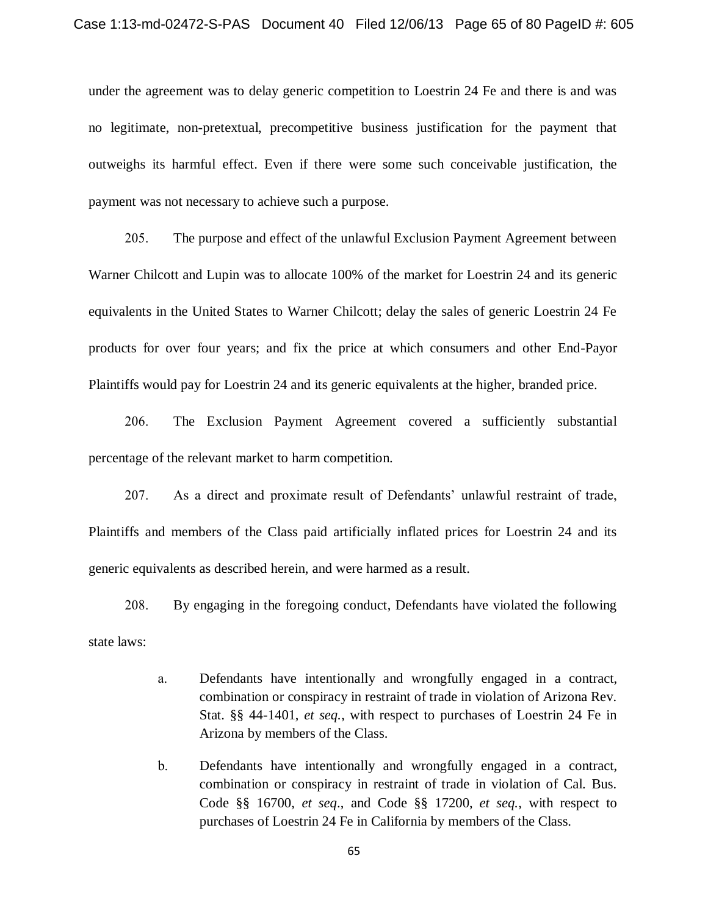under the agreement was to delay generic competition to Loestrin 24 Fe and there is and was no legitimate, non-pretextual, precompetitive business justification for the payment that outweighs its harmful effect. Even if there were some such conceivable justification, the payment was not necessary to achieve such a purpose.

205. The purpose and effect of the unlawful Exclusion Payment Agreement between Warner Chilcott and Lupin was to allocate 100% of the market for Loestrin 24 and its generic equivalents in the United States to Warner Chilcott; delay the sales of generic Loestrin 24 Fe products for over four years; and fix the price at which consumers and other End-Payor Plaintiffs would pay for Loestrin 24 and its generic equivalents at the higher, branded price.

206. The Exclusion Payment Agreement covered a sufficiently substantial percentage of the relevant market to harm competition.

207. As a direct and proximate result of Defendants' unlawful restraint of trade, Plaintiffs and members of the Class paid artificially inflated prices for Loestrin 24 and its generic equivalents as described herein, and were harmed as a result.

208. By engaging in the foregoing conduct, Defendants have violated the following state laws:

- a. Defendants have intentionally and wrongfully engaged in a contract, combination or conspiracy in restraint of trade in violation of Arizona Rev. Stat. §§ 44-1401, *et seq.*, with respect to purchases of Loestrin 24 Fe in Arizona by members of the Class.
- b. Defendants have intentionally and wrongfully engaged in a contract, combination or conspiracy in restraint of trade in violation of Cal. Bus. Code §§ 16700, *et seq*., and Code §§ 17200, *et seq.*, with respect to purchases of Loestrin 24 Fe in California by members of the Class.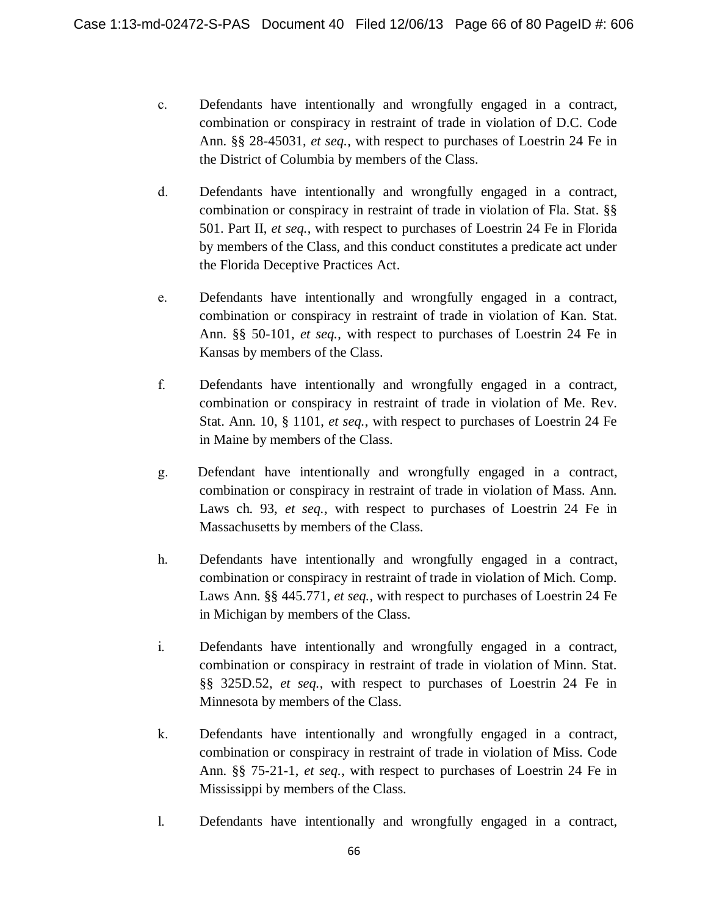- c. Defendants have intentionally and wrongfully engaged in a contract, combination or conspiracy in restraint of trade in violation of D.C. Code Ann. §§ 28-45031, *et seq.*, with respect to purchases of Loestrin 24 Fe in the District of Columbia by members of the Class.
- d. Defendants have intentionally and wrongfully engaged in a contract, combination or conspiracy in restraint of trade in violation of Fla. Stat. §§ 501. Part II, *et seq.*, with respect to purchases of Loestrin 24 Fe in Florida by members of the Class, and this conduct constitutes a predicate act under the Florida Deceptive Practices Act.
- e. Defendants have intentionally and wrongfully engaged in a contract, combination or conspiracy in restraint of trade in violation of Kan. Stat. Ann. §§ 50-101, *et seq.*, with respect to purchases of Loestrin 24 Fe in Kansas by members of the Class.
- f. Defendants have intentionally and wrongfully engaged in a contract, combination or conspiracy in restraint of trade in violation of Me. Rev. Stat. Ann. 10, § 1101, *et seq.*, with respect to purchases of Loestrin 24 Fe in Maine by members of the Class.
- g. Defendant have intentionally and wrongfully engaged in a contract, combination or conspiracy in restraint of trade in violation of Mass. Ann. Laws ch. 93, *et seq.*, with respect to purchases of Loestrin 24 Fe in Massachusetts by members of the Class.
- h. Defendants have intentionally and wrongfully engaged in a contract, combination or conspiracy in restraint of trade in violation of Mich. Comp. Laws Ann. §§ 445.771, *et seq.*, with respect to purchases of Loestrin 24 Fe in Michigan by members of the Class.
- i. Defendants have intentionally and wrongfully engaged in a contract, combination or conspiracy in restraint of trade in violation of Minn. Stat. §§ 325D.52, *et seq.*, with respect to purchases of Loestrin 24 Fe in Minnesota by members of the Class.
- k. Defendants have intentionally and wrongfully engaged in a contract, combination or conspiracy in restraint of trade in violation of Miss. Code Ann. §§ 75-21-1, *et seq.*, with respect to purchases of Loestrin 24 Fe in Mississippi by members of the Class.
- l. Defendants have intentionally and wrongfully engaged in a contract,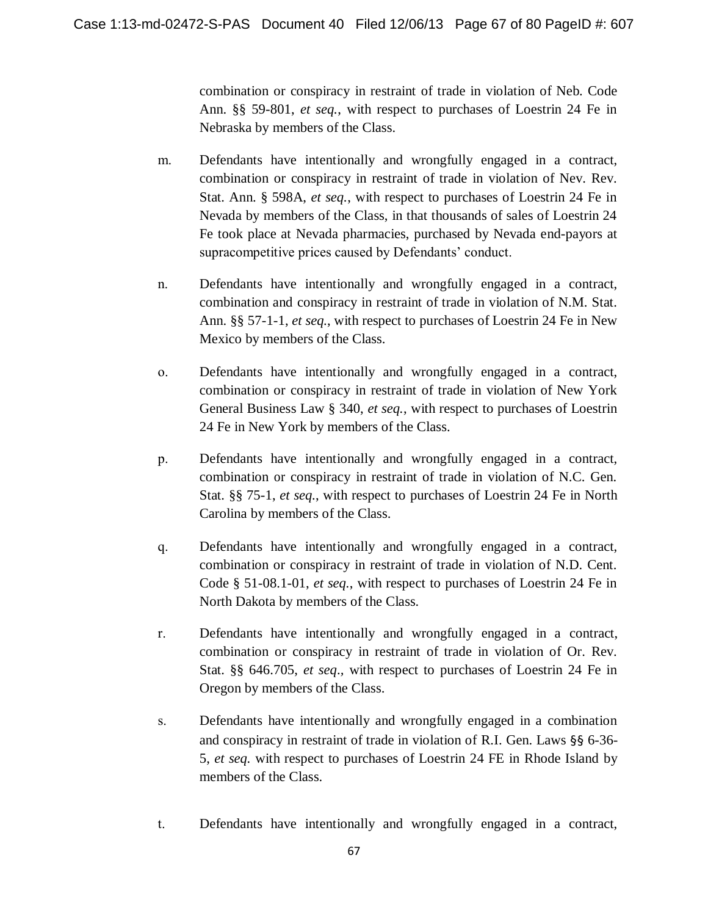combination or conspiracy in restraint of trade in violation of Neb. Code Ann. §§ 59-801, *et seq.*, with respect to purchases of Loestrin 24 Fe in Nebraska by members of the Class.

- m. Defendants have intentionally and wrongfully engaged in a contract, combination or conspiracy in restraint of trade in violation of Nev. Rev. Stat. Ann. § 598A, *et seq.*, with respect to purchases of Loestrin 24 Fe in Nevada by members of the Class, in that thousands of sales of Loestrin 24 Fe took place at Nevada pharmacies, purchased by Nevada end-payors at supracompetitive prices caused by Defendants' conduct.
- n. Defendants have intentionally and wrongfully engaged in a contract, combination and conspiracy in restraint of trade in violation of N.M. Stat. Ann. §§ 57-1-1, *et seq.*, with respect to purchases of Loestrin 24 Fe in New Mexico by members of the Class.
- o. Defendants have intentionally and wrongfully engaged in a contract, combination or conspiracy in restraint of trade in violation of New York General Business Law § 340, *et seq.*, with respect to purchases of Loestrin 24 Fe in New York by members of the Class.
- p. Defendants have intentionally and wrongfully engaged in a contract, combination or conspiracy in restraint of trade in violation of N.C. Gen. Stat. §§ 75-1, *et seq.*, with respect to purchases of Loestrin 24 Fe in North Carolina by members of the Class.
- q. Defendants have intentionally and wrongfully engaged in a contract, combination or conspiracy in restraint of trade in violation of N.D. Cent. Code § 51-08.1-01, *et seq.*, with respect to purchases of Loestrin 24 Fe in North Dakota by members of the Class.
- r. Defendants have intentionally and wrongfully engaged in a contract, combination or conspiracy in restraint of trade in violation of Or. Rev. Stat. §§ 646.705, *et seq*.*,* with respect to purchases of Loestrin 24 Fe in Oregon by members of the Class.
- s. Defendants have intentionally and wrongfully engaged in a combination and conspiracy in restraint of trade in violation of R.I. Gen. Laws §§ 6-36- 5, *et seq.* with respect to purchases of Loestrin 24 FE in Rhode Island by members of the Class.
- t. Defendants have intentionally and wrongfully engaged in a contract,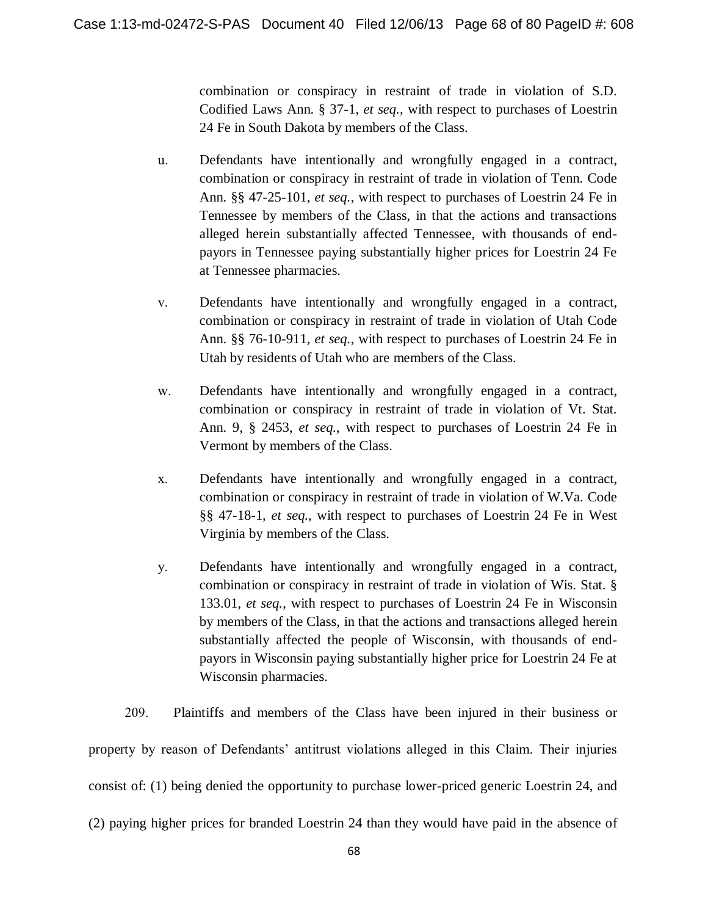combination or conspiracy in restraint of trade in violation of S.D. Codified Laws Ann. § 37-1, *et seq.*, with respect to purchases of Loestrin 24 Fe in South Dakota by members of the Class.

- u. Defendants have intentionally and wrongfully engaged in a contract, combination or conspiracy in restraint of trade in violation of Tenn. Code Ann. §§ 47-25-101, *et seq.*, with respect to purchases of Loestrin 24 Fe in Tennessee by members of the Class, in that the actions and transactions alleged herein substantially affected Tennessee, with thousands of endpayors in Tennessee paying substantially higher prices for Loestrin 24 Fe at Tennessee pharmacies.
- v. Defendants have intentionally and wrongfully engaged in a contract, combination or conspiracy in restraint of trade in violation of Utah Code Ann. §§ 76-10-911, *et seq.*, with respect to purchases of Loestrin 24 Fe in Utah by residents of Utah who are members of the Class.
- w. Defendants have intentionally and wrongfully engaged in a contract, combination or conspiracy in restraint of trade in violation of Vt. Stat. Ann. 9, § 2453, *et seq.*, with respect to purchases of Loestrin 24 Fe in Vermont by members of the Class.
- x. Defendants have intentionally and wrongfully engaged in a contract, combination or conspiracy in restraint of trade in violation of W.Va. Code §§ 47-18-1, *et seq.*, with respect to purchases of Loestrin 24 Fe in West Virginia by members of the Class.
- y. Defendants have intentionally and wrongfully engaged in a contract, combination or conspiracy in restraint of trade in violation of Wis. Stat. § 133.01, *et seq.*, with respect to purchases of Loestrin 24 Fe in Wisconsin by members of the Class, in that the actions and transactions alleged herein substantially affected the people of Wisconsin, with thousands of endpayors in Wisconsin paying substantially higher price for Loestrin 24 Fe at Wisconsin pharmacies.

209. Plaintiffs and members of the Class have been injured in their business or property by reason of Defendants' antitrust violations alleged in this Claim. Their injuries consist of: (1) being denied the opportunity to purchase lower-priced generic Loestrin 24, and (2) paying higher prices for branded Loestrin 24 than they would have paid in the absence of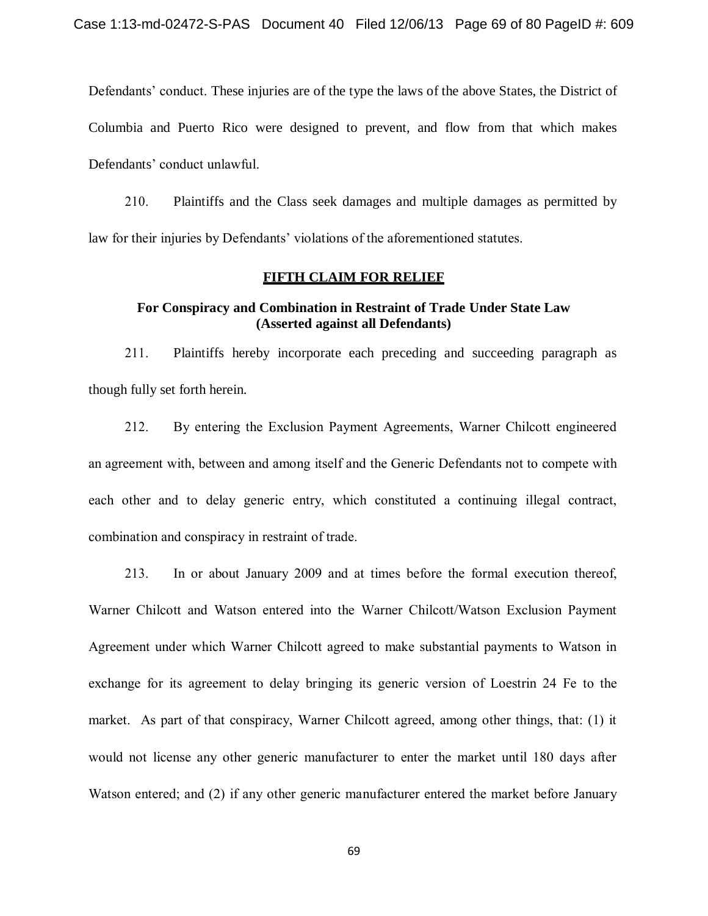Defendants' conduct. These injuries are of the type the laws of the above States, the District of Columbia and Puerto Rico were designed to prevent, and flow from that which makes Defendants' conduct unlawful.

210. Plaintiffs and the Class seek damages and multiple damages as permitted by law for their injuries by Defendants' violations of the aforementioned statutes.

#### **FIFTH CLAIM FOR RELIEF**

### **For Conspiracy and Combination in Restraint of Trade Under State Law (Asserted against all Defendants)**

211. Plaintiffs hereby incorporate each preceding and succeeding paragraph as though fully set forth herein.

212. By entering the Exclusion Payment Agreements, Warner Chilcott engineered an agreement with, between and among itself and the Generic Defendants not to compete with each other and to delay generic entry, which constituted a continuing illegal contract, combination and conspiracy in restraint of trade.

213. In or about January 2009 and at times before the formal execution thereof, Warner Chilcott and Watson entered into the Warner Chilcott/Watson Exclusion Payment Agreement under which Warner Chilcott agreed to make substantial payments to Watson in exchange for its agreement to delay bringing its generic version of Loestrin 24 Fe to the market. As part of that conspiracy, Warner Chilcott agreed, among other things, that: (1) it would not license any other generic manufacturer to enter the market until 180 days after Watson entered; and (2) if any other generic manufacturer entered the market before January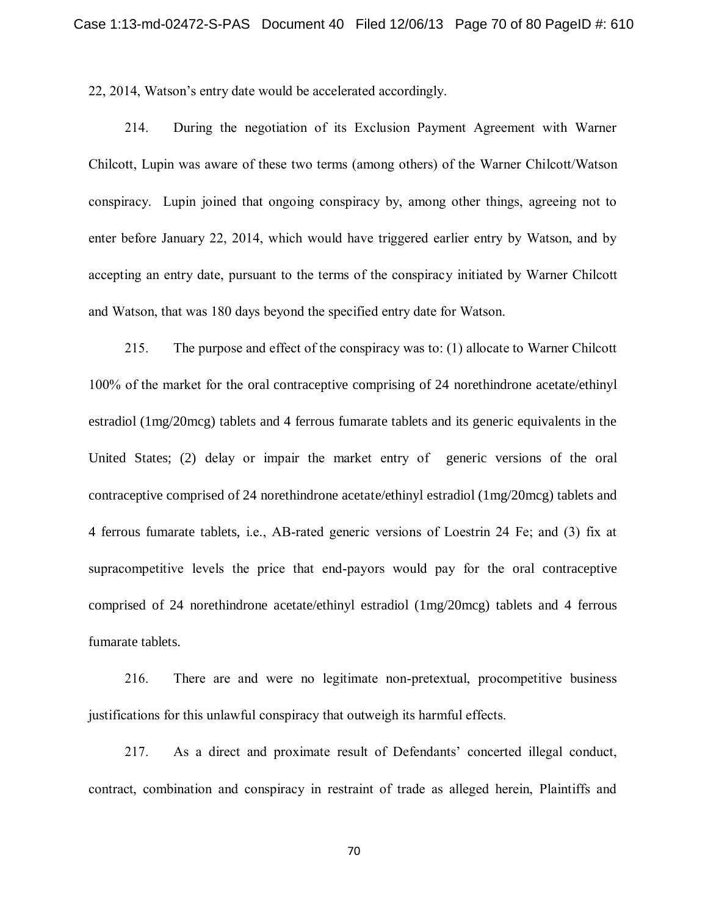22, 2014, Watson's entry date would be accelerated accordingly.

214. During the negotiation of its Exclusion Payment Agreement with Warner Chilcott, Lupin was aware of these two terms (among others) of the Warner Chilcott/Watson conspiracy. Lupin joined that ongoing conspiracy by, among other things, agreeing not to enter before January 22, 2014, which would have triggered earlier entry by Watson, and by accepting an entry date, pursuant to the terms of the conspiracy initiated by Warner Chilcott and Watson, that was 180 days beyond the specified entry date for Watson.

215. The purpose and effect of the conspiracy was to: (1) allocate to Warner Chilcott 100% of the market for the oral contraceptive comprising of 24 norethindrone acetate/ethinyl estradiol (1mg/20mcg) tablets and 4 ferrous fumarate tablets and its generic equivalents in the United States; (2) delay or impair the market entry of generic versions of the oral contraceptive comprised of 24 norethindrone acetate/ethinyl estradiol (1mg/20mcg) tablets and 4 ferrous fumarate tablets, i.e., AB-rated generic versions of Loestrin 24 Fe; and (3) fix at supracompetitive levels the price that end-payors would pay for the oral contraceptive comprised of 24 norethindrone acetate/ethinyl estradiol (1mg/20mcg) tablets and 4 ferrous fumarate tablets.

216. There are and were no legitimate non-pretextual, procompetitive business justifications for this unlawful conspiracy that outweigh its harmful effects.

217. As a direct and proximate result of Defendants' concerted illegal conduct, contract, combination and conspiracy in restraint of trade as alleged herein, Plaintiffs and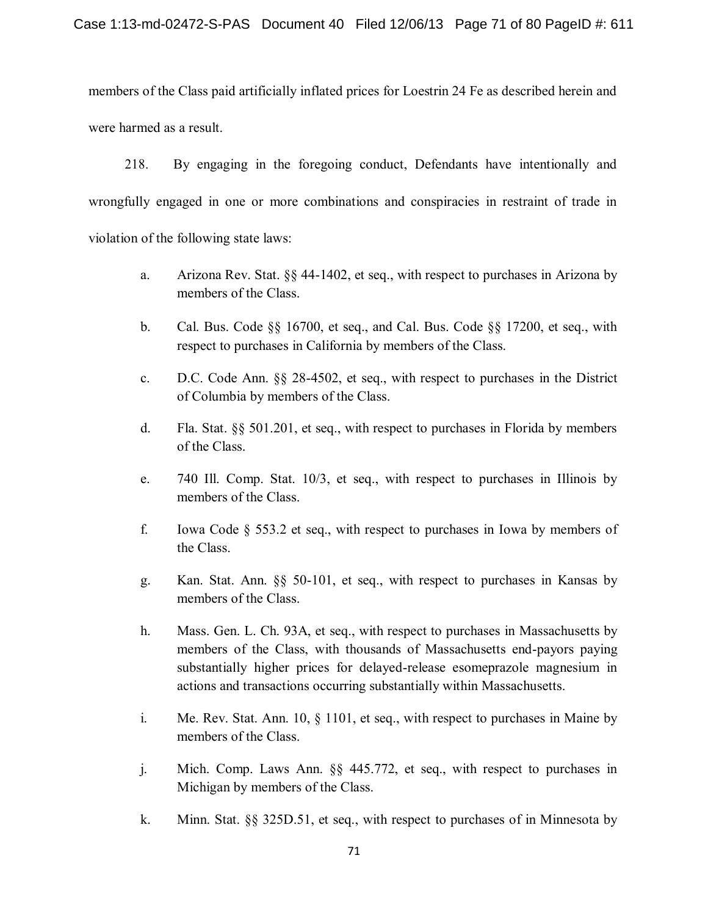members of the Class paid artificially inflated prices for Loestrin 24 Fe as described herein and were harmed as a result.

218. By engaging in the foregoing conduct, Defendants have intentionally and wrongfully engaged in one or more combinations and conspiracies in restraint of trade in violation of the following state laws:

- a. Arizona Rev. Stat. §§ 44-1402, et seq., with respect to purchases in Arizona by members of the Class.
- b. Cal. Bus. Code §§ 16700, et seq., and Cal. Bus. Code §§ 17200, et seq., with respect to purchases in California by members of the Class.
- c. D.C. Code Ann. §§ 28-4502, et seq., with respect to purchases in the District of Columbia by members of the Class.
- d. Fla. Stat. §§ 501.201, et seq., with respect to purchases in Florida by members of the Class.
- e. 740 Ill. Comp. Stat. 10/3, et seq., with respect to purchases in Illinois by members of the Class.
- f. Iowa Code § 553.2 et seq., with respect to purchases in Iowa by members of the Class.
- g. Kan. Stat. Ann. §§ 50-101, et seq., with respect to purchases in Kansas by members of the Class.
- h. Mass. Gen. L. Ch. 93A, et seq., with respect to purchases in Massachusetts by members of the Class, with thousands of Massachusetts end-payors paying substantially higher prices for delayed-release esomeprazole magnesium in actions and transactions occurring substantially within Massachusetts.
- i. Me. Rev. Stat. Ann. 10, § 1101, et seq., with respect to purchases in Maine by members of the Class.
- j. Mich. Comp. Laws Ann. §§ 445.772, et seq., with respect to purchases in Michigan by members of the Class.
- k. Minn. Stat. §§ 325D.51, et seq., with respect to purchases of in Minnesota by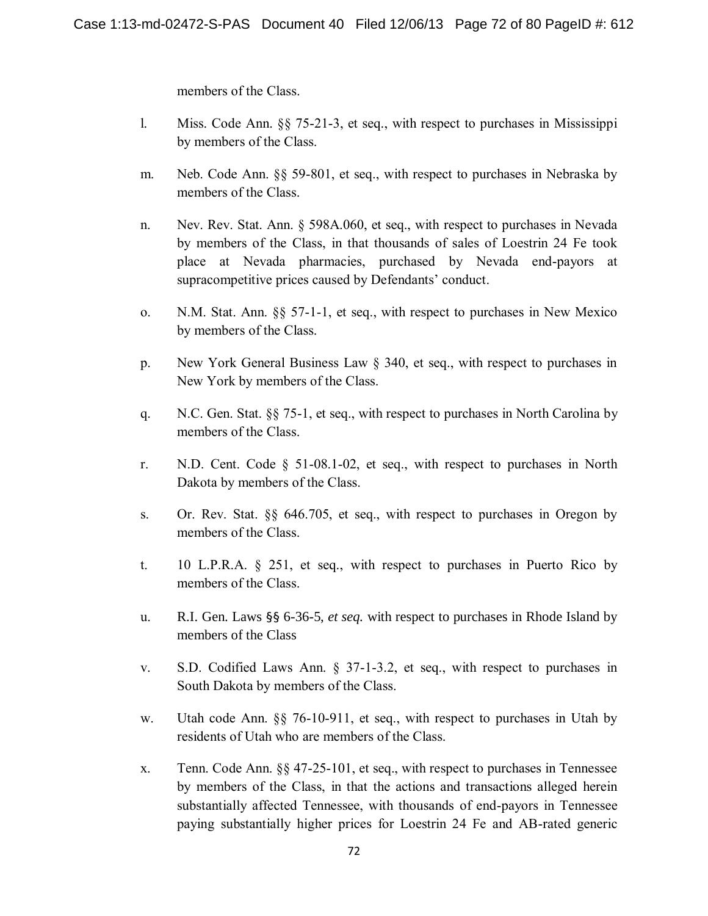members of the Class.

- l. Miss. Code Ann. §§ 75-21-3, et seq., with respect to purchases in Mississippi by members of the Class.
- m. Neb. Code Ann. §§ 59-801, et seq., with respect to purchases in Nebraska by members of the Class.
- n. Nev. Rev. Stat. Ann. § 598A.060, et seq., with respect to purchases in Nevada by members of the Class, in that thousands of sales of Loestrin 24 Fe took place at Nevada pharmacies, purchased by Nevada end-payors at supracompetitive prices caused by Defendants' conduct.
- o. N.M. Stat. Ann. §§ 57-1-1, et seq., with respect to purchases in New Mexico by members of the Class.
- p. New York General Business Law § 340, et seq., with respect to purchases in New York by members of the Class.
- q. N.C. Gen. Stat. §§ 75-1, et seq., with respect to purchases in North Carolina by members of the Class.
- r. N.D. Cent. Code § 51-08.1-02, et seq., with respect to purchases in North Dakota by members of the Class.
- s. Or. Rev. Stat. §§ 646.705, et seq., with respect to purchases in Oregon by members of the Class.
- t. 10 L.P.R.A. § 251, et seq., with respect to purchases in Puerto Rico by members of the Class.
- u. R.I. Gen. Laws §§ 6-36-5, *et seq.* with respect to purchases in Rhode Island by members of the Class
- v. S.D. Codified Laws Ann. § 37-1-3.2, et seq., with respect to purchases in South Dakota by members of the Class.
- w. Utah code Ann. §§ 76-10-911, et seq., with respect to purchases in Utah by residents of Utah who are members of the Class.
- x. Tenn. Code Ann. §§ 47-25-101, et seq., with respect to purchases in Tennessee by members of the Class, in that the actions and transactions alleged herein substantially affected Tennessee, with thousands of end-payors in Tennessee paying substantially higher prices for Loestrin 24 Fe and AB-rated generic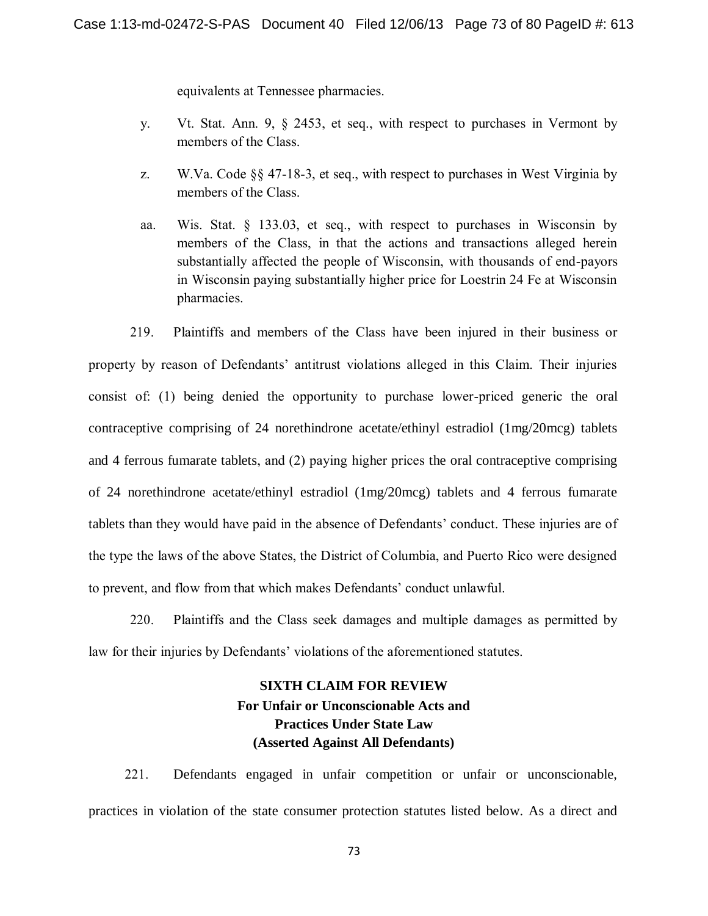equivalents at Tennessee pharmacies.

- y. Vt. Stat. Ann. 9, § 2453, et seq., with respect to purchases in Vermont by members of the Class.
- z. W.Va. Code §§ 47-18-3, et seq., with respect to purchases in West Virginia by members of the Class.
- aa. Wis. Stat. § 133.03, et seq., with respect to purchases in Wisconsin by members of the Class, in that the actions and transactions alleged herein substantially affected the people of Wisconsin, with thousands of end-payors in Wisconsin paying substantially higher price for Loestrin 24 Fe at Wisconsin pharmacies.

219. Plaintiffs and members of the Class have been injured in their business or property by reason of Defendants' antitrust violations alleged in this Claim. Their injuries consist of: (1) being denied the opportunity to purchase lower-priced generic the oral contraceptive comprising of 24 norethindrone acetate/ethinyl estradiol (1mg/20mcg) tablets and 4 ferrous fumarate tablets, and (2) paying higher prices the oral contraceptive comprising of 24 norethindrone acetate/ethinyl estradiol (1mg/20mcg) tablets and 4 ferrous fumarate tablets than they would have paid in the absence of Defendants' conduct. These injuries are of the type the laws of the above States, the District of Columbia, and Puerto Rico were designed to prevent, and flow from that which makes Defendants' conduct unlawful.

220. Plaintiffs and the Class seek damages and multiple damages as permitted by law for their injuries by Defendants' violations of the aforementioned statutes.

# **SIXTH CLAIM FOR REVIEW For Unfair or Unconscionable Acts and Practices Under State Law (Asserted Against All Defendants)**

221. Defendants engaged in unfair competition or unfair or unconscionable, practices in violation of the state consumer protection statutes listed below. As a direct and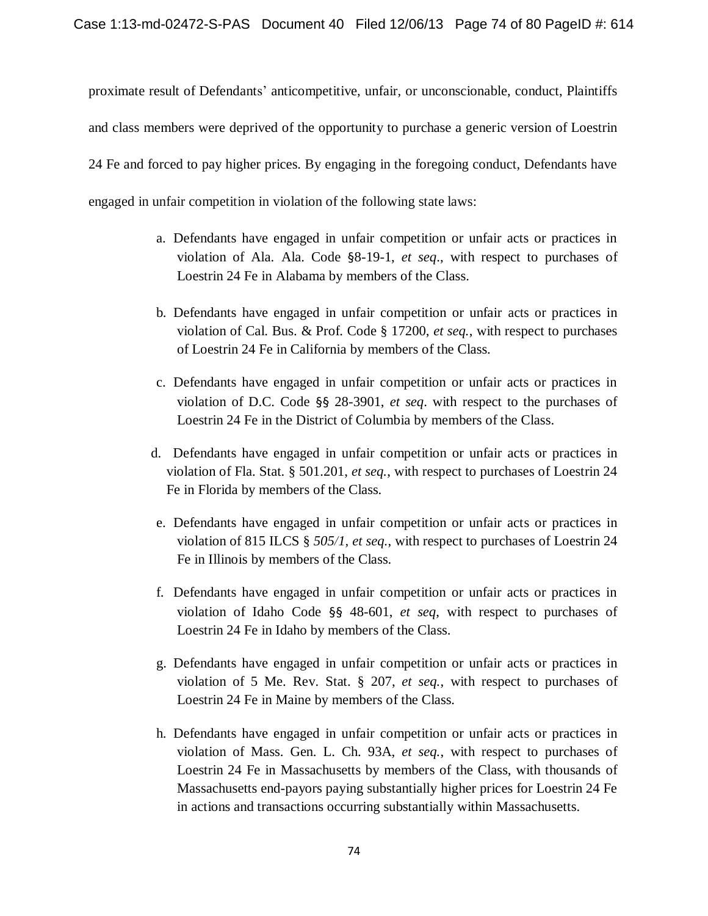proximate result of Defendants' anticompetitive, unfair, or unconscionable, conduct, Plaintiffs and class members were deprived of the opportunity to purchase a generic version of Loestrin 24 Fe and forced to pay higher prices. By engaging in the foregoing conduct, Defendants have engaged in unfair competition in violation of the following state laws:

- a. Defendants have engaged in unfair competition or unfair acts or practices in violation of Ala. Ala. Code §8-19-1, *et seq*., with respect to purchases of Loestrin 24 Fe in Alabama by members of the Class.
- b. Defendants have engaged in unfair competition or unfair acts or practices in violation of Cal. Bus. & Prof. Code § 17200, *et seq.*, with respect to purchases of Loestrin 24 Fe in California by members of the Class.
- c. Defendants have engaged in unfair competition or unfair acts or practices in violation of D.C. Code §§ 28-3901, *et seq*. with respect to the purchases of Loestrin 24 Fe in the District of Columbia by members of the Class.
- d. Defendants have engaged in unfair competition or unfair acts or practices in violation of Fla. Stat. § 501.201, *et seq.*, with respect to purchases of Loestrin 24 Fe in Florida by members of the Class.
- e. Defendants have engaged in unfair competition or unfair acts or practices in violation of 815 ILCS § *505/1, et seq.*, with respect to purchases of Loestrin 24 Fe in Illinois by members of the Class.
- f. Defendants have engaged in unfair competition or unfair acts or practices in violation of Idaho Code §§ 48-601, *et seq*, with respect to purchases of Loestrin 24 Fe in Idaho by members of the Class.
- g. Defendants have engaged in unfair competition or unfair acts or practices in violation of 5 Me. Rev. Stat. § 207, *et seq.*, with respect to purchases of Loestrin 24 Fe in Maine by members of the Class.
- h. Defendants have engaged in unfair competition or unfair acts or practices in violation of Mass. Gen. L. Ch. 93A, *et seq.*, with respect to purchases of Loestrin 24 Fe in Massachusetts by members of the Class, with thousands of Massachusetts end-payors paying substantially higher prices for Loestrin 24 Fe in actions and transactions occurring substantially within Massachusetts.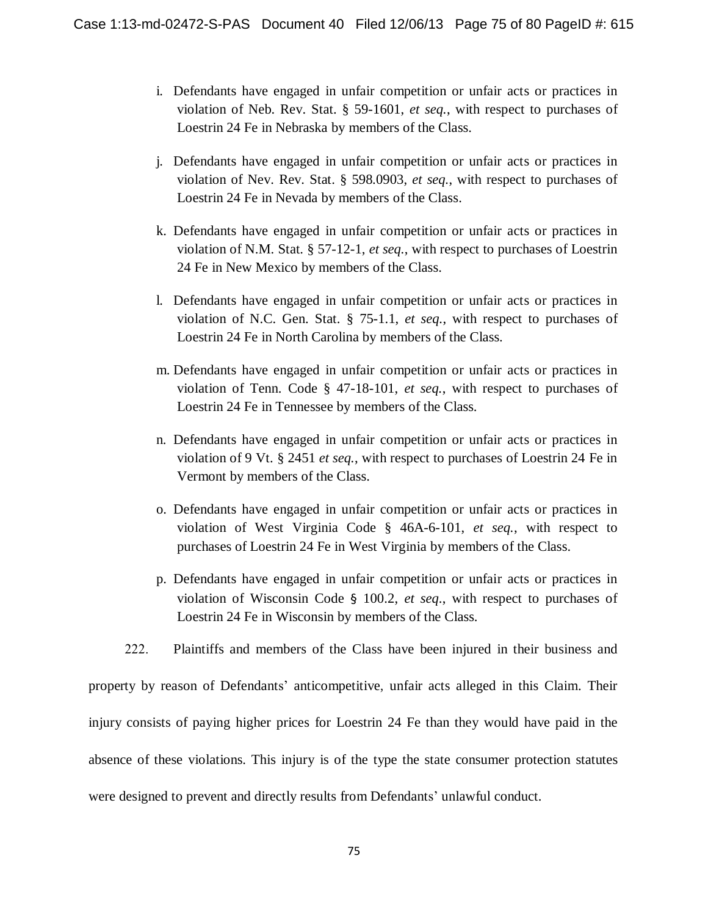- i. Defendants have engaged in unfair competition or unfair acts or practices in violation of Neb. Rev. Stat. § 59-1601, *et seq.*, with respect to purchases of Loestrin 24 Fe in Nebraska by members of the Class.
- j. Defendants have engaged in unfair competition or unfair acts or practices in violation of Nev. Rev. Stat. § 598.0903, *et seq.*, with respect to purchases of Loestrin 24 Fe in Nevada by members of the Class.
- k. Defendants have engaged in unfair competition or unfair acts or practices in violation of N.M. Stat. § 57-12-1, *et seq.*, with respect to purchases of Loestrin 24 Fe in New Mexico by members of the Class.
- l. Defendants have engaged in unfair competition or unfair acts or practices in violation of N.C. Gen. Stat. § 75-1.1, *et seq.*, with respect to purchases of Loestrin 24 Fe in North Carolina by members of the Class.
- m. Defendants have engaged in unfair competition or unfair acts or practices in violation of Tenn. Code § 47-18-101, *et seq.*, with respect to purchases of Loestrin 24 Fe in Tennessee by members of the Class.
- n. Defendants have engaged in unfair competition or unfair acts or practices in violation of 9 Vt. § 2451 *et seq.*, with respect to purchases of Loestrin 24 Fe in Vermont by members of the Class.
- o. Defendants have engaged in unfair competition or unfair acts or practices in violation of West Virginia Code § 46A-6-101, *et seq.*, with respect to purchases of Loestrin 24 Fe in West Virginia by members of the Class.
- p. Defendants have engaged in unfair competition or unfair acts or practices in violation of Wisconsin Code § 100.2, *et seq*., with respect to purchases of Loestrin 24 Fe in Wisconsin by members of the Class.
- 222. Plaintiffs and members of the Class have been injured in their business and

property by reason of Defendants' anticompetitive, unfair acts alleged in this Claim. Their injury consists of paying higher prices for Loestrin 24 Fe than they would have paid in the absence of these violations. This injury is of the type the state consumer protection statutes were designed to prevent and directly results from Defendants' unlawful conduct.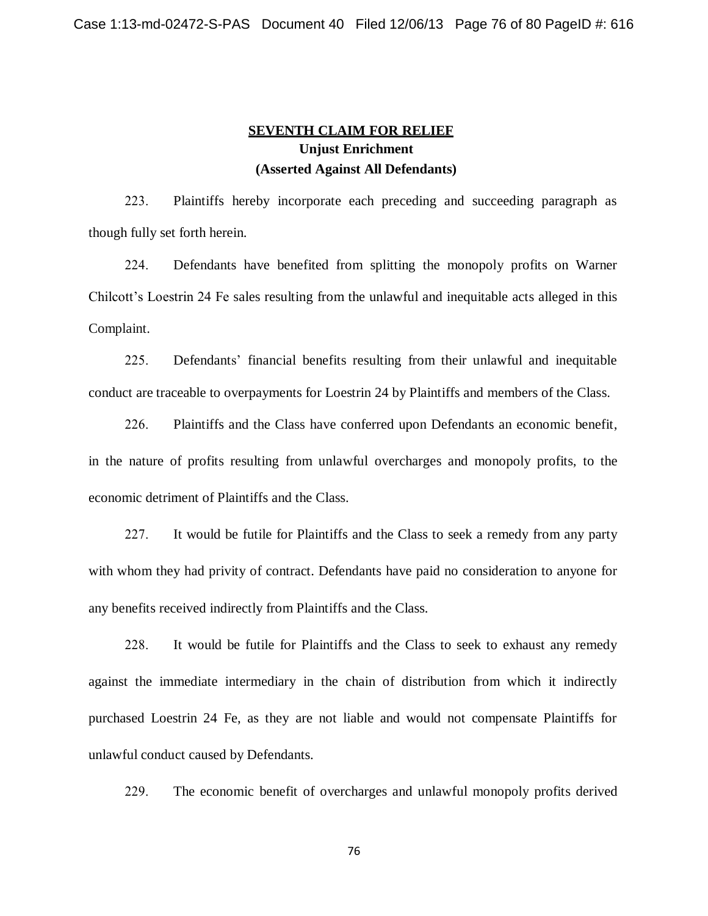## **SEVENTH CLAIM FOR RELIEF Unjust Enrichment (Asserted Against All Defendants)**

223. Plaintiffs hereby incorporate each preceding and succeeding paragraph as though fully set forth herein.

224. Defendants have benefited from splitting the monopoly profits on Warner Chilcott's Loestrin 24 Fe sales resulting from the unlawful and inequitable acts alleged in this Complaint.

225. Defendants' financial benefits resulting from their unlawful and inequitable conduct are traceable to overpayments for Loestrin 24 by Plaintiffs and members of the Class.

226. Plaintiffs and the Class have conferred upon Defendants an economic benefit, in the nature of profits resulting from unlawful overcharges and monopoly profits, to the economic detriment of Plaintiffs and the Class.

227. It would be futile for Plaintiffs and the Class to seek a remedy from any party with whom they had privity of contract. Defendants have paid no consideration to anyone for any benefits received indirectly from Plaintiffs and the Class.

228. It would be futile for Plaintiffs and the Class to seek to exhaust any remedy against the immediate intermediary in the chain of distribution from which it indirectly purchased Loestrin 24 Fe, as they are not liable and would not compensate Plaintiffs for unlawful conduct caused by Defendants.

229. The economic benefit of overcharges and unlawful monopoly profits derived

76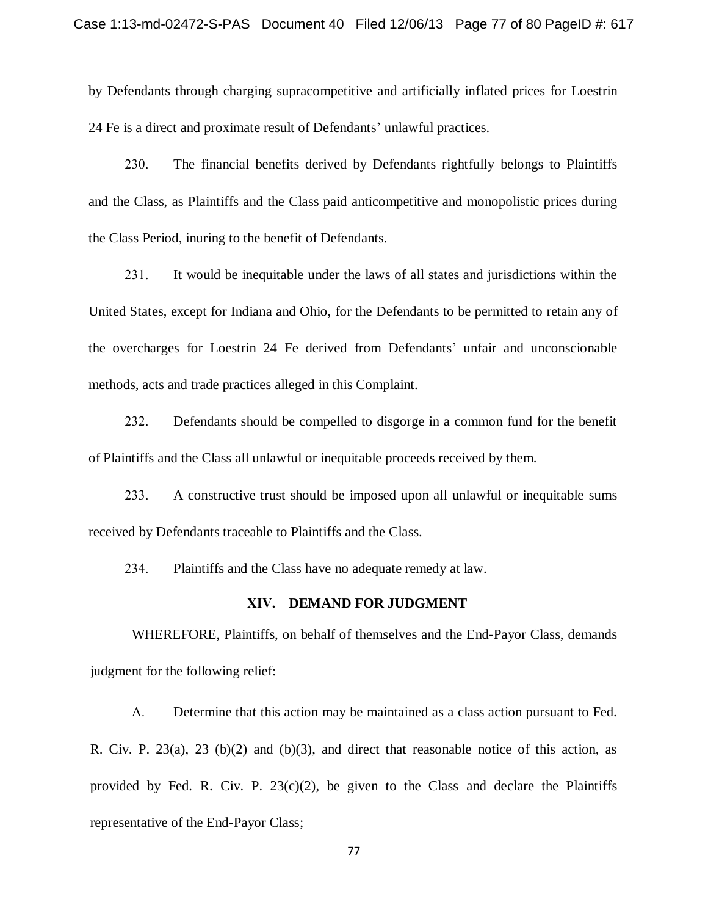by Defendants through charging supracompetitive and artificially inflated prices for Loestrin 24 Fe is a direct and proximate result of Defendants' unlawful practices.

230. The financial benefits derived by Defendants rightfully belongs to Plaintiffs and the Class, as Plaintiffs and the Class paid anticompetitive and monopolistic prices during the Class Period, inuring to the benefit of Defendants.

231. It would be inequitable under the laws of all states and jurisdictions within the United States, except for Indiana and Ohio, for the Defendants to be permitted to retain any of the overcharges for Loestrin 24 Fe derived from Defendants' unfair and unconscionable methods, acts and trade practices alleged in this Complaint.

232. Defendants should be compelled to disgorge in a common fund for the benefit of Plaintiffs and the Class all unlawful or inequitable proceeds received by them.

233. A constructive trust should be imposed upon all unlawful or inequitable sums received by Defendants traceable to Plaintiffs and the Class.

234. Plaintiffs and the Class have no adequate remedy at law.

#### **XIV. DEMAND FOR JUDGMENT**

WHEREFORE, Plaintiffs, on behalf of themselves and the End-Payor Class, demands judgment for the following relief:

A. Determine that this action may be maintained as a class action pursuant to Fed. R. Civ. P.  $23(a)$ ,  $23(b)(2)$  and  $(b)(3)$ , and direct that reasonable notice of this action, as provided by Fed. R. Civ. P.  $23(c)(2)$ , be given to the Class and declare the Plaintiffs representative of the End-Payor Class;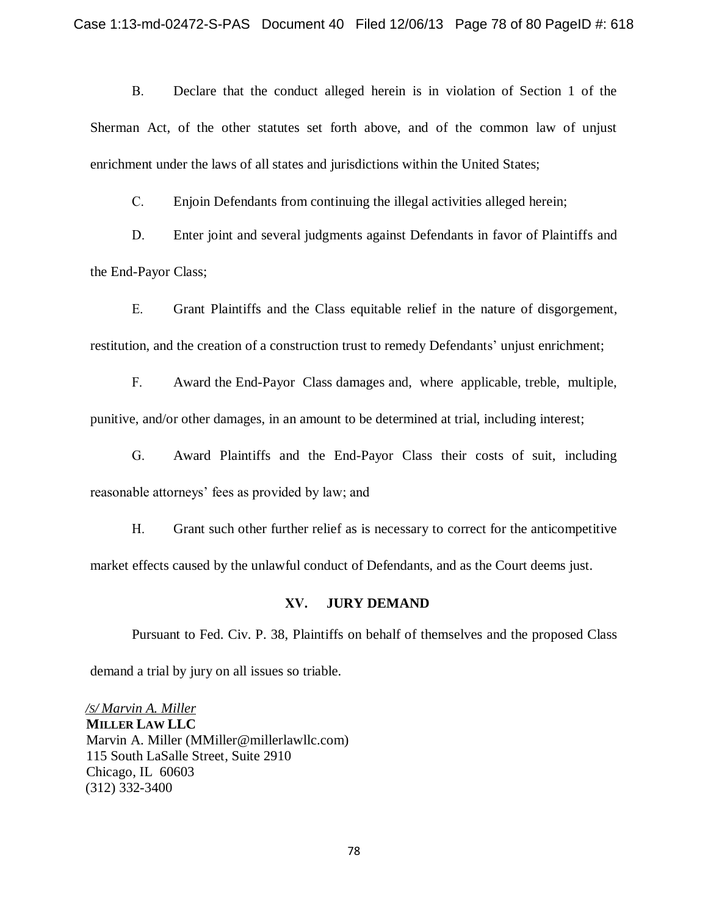B. Declare that the conduct alleged herein is in violation of Section 1 of the Sherman Act, of the other statutes set forth above, and of the common law of unjust enrichment under the laws of all states and jurisdictions within the United States;

C. Enjoin Defendants from continuing the illegal activities alleged herein;

D. Enter joint and several judgments against Defendants in favor of Plaintiffs and the End-Payor Class;

E. Grant Plaintiffs and the Class equitable relief in the nature of disgorgement, restitution, and the creation of a construction trust to remedy Defendants' unjust enrichment;

F. Award the End-Payor Class damages and, where applicable, treble, multiple, punitive, and/or other damages, in an amount to be determined at trial, including interest;

G. Award Plaintiffs and the End-Payor Class their costs of suit, including reasonable attorneys' fees as provided by law; and

H. Grant such other further relief as is necessary to correct for the anticompetitive market effects caused by the unlawful conduct of Defendants, and as the Court deems just.

#### **XV. JURY DEMAND**

Pursuant to Fed. Civ. P. 38, Plaintiffs on behalf of themselves and the proposed Class demand a trial by jury on all issues so triable.

*/S/ Marvin A. Miller* **MILLER LAW LLC** Marvin A. Miller (MMiller@millerlawllc.com) 115 South LaSalle Street, Suite 2910 Chicago, IL 60603 (312) 332-3400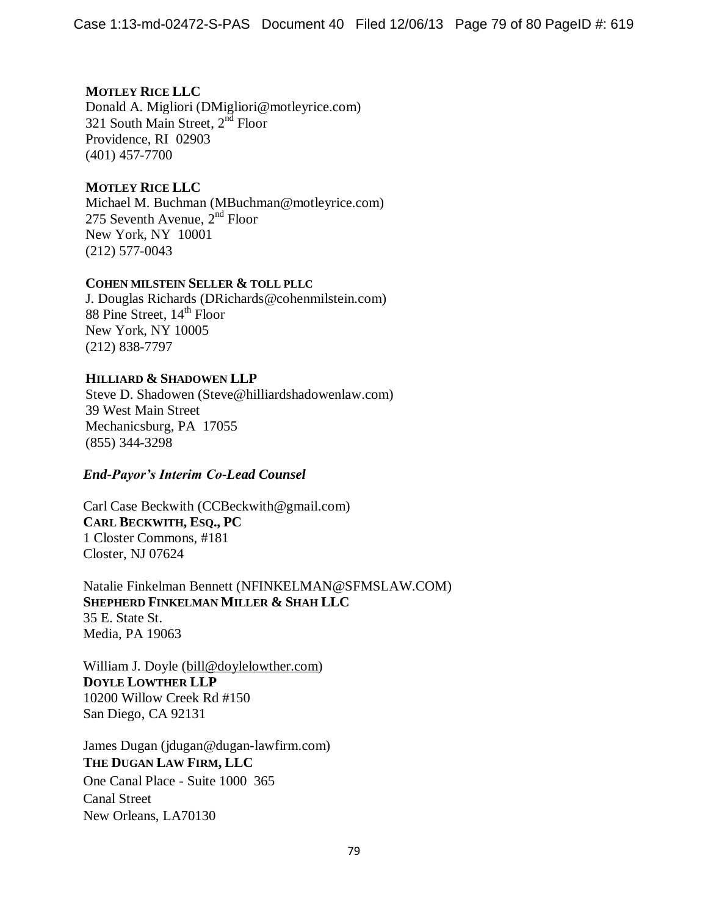## **MOTLEY RICE LLC**

Donald A. Migliori (DMigliori@motleyrice.com) 321 South Main Street, 2<sup>nd</sup> Floor Providence, RI 02903 (401) 457-7700

### **MOTLEY RICE LLC**

Michael M. Buchman (MBuchman@motleyrice.com) 275 Seventh Avenue,  $2<sup>nd</sup>$  Floor New York, NY 10001 (212) 577-0043

#### **COHEN MILSTEIN SELLER & TOLL PLLC**

J. Douglas Richards (DRichards@cohenmilstein.com) 88 Pine Street, 14<sup>th</sup> Floor New York, NY 10005 (212) 838-7797

### **HILLIARD & SHADOWEN LLP**

Steve D. Shadowen (Steve@hilliardshadowenlaw.com) 39 West Main Street Mechanicsburg, PA 17055 (855) 344-3298

### *End-Payor's Interim Co-Lead Counsel*

Carl Case Beckwith (CCBeckwith@gmail.com) **CARL BECKWITH, ESQ., PC** 1 Closter Commons, #181 Closter, NJ 07624

Natalie Finkelman Bennett (NFINKELMAN@SFMSLAW.COM) **SHEPHERD FINKELMAN MILLER & SHAH LLC** 35 E. State St. Media, PA 19063

William J. Doyle [\(bill@doylelowther.com\)](mailto:bill@doylelowther.com) **DOYLE LOWTHER LLP** 10200 Willow Creek Rd #150 San Diego, CA 92131

James Dugan (jdugan@dugan-lawfirm.com) **THE DUGAN LAW FIRM, LLC** One Canal Place - Suite 1000 365 Canal Street New Orleans, LA70130